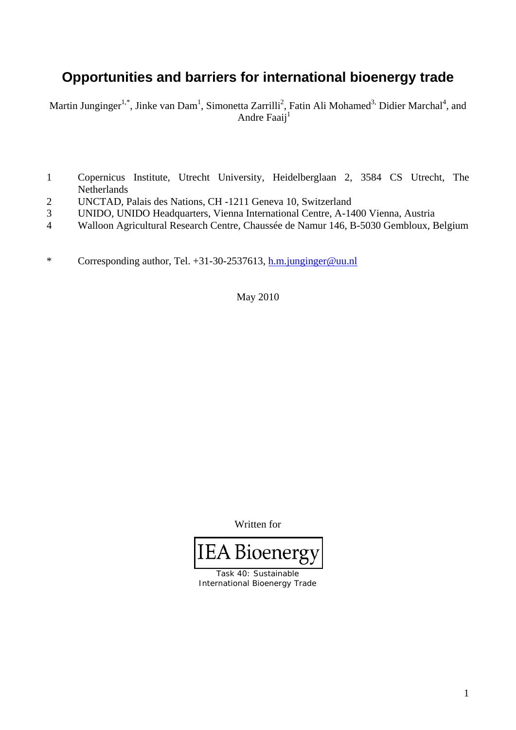# **Opportunities and barriers for international bioenergy trade**

Martin Junginger<sup>1,\*</sup>, Jinke van Dam<sup>1</sup>, Simonetta Zarrilli<sup>2</sup>, Fatin Ali Mohamed<sup>3,</sup> Didier Marchal<sup>4</sup>, and Andre Faaij<sup>1</sup>

- 1 Copernicus Institute, Utrecht University, Heidelberglaan 2, 3584 CS Utrecht, The **Netherlands**
- 2 UNCTAD, Palais des Nations, CH -1211 Geneva 10, Switzerland
- 3 UNIDO, UNIDO Headquarters, Vienna International Centre, A-1400 Vienna, Austria
- 4 Walloon Agricultural Research Centre, Chaussée de Namur 146, B-5030 Gembloux, Belgium
- \* Corresponding author, Tel. +31-30-2537613, h.m.junginger@uu.nl

May 2010

Written for



Task 40: Sustainable International Bioenergy Trade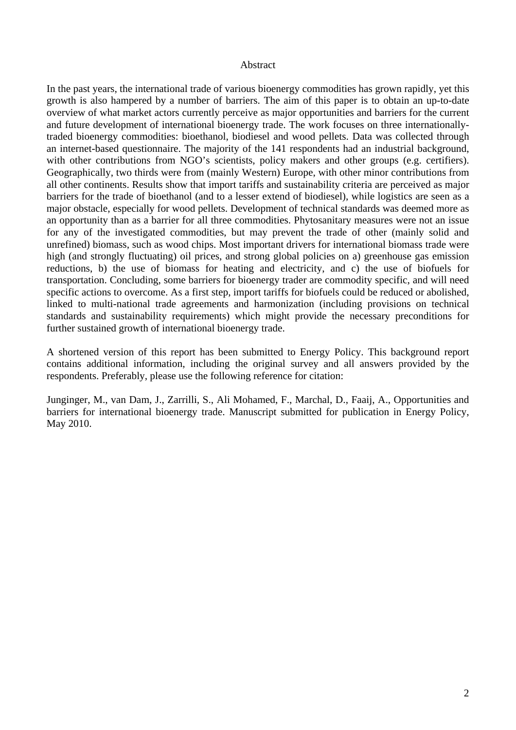#### Abstract

In the past years, the international trade of various bioenergy commodities has grown rapidly, yet this growth is also hampered by a number of barriers. The aim of this paper is to obtain an up-to-date overview of what market actors currently perceive as major opportunities and barriers for the current and future development of international bioenergy trade. The work focuses on three internationallytraded bioenergy commodities: bioethanol, biodiesel and wood pellets. Data was collected through an internet-based questionnaire. The majority of the 141 respondents had an industrial background, with other contributions from NGO's scientists, policy makers and other groups (e.g. certifiers). Geographically, two thirds were from (mainly Western) Europe, with other minor contributions from all other continents. Results show that import tariffs and sustainability criteria are perceived as major barriers for the trade of bioethanol (and to a lesser extend of biodiesel), while logistics are seen as a major obstacle, especially for wood pellets. Development of technical standards was deemed more as an opportunity than as a barrier for all three commodities. Phytosanitary measures were not an issue for any of the investigated commodities, but may prevent the trade of other (mainly solid and unrefined) biomass, such as wood chips. Most important drivers for international biomass trade were high (and strongly fluctuating) oil prices, and strong global policies on a) greenhouse gas emission reductions, b) the use of biomass for heating and electricity, and c) the use of biofuels for transportation. Concluding, some barriers for bioenergy trader are commodity specific, and will need specific actions to overcome. As a first step, import tariffs for biofuels could be reduced or abolished, linked to multi-national trade agreements and harmonization (including provisions on technical standards and sustainability requirements) which might provide the necessary preconditions for further sustained growth of international bioenergy trade.

A shortened version of this report has been submitted to Energy Policy. This background report contains additional information, including the original survey and all answers provided by the respondents. Preferably, please use the following reference for citation:

Junginger, M., van Dam, J., Zarrilli, S., Ali Mohamed, F., Marchal, D., Faaij, A., Opportunities and barriers for international bioenergy trade. Manuscript submitted for publication in Energy Policy, May 2010.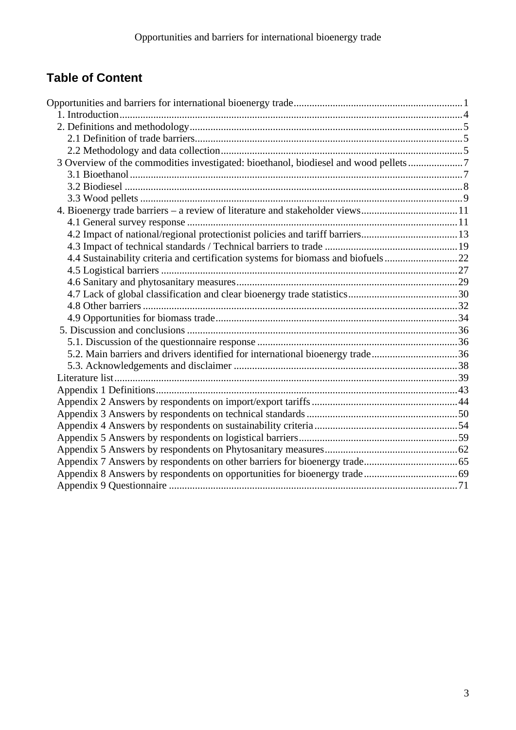# **Table of Content**

| 3 Overview of the commodities investigated: bioethanol, biodiesel and wood pellets7 |  |
|-------------------------------------------------------------------------------------|--|
|                                                                                     |  |
|                                                                                     |  |
|                                                                                     |  |
| 4. Bioenergy trade barriers – a review of literature and stakeholder views11        |  |
|                                                                                     |  |
|                                                                                     |  |
|                                                                                     |  |
| 4.4 Sustainability criteria and certification systems for biomass and biofuels22    |  |
|                                                                                     |  |
|                                                                                     |  |
|                                                                                     |  |
|                                                                                     |  |
|                                                                                     |  |
|                                                                                     |  |
|                                                                                     |  |
| 5.2. Main barriers and drivers identified for international bioenergy trade36       |  |
|                                                                                     |  |
|                                                                                     |  |
|                                                                                     |  |
|                                                                                     |  |
|                                                                                     |  |
|                                                                                     |  |
|                                                                                     |  |
|                                                                                     |  |
|                                                                                     |  |
|                                                                                     |  |
|                                                                                     |  |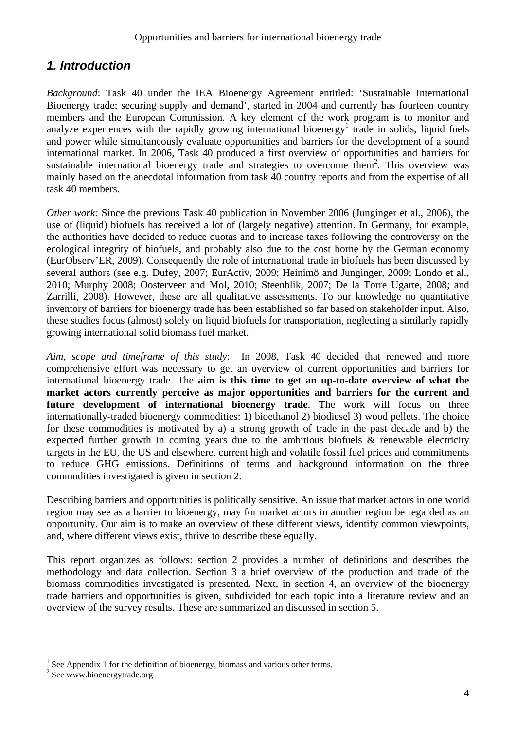## *1. Introduction*

*Background*: Task 40 under the IEA Bioenergy Agreement entitled: 'Sustainable International Bioenergy trade; securing supply and demand', started in 2004 and currently has fourteen country members and the European Commission. A key element of the work program is to monitor and analyze experiences with the rapidly growing international bioenergy<sup>1</sup> trade in solids, liquid fuels and power while simultaneously evaluate opportunities and barriers for the development of a sound international market. In 2006, Task 40 produced a first overview of opportunities and barriers for sustainable international bioenergy trade and strategies to overcome them<sup>2</sup>. This overview was mainly based on the anecdotal information from task 40 country reports and from the expertise of all task 40 members.

*Other work:* Since the previous Task 40 publication in November 2006 (Junginger et al., 2006), the use of (liquid) biofuels has received a lot of (largely negative) attention. In Germany, for example, the authorities have decided to reduce quotas and to increase taxes following the controversy on the ecological integrity of biofuels, and probably also due to the cost borne by the German economy (EurObserv'ER, 2009). Consequently the role of international trade in biofuels has been discussed by several authors (see e.g. Dufey, 2007; EurActiv, 2009; Heinimö and Junginger, 2009; Londo et al., 2010; Murphy 2008; Oosterveer and Mol, 2010; Steenblik, 2007; De la Torre Ugarte, 2008; and Zarrilli, 2008). However, these are all qualitative assessments. To our knowledge no quantitative inventory of barriers for bioenergy trade has been established so far based on stakeholder input. Also, these studies focus (almost) solely on liquid biofuels for transportation, neglecting a similarly rapidly growing international solid biomass fuel market.

*Aim, scope and timeframe of this study*: In 2008, Task 40 decided that renewed and more comprehensive effort was necessary to get an overview of current opportunities and barriers for international bioenergy trade. The **aim is this time to get an up-to-date overview of what the market actors currently perceive as major opportunities and barriers for the current and future development of international bioenergy trade**. The work will focus on three internationally-traded bioenergy commodities: 1) bioethanol 2) biodiesel 3) wood pellets. The choice for these commodities is motivated by a) a strong growth of trade in the past decade and b) the expected further growth in coming years due to the ambitious biofuels  $\&$  renewable electricity targets in the EU, the US and elsewhere, current high and volatile fossil fuel prices and commitments to reduce GHG emissions. Definitions of terms and background information on the three commodities investigated is given in section 2.

Describing barriers and opportunities is politically sensitive. An issue that market actors in one world region may see as a barrier to bioenergy, may for market actors in another region be regarded as an opportunity. Our aim is to make an overview of these different views, identify common viewpoints, and, where different views exist, thrive to describe these equally.

This report organizes as follows: section 2 provides a number of definitions and describes the methodology and data collection. Section 3 a brief overview of the production and trade of the biomass commodities investigated is presented. Next, in section 4, an overview of the bioenergy trade barriers and opportunities is given, subdivided for each topic into a literature review and an overview of the survey results. These are summarized an discussed in section 5.

<sup>&</sup>lt;sup>1</sup> See Appendix 1 for the definition of bioenergy, biomass and various other terms.

<sup>2</sup> See www.bioenergytrade.org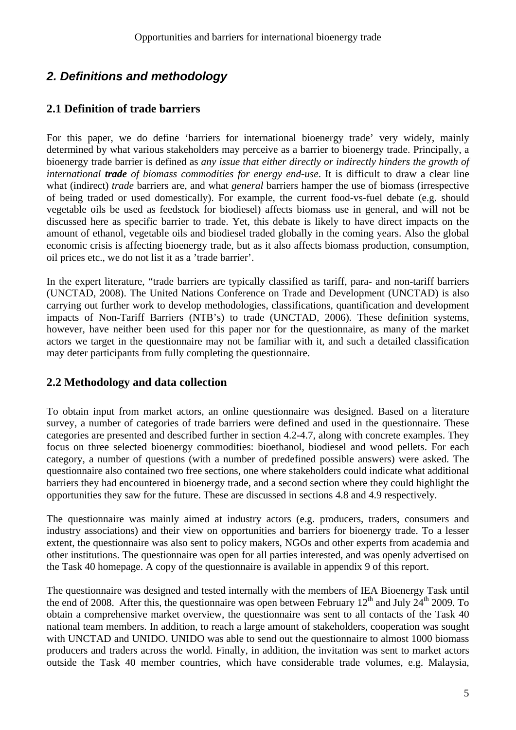## *2. Definitions and methodology*

## **2.1 Definition of trade barriers**

For this paper, we do define 'barriers for international bioenergy trade' very widely, mainly determined by what various stakeholders may perceive as a barrier to bioenergy trade. Principally, a bioenergy trade barrier is defined as *any issue that either directly or indirectly hinders the growth of international trade of biomass commodities for energy end-use*. It is difficult to draw a clear line what (indirect) *trade* barriers are, and what *general* barriers hamper the use of biomass (irrespective of being traded or used domestically). For example, the current food-vs-fuel debate (e.g. should vegetable oils be used as feedstock for biodiesel) affects biomass use in general, and will not be discussed here as specific barrier to trade. Yet, this debate is likely to have direct impacts on the amount of ethanol, vegetable oils and biodiesel traded globally in the coming years. Also the global economic crisis is affecting bioenergy trade, but as it also affects biomass production, consumption, oil prices etc., we do not list it as a 'trade barrier'.

In the expert literature, "trade barriers are typically classified as tariff, para- and non-tariff barriers (UNCTAD, 2008). The United Nations Conference on Trade and Development (UNCTAD) is also carrying out further work to develop methodologies, classifications, quantification and development impacts of Non-Tariff Barriers (NTB's) to trade (UNCTAD, 2006). These definition systems, however, have neither been used for this paper nor for the questionnaire, as many of the market actors we target in the questionnaire may not be familiar with it, and such a detailed classification may deter participants from fully completing the questionnaire.

## **2.2 Methodology and data collection**

To obtain input from market actors, an online questionnaire was designed. Based on a literature survey, a number of categories of trade barriers were defined and used in the questionnaire. These categories are presented and described further in section 4.2-4.7, along with concrete examples. They focus on three selected bioenergy commodities: bioethanol, biodiesel and wood pellets. For each category, a number of questions (with a number of predefined possible answers) were asked. The questionnaire also contained two free sections, one where stakeholders could indicate what additional barriers they had encountered in bioenergy trade, and a second section where they could highlight the opportunities they saw for the future. These are discussed in sections 4.8 and 4.9 respectively.

The questionnaire was mainly aimed at industry actors (e.g. producers, traders, consumers and industry associations) and their view on opportunities and barriers for bioenergy trade. To a lesser extent, the questionnaire was also sent to policy makers, NGOs and other experts from academia and other institutions. The questionnaire was open for all parties interested, and was openly advertised on the Task 40 homepage. A copy of the questionnaire is available in appendix 9 of this report.

The questionnaire was designed and tested internally with the members of IEA Bioenergy Task until the end of 2008. After this, the questionnaire was open between February  $12<sup>th</sup>$  and July  $24<sup>th</sup>$  2009. To obtain a comprehensive market overview, the questionnaire was sent to all contacts of the Task 40 national team members. In addition, to reach a large amount of stakeholders, cooperation was sought with UNCTAD and UNIDO. UNIDO was able to send out the questionnaire to almost 1000 biomass producers and traders across the world. Finally, in addition, the invitation was sent to market actors outside the Task 40 member countries, which have considerable trade volumes, e.g. Malaysia,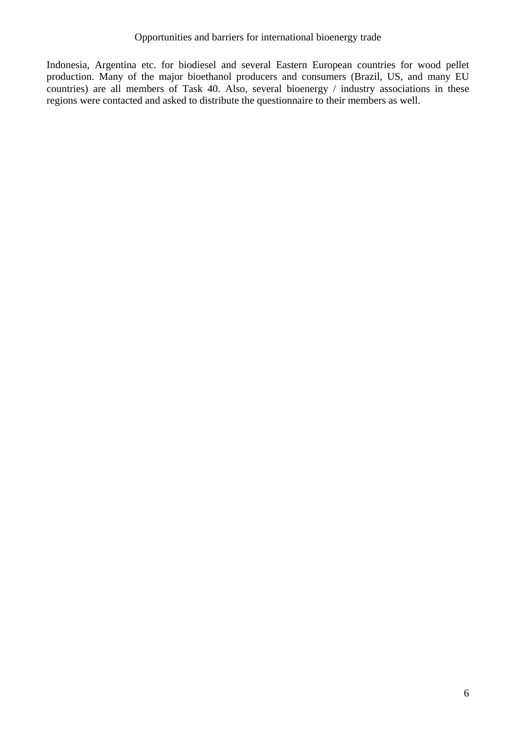Indonesia, Argentina etc. for biodiesel and several Eastern European countries for wood pellet production. Many of the major bioethanol producers and consumers (Brazil, US, and many EU countries) are all members of Task 40. Also, several bioenergy / industry associations in these regions were contacted and asked to distribute the questionnaire to their members as well.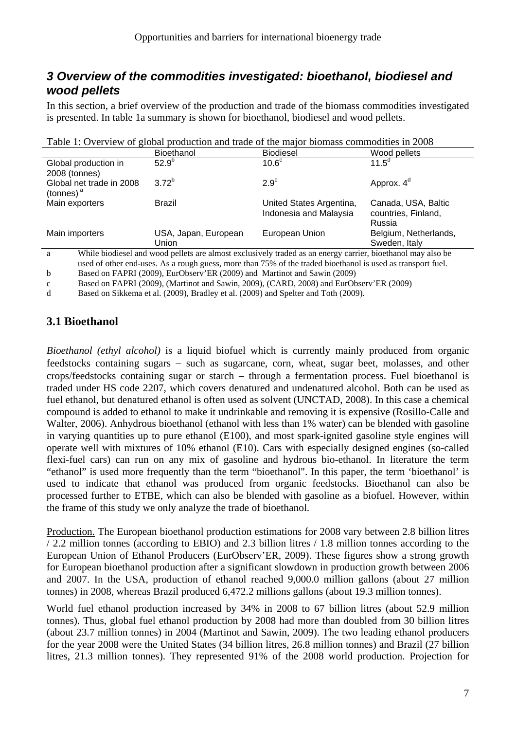## *3 Overview of the commodities investigated: bioethanol, biodiesel and wood pellets*

In this section, a brief overview of the production and trade of the biomass commodities investigated is presented. In table 1a summary is shown for bioethanol, biodiesel and wood pellets.

| Table 1. Overview of grobal production and trade of the major biomass commodities in 2006 |                                                                                                           |                                                    |                                                      |  |
|-------------------------------------------------------------------------------------------|-----------------------------------------------------------------------------------------------------------|----------------------------------------------------|------------------------------------------------------|--|
|                                                                                           | <b>Bioethanol</b>                                                                                         | <b>Biodiesel</b>                                   | Wood pellets                                         |  |
| Global production in<br>2008 (tonnes)                                                     | $52.9^{b}$                                                                                                | $10.6^\circ$                                       | $11.5^{\circ}$                                       |  |
| Global net trade in 2008<br>$(honnes)^a$                                                  | $3.72^{b}$                                                                                                | $2.9^\circ$                                        | Approx. $4^d$                                        |  |
| Main exporters                                                                            | Brazil                                                                                                    | United States Argentina,<br>Indonesia and Malaysia | Canada, USA, Baltic<br>countries, Finland,<br>Russia |  |
| Main importers                                                                            | USA, Japan, European<br>Union                                                                             | European Union                                     | Belgium, Netherlands,<br>Sweden, Italy               |  |
| $\sim$                                                                                    | While highland and wood pollate are elmost avaluatualy traded as an aparay service highthanol may also be |                                                    |                                                      |  |

Table 1: Overview of global production and trade of the major biomass commodities in 2008

a While biodiesel and wood pellets are almost exclusively traded as an energy carrier, bioethanol may also be used of other end-uses. As a rough guess, more than 75% of the traded bioethanol is used as transport fuel.

b Based on FAPRI (2009), EurObserv'ER (2009) and Martinot and Sawin (2009)

c Based on FAPRI (2009), (Martinot and Sawin, 2009), (CARD, 2008) and EurObserv'ER (2009)

d Based on Sikkema et al. (2009), Bradley et al. (2009) and Spelter and Toth (2009).

## **3.1 Bioethanol**

*Bioethanol (ethyl alcohol)* is a liquid biofuel which is currently mainly produced from organic feedstocks containing sugars – such as sugarcane, corn, wheat, sugar beet, molasses, and other crops/feedstocks containing sugar or starch through a fermentation process. Fuel bioethanol is traded under HS code 2207, which covers denatured and undenatured alcohol. Both can be used as fuel ethanol, but denatured ethanol is often used as solvent (UNCTAD, 2008). In this case a chemical compound is added to ethanol to make it undrinkable and removing it is expensive (Rosillo-Calle and Walter, 2006). Anhydrous bioethanol (ethanol with less than 1% water) can be blended with gasoline in varying quantities up to pure ethanol (E100), and most spark-ignited gasoline style engines will operate well with mixtures of 10% ethanol (E10). Cars with especially designed engines (so-called flexi-fuel cars) can run on any mix of gasoline and hydrous bio-ethanol. In literature the term "ethanol" is used more frequently than the term "bioethanol". In this paper, the term 'bioethanol' is used to indicate that ethanol was produced from organic feedstocks. Bioethanol can also be processed further to ETBE, which can also be blended with gasoline as a biofuel. However, within the frame of this study we only analyze the trade of bioethanol.

Production. The European bioethanol production estimations for 2008 vary between 2.8 billion litres / 2.2 million tonnes (according to EBIO) and 2.3 billion litres / 1.8 million tonnes according to the European Union of Ethanol Producers (EurObserv'ER, 2009). These figures show a strong growth for European bioethanol production after a significant slowdown in production growth between 2006 and 2007. In the USA, production of ethanol reached 9,000.0 million gallons (about 27 million tonnes) in 2008, whereas Brazil produced 6,472.2 millions gallons (about 19.3 million tonnes).

World fuel ethanol production increased by 34% in 2008 to 67 billion litres (about 52.9 million tonnes). Thus, global fuel ethanol production by 2008 had more than doubled from 30 billion litres (about 23.7 million tonnes) in 2004 (Martinot and Sawin, 2009). The two leading ethanol producers for the year 2008 were the United States (34 billion litres, 26.8 million tonnes) and Brazil (27 billion litres, 21.3 million tonnes). They represented 91% of the 2008 world production. Projection for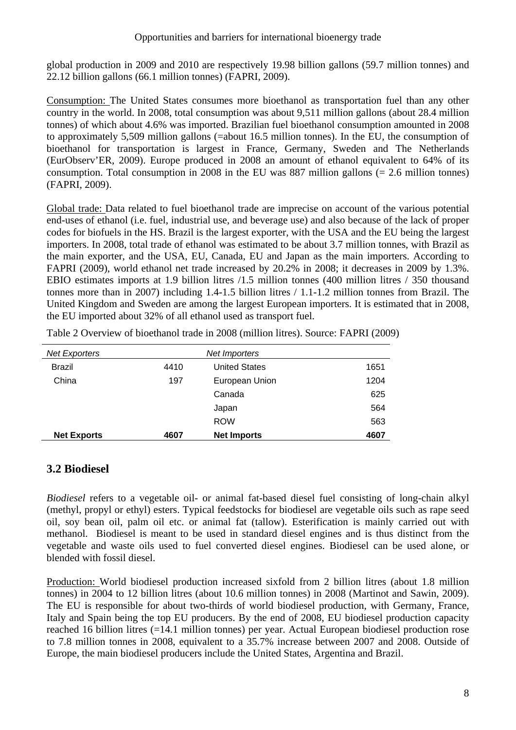global production in 2009 and 2010 are respectively 19.98 billion gallons (59.7 million tonnes) and 22.12 billion gallons (66.1 million tonnes) (FAPRI, 2009).

Consumption: The United States consumes more bioethanol as transportation fuel than any other country in the world. In 2008, total consumption was about 9,511 million gallons (about 28.4 million tonnes) of which about 4.6% was imported. Brazilian fuel bioethanol consumption amounted in 2008 to approximately 5,509 million gallons (=about 16.5 million tonnes). In the EU, the consumption of bioethanol for transportation is largest in France, Germany, Sweden and The Netherlands (EurObserv'ER, 2009). Europe produced in 2008 an amount of ethanol equivalent to 64% of its consumption. Total consumption in 2008 in the EU was 887 million gallons (= 2.6 million tonnes) (FAPRI, 2009).

Global trade: Data related to fuel bioethanol trade are imprecise on account of the various potential end-uses of ethanol (i.e. fuel, industrial use, and beverage use) and also because of the lack of proper codes for biofuels in the HS. Brazil is the largest exporter, with the USA and the EU being the largest importers. In 2008, total trade of ethanol was estimated to be about 3.7 million tonnes, with Brazil as the main exporter, and the USA, EU, Canada, EU and Japan as the main importers. According to FAPRI (2009), world ethanol net trade increased by 20.2% in 2008; it decreases in 2009 by 1.3%. EBIO estimates imports at 1.9 billion litres /1.5 million tonnes (400 million litres / 350 thousand tonnes more than in 2007) including 1.4-1.5 billion litres / 1.1-1.2 million tonnes from Brazil. The United Kingdom and Sweden are among the largest European importers. It is estimated that in 2008, the EU imported about 32% of all ethanol used as transport fuel.

| <b>Net Exporters</b> | Net Importers |                      |      |
|----------------------|---------------|----------------------|------|
| <b>Brazil</b>        | 4410          | <b>United States</b> | 1651 |
| China                | 197           | European Union       | 1204 |
|                      |               | Canada               | 625  |
|                      |               | Japan                | 564  |
|                      |               | <b>ROW</b>           | 563  |
| <b>Net Exports</b>   | 4607          | <b>Net Imports</b>   | 4607 |

Table 2 Overview of bioethanol trade in 2008 (million litres). Source: FAPRI (2009)

## **3.2 Biodiesel**

*Biodiesel* refers to a vegetable oil- or animal fat-based diesel fuel consisting of long-chain alkyl (methyl, propyl or ethyl) esters. Typical feedstocks for biodiesel are vegetable oils such as rape seed oil, soy bean oil, palm oil etc. or animal fat (tallow). Esterification is mainly carried out with methanol. Biodiesel is meant to be used in standard diesel engines and is thus distinct from the vegetable and waste oils used to fuel converted diesel engines. Biodiesel can be used alone, or blended with fossil diesel.

Production: World biodiesel production increased sixfold from 2 billion litres (about 1.8 million tonnes) in 2004 to 12 billion litres (about 10.6 million tonnes) in 2008 (Martinot and Sawin, 2009). The EU is responsible for about two-thirds of world biodiesel production, with Germany, France, Italy and Spain being the top EU producers. By the end of 2008, EU biodiesel production capacity reached 16 billion litres (=14.1 million tonnes) per year. Actual European biodiesel production rose to 7.8 million tonnes in 2008, equivalent to a 35.7% increase between 2007 and 2008. Outside of Europe, the main biodiesel producers include the United States, Argentina and Brazil.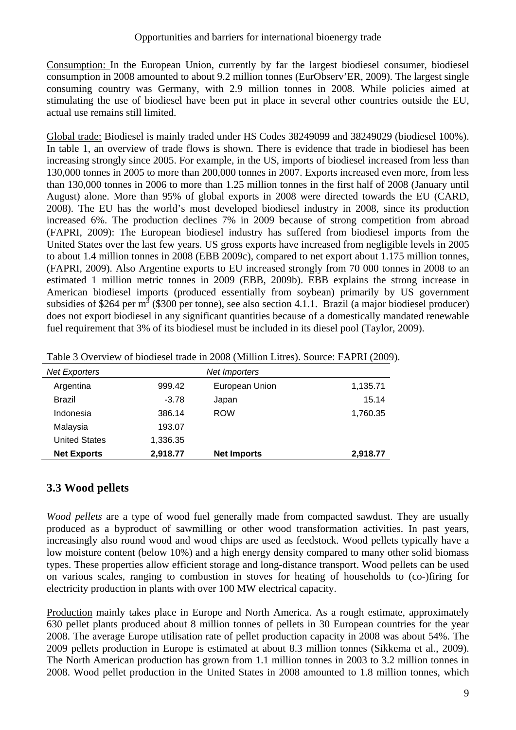Consumption: In the European Union, currently by far the largest biodiesel consumer, biodiesel consumption in 2008 amounted to about 9.2 million tonnes (EurObserv'ER, 2009). The largest single consuming country was Germany, with 2.9 million tonnes in 2008. While policies aimed at stimulating the use of biodiesel have been put in place in several other countries outside the EU, actual use remains still limited.

Global trade: Biodiesel is mainly traded under HS Codes 38249099 and 38249029 (biodiesel 100%). In table 1, an overview of trade flows is shown. There is evidence that trade in biodiesel has been increasing strongly since 2005. For example, in the US, imports of biodiesel increased from less than 130,000 tonnes in 2005 to more than 200,000 tonnes in 2007. Exports increased even more, from less than 130,000 tonnes in 2006 to more than 1.25 million tonnes in the first half of 2008 (January until August) alone. More than 95% of global exports in 2008 were directed towards the EU (CARD, 2008). The EU has the world's most developed biodiesel industry in 2008, since its production increased 6%. The production declines 7% in 2009 because of strong competition from abroad (FAPRI, 2009): The European biodiesel industry has suffered from biodiesel imports from the United States over the last few years. US gross exports have increased from negligible levels in 2005 to about 1.4 million tonnes in 2008 (EBB 2009c), compared to net export about 1.175 million tonnes, (FAPRI, 2009). Also Argentine exports to EU increased strongly from 70 000 tonnes in 2008 to an estimated 1 million metric tonnes in 2009 (EBB, 2009b). EBB explains the strong increase in American biodiesel imports (produced essentially from soybean) primarily by US government subsidies of \$264 per  $m^3$  (\$300 per tonne), see also section 4.1.1. Brazil (a major biodiesel producer) does not export biodiesel in any significant quantities because of a domestically mandated renewable fuel requirement that 3% of its biodiesel must be included in its diesel pool (Taylor, 2009).

| <b>Net Exporters</b> |          | Net Importers      |          |
|----------------------|----------|--------------------|----------|
| Argentina            | 999.42   | European Union     | 1,135.71 |
| Brazil               | $-3.78$  | Japan              | 15.14    |
| Indonesia            | 386.14   | <b>ROW</b>         | 1,760.35 |
| Malaysia             | 193.07   |                    |          |
| <b>United States</b> | 1,336.35 |                    |          |
| <b>Net Exports</b>   | 2,918.77 | <b>Net Imports</b> | 2,918.77 |

Table 3 Overview of biodiesel trade in 2008 (Million Litres). Source: FAPRI (2009).

## **3.3 Wood pellets**

*Wood pellets* are a type of wood fuel generally made from compacted sawdust. They are usually produced as a byproduct of sawmilling or other wood transformation activities. In past years, increasingly also round wood and wood chips are used as feedstock. Wood pellets typically have a low moisture content (below 10%) and a high energy density compared to many other solid biomass types. These properties allow efficient storage and long-distance transport. Wood pellets can be used on various scales, ranging to combustion in stoves for heating of households to (co-)firing for electricity production in plants with over 100 MW electrical capacity.

Production mainly takes place in Europe and North America. As a rough estimate, approximately 630 pellet plants produced about 8 million tonnes of pellets in 30 European countries for the year 2008. The average Europe utilisation rate of pellet production capacity in 2008 was about 54%. The 2009 pellets production in Europe is estimated at about 8.3 million tonnes (Sikkema et al., 2009). The North American production has grown from 1.1 million tonnes in 2003 to 3.2 million tonnes in 2008. Wood pellet production in the United States in 2008 amounted to 1.8 million tonnes, which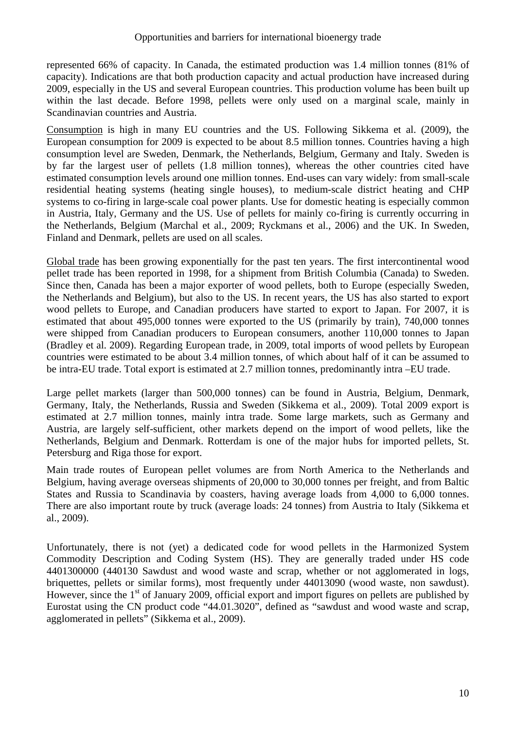represented 66% of capacity. In Canada, the estimated production was 1.4 million tonnes (81% of capacity). Indications are that both production capacity and actual production have increased during 2009, especially in the US and several European countries. This production volume has been built up within the last decade. Before 1998, pellets were only used on a marginal scale, mainly in Scandinavian countries and Austria.

Consumption is high in many EU countries and the US. Following Sikkema et al. (2009), the European consumption for 2009 is expected to be about 8.5 million tonnes. Countries having a high consumption level are Sweden, Denmark, the Netherlands, Belgium, Germany and Italy. Sweden is by far the largest user of pellets (1.8 million tonnes), whereas the other countries cited have estimated consumption levels around one million tonnes. End-uses can vary widely: from small-scale residential heating systems (heating single houses), to medium-scale district heating and CHP systems to co-firing in large-scale coal power plants. Use for domestic heating is especially common in Austria, Italy, Germany and the US. Use of pellets for mainly co-firing is currently occurring in the Netherlands, Belgium (Marchal et al., 2009; Ryckmans et al., 2006) and the UK. In Sweden, Finland and Denmark, pellets are used on all scales.

Global trade has been growing exponentially for the past ten years. The first intercontinental wood pellet trade has been reported in 1998, for a shipment from British Columbia (Canada) to Sweden. Since then, Canada has been a major exporter of wood pellets, both to Europe (especially Sweden, the Netherlands and Belgium), but also to the US. In recent years, the US has also started to export wood pellets to Europe, and Canadian producers have started to export to Japan. For 2007, it is estimated that about 495,000 tonnes were exported to the US (primarily by train), 740,000 tonnes were shipped from Canadian producers to European consumers, another 110,000 tonnes to Japan (Bradley et al. 2009). Regarding European trade, in 2009, total imports of wood pellets by European countries were estimated to be about 3.4 million tonnes, of which about half of it can be assumed to be intra-EU trade. Total export is estimated at 2.7 million tonnes, predominantly intra –EU trade.

Large pellet markets (larger than 500,000 tonnes) can be found in Austria, Belgium, Denmark, Germany, Italy, the Netherlands, Russia and Sweden (Sikkema et al., 2009). Total 2009 export is estimated at 2.7 million tonnes, mainly intra trade. Some large markets, such as Germany and Austria, are largely self-sufficient, other markets depend on the import of wood pellets, like the Netherlands, Belgium and Denmark. Rotterdam is one of the major hubs for imported pellets, St. Petersburg and Riga those for export.

Main trade routes of European pellet volumes are from North America to the Netherlands and Belgium, having average overseas shipments of 20,000 to 30,000 tonnes per freight, and from Baltic States and Russia to Scandinavia by coasters, having average loads from 4,000 to 6,000 tonnes. There are also important route by truck (average loads: 24 tonnes) from Austria to Italy (Sikkema et al., 2009).

Unfortunately, there is not (yet) a dedicated code for wood pellets in the Harmonized System Commodity Description and Coding System (HS). They are generally traded under HS code 4401300000 (440130 Sawdust and wood waste and scrap, whether or not agglomerated in logs, briquettes, pellets or similar forms), most frequently under 44013090 (wood waste, non sawdust). However, since the  $1<sup>st</sup>$  of January 2009, official export and import figures on pellets are published by Eurostat using the CN product code "44.01.3020", defined as "sawdust and wood waste and scrap, agglomerated in pellets" (Sikkema et al., 2009).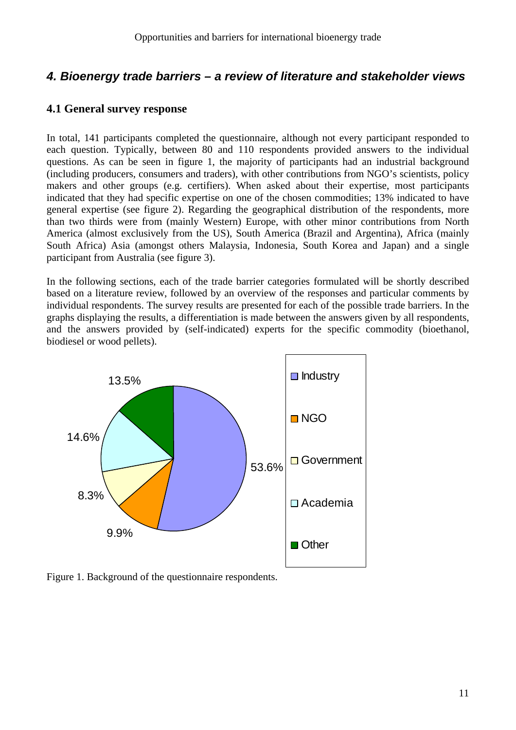## *4. Bioenergy trade barriers – a review of literature and stakeholder views*

#### **4.1 General survey response**

In total, 141 participants completed the questionnaire, although not every participant responded to each question. Typically, between 80 and 110 respondents provided answers to the individual questions. As can be seen in figure 1, the majority of participants had an industrial background (including producers, consumers and traders), with other contributions from NGO's scientists, policy makers and other groups (e.g. certifiers). When asked about their expertise, most participants indicated that they had specific expertise on one of the chosen commodities; 13% indicated to have general expertise (see figure 2). Regarding the geographical distribution of the respondents, more than two thirds were from (mainly Western) Europe, with other minor contributions from North America (almost exclusively from the US), South America (Brazil and Argentina), Africa (mainly South Africa) Asia (amongst others Malaysia, Indonesia, South Korea and Japan) and a single participant from Australia (see figure 3).

In the following sections, each of the trade barrier categories formulated will be shortly described based on a literature review, followed by an overview of the responses and particular comments by individual respondents. The survey results are presented for each of the possible trade barriers. In the graphs displaying the results, a differentiation is made between the answers given by all respondents, and the answers provided by (self-indicated) experts for the specific commodity (bioethanol, biodiesel or wood pellets).



Figure 1. Background of the questionnaire respondents.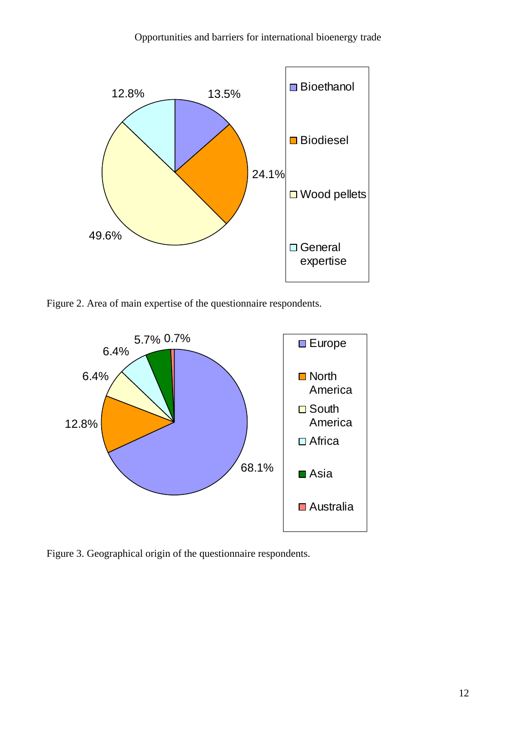

Figure 2. Area of main expertise of the questionnaire respondents.



Figure 3. Geographical origin of the questionnaire respondents.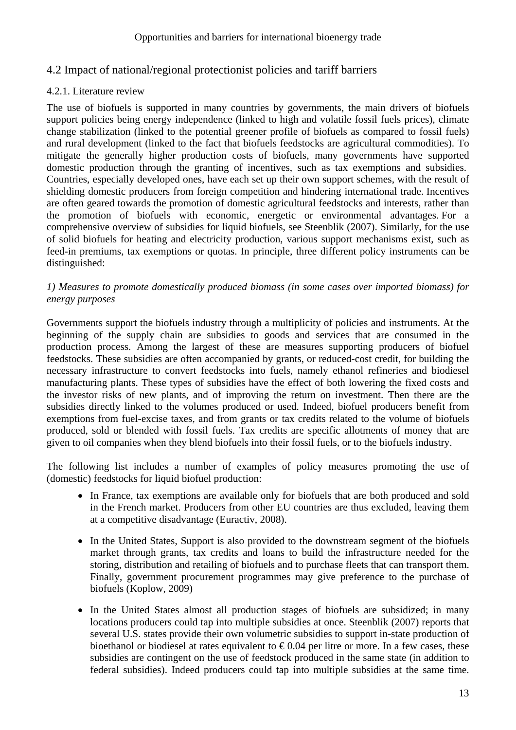### 4.2 Impact of national/regional protectionist policies and tariff barriers

#### 4.2.1. Literature review

The use of biofuels is supported in many countries by governments, the main drivers of biofuels support policies being energy independence (linked to high and volatile fossil fuels prices), climate change stabilization (linked to the potential greener profile of biofuels as compared to fossil fuels) and rural development (linked to the fact that biofuels feedstocks are agricultural commodities). To mitigate the generally higher production costs of biofuels, many governments have supported domestic production through the granting of incentives, such as tax exemptions and subsidies. Countries, especially developed ones, have each set up their own support schemes, with the result of shielding domestic producers from foreign competition and hindering international trade. Incentives are often geared towards the promotion of domestic agricultural feedstocks and interests, rather than the promotion of biofuels with economic, energetic or environmental advantages. For a comprehensive overview of subsidies for liquid biofuels, see Steenblik (2007). Similarly, for the use of solid biofuels for heating and electricity production, various support mechanisms exist, such as feed-in premiums, tax exemptions or quotas. In principle, three different policy instruments can be distinguished:

#### *1) Measures to promote domestically produced biomass (in some cases over imported biomass) for energy purposes*

Governments support the biofuels industry through a multiplicity of policies and instruments. At the beginning of the supply chain are subsidies to goods and services that are consumed in the production process. Among the largest of these are measures supporting producers of biofuel feedstocks. These subsidies are often accompanied by grants, or reduced-cost credit, for building the necessary infrastructure to convert feedstocks into fuels, namely ethanol refineries and biodiesel manufacturing plants. These types of subsidies have the effect of both lowering the fixed costs and the investor risks of new plants, and of improving the return on investment. Then there are the subsidies directly linked to the volumes produced or used. Indeed, biofuel producers benefit from exemptions from fuel-excise taxes, and from grants or tax credits related to the volume of biofuels produced, sold or blended with fossil fuels. Tax credits are specific allotments of money that are given to oil companies when they blend biofuels into their fossil fuels, or to the biofuels industry.

The following list includes a number of examples of policy measures promoting the use of (domestic) feedstocks for liquid biofuel production:

- In France, tax exemptions are available only for biofuels that are both produced and sold in the French market. Producers from other EU countries are thus excluded, leaving them at a competitive disadvantage (Euractiv, 2008).
- In the United States, Support is also provided to the downstream segment of the biofuels market through grants, tax credits and loans to build the infrastructure needed for the storing, distribution and retailing of biofuels and to purchase fleets that can transport them. Finally, government procurement programmes may give preference to the purchase of biofuels (Koplow, 2009)
- In the United States almost all production stages of biofuels are subsidized; in many locations producers could tap into multiple subsidies at once. Steenblik (2007) reports that several U.S. states provide their own volumetric subsidies to support in-state production of bioethanol or biodiesel at rates equivalent to  $\epsilon 0.04$  per litre or more. In a few cases, these subsidies are contingent on the use of feedstock produced in the same state (in addition to federal subsidies). Indeed producers could tap into multiple subsidies at the same time.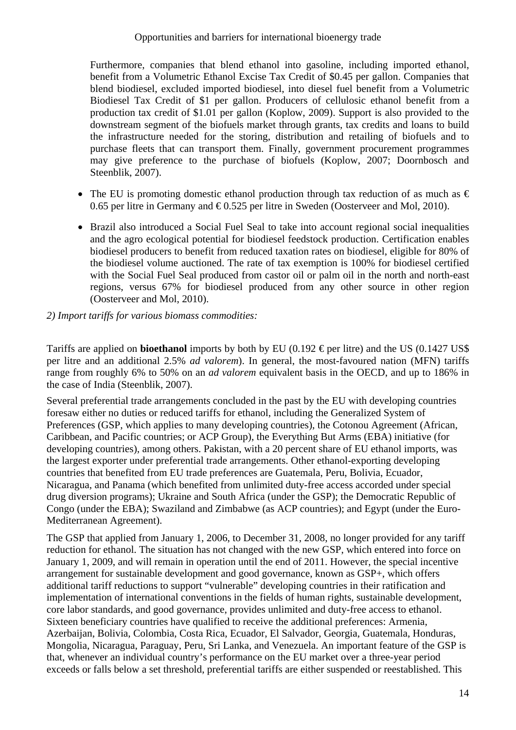Furthermore, companies that blend ethanol into gasoline, including imported ethanol, benefit from a Volumetric Ethanol Excise Tax Credit of \$0.45 per gallon. Companies that blend biodiesel, excluded imported biodiesel, into diesel fuel benefit from a Volumetric Biodiesel Tax Credit of \$1 per gallon. Producers of cellulosic ethanol benefit from a production tax credit of \$1.01 per gallon (Koplow, 2009). Support is also provided to the downstream segment of the biofuels market through grants, tax credits and loans to build the infrastructure needed for the storing, distribution and retailing of biofuels and to purchase fleets that can transport them. Finally, government procurement programmes may give preference to the purchase of biofuels (Koplow, 2007; Doornbosch and Steenblik, 2007).

- The EU is promoting domestic ethanol production through tax reduction of as much as  $\epsilon$ 0.65 per litre in Germany and  $\epsilon$ 0.525 per litre in Sweden (Oosterveer and Mol, 2010).
- Brazil also introduced a Social Fuel Seal to take into account regional social inequalities and the agro ecological potential for biodiesel feedstock production. Certification enables biodiesel producers to benefit from reduced taxation rates on biodiesel, eligible for 80% of the biodiesel volume auctioned. The rate of tax exemption is 100% for biodiesel certified with the Social Fuel Seal produced from castor oil or palm oil in the north and north-east regions, versus 67% for biodiesel produced from any other source in other region (Oosterveer and Mol, 2010).
- *2) Import tariffs for various biomass commodities:*

Tariffs are applied on **bioethanol** imports by both by EU (0.192  $\epsilon$  per litre) and the US (0.1427 US\$ per litre and an additional 2.5% *ad valorem*). In general, the most-favoured nation (MFN) tariffs range from roughly 6% to 50% on an *ad valorem* equivalent basis in the OECD, and up to 186% in the case of India (Steenblik, 2007).

Several preferential trade arrangements concluded in the past by the EU with developing countries foresaw either no duties or reduced tariffs for ethanol, including the Generalized System of Preferences (GSP, which applies to many developing countries), the Cotonou Agreement (African, Caribbean, and Pacific countries; or ACP Group), the Everything But Arms (EBA) initiative (for developing countries), among others. Pakistan, with a 20 percent share of EU ethanol imports, was the largest exporter under preferential trade arrangements. Other ethanol-exporting developing countries that benefited from EU trade preferences are Guatemala, Peru, Bolivia, Ecuador, Nicaragua, and Panama (which benefited from unlimited duty-free access accorded under special drug diversion programs); Ukraine and South Africa (under the GSP); the Democratic Republic of Congo (under the EBA); Swaziland and Zimbabwe (as ACP countries); and Egypt (under the Euro-Mediterranean Agreement).

The GSP that applied from January 1, 2006, to December 31, 2008, no longer provided for any tariff reduction for ethanol. The situation has not changed with the new GSP, which entered into force on January 1, 2009, and will remain in operation until the end of 2011. However, the special incentive arrangement for sustainable development and good governance, known as GSP+, which offers additional tariff reductions to support "vulnerable" developing countries in their ratification and implementation of international conventions in the fields of human rights, sustainable development, core labor standards, and good governance, provides unlimited and duty-free access to ethanol. Sixteen beneficiary countries have qualified to receive the additional preferences: Armenia, Azerbaijan, Bolivia, Colombia, Costa Rica, Ecuador, El Salvador, Georgia, Guatemala, Honduras, Mongolia, Nicaragua, Paraguay, Peru, Sri Lanka, and Venezuela. An important feature of the GSP is that, whenever an individual country's performance on the EU market over a three-year period exceeds or falls below a set threshold, preferential tariffs are either suspended or reestablished. This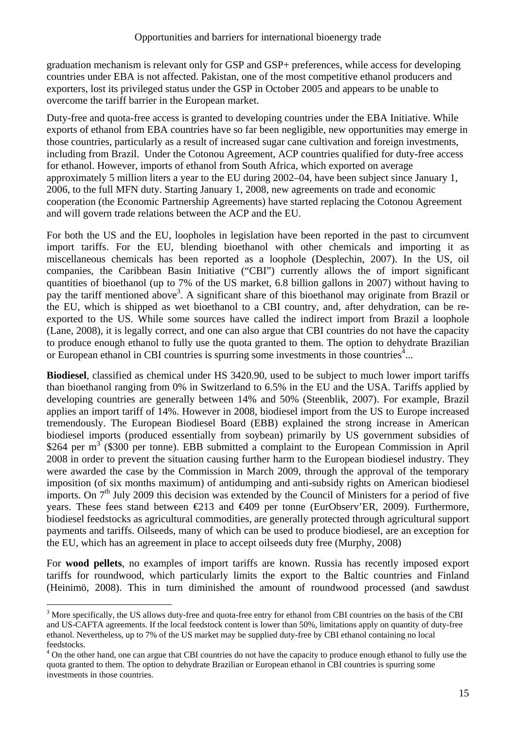graduation mechanism is relevant only for GSP and GSP+ preferences, while access for developing countries under EBA is not affected. Pakistan, one of the most competitive ethanol producers and exporters, lost its privileged status under the GSP in October 2005 and appears to be unable to overcome the tariff barrier in the European market.

Duty-free and quota-free access is granted to developing countries under the EBA Initiative. While exports of ethanol from EBA countries have so far been negligible, new opportunities may emerge in those countries, particularly as a result of increased sugar cane cultivation and foreign investments, including from Brazil. Under the Cotonou Agreement, ACP countries qualified for duty-free access for ethanol. However, imports of ethanol from South Africa, which exported on average approximately 5 million liters a year to the EU during 2002–04, have been subject since January 1, 2006, to the full MFN duty. Starting January 1, 2008, new agreements on trade and economic cooperation (the Economic Partnership Agreements) have started replacing the Cotonou Agreement and will govern trade relations between the ACP and the EU.

For both the US and the EU, loopholes in legislation have been reported in the past to circumvent import tariffs. For the EU, blending bioethanol with other chemicals and importing it as miscellaneous chemicals has been reported as a loophole (Desplechin, 2007). In the US, oil companies, the Caribbean Basin Initiative ("CBI") currently allows the of import significant quantities of bioethanol (up to 7% of the US market, 6.8 billion gallons in 2007) without having to pay the tariff mentioned above<sup>3</sup>. A significant share of this bioethanol may originate from Brazil or the EU, which is shipped as wet bioethanol to a CBI country, and, after dehydration, can be reexported to the US. While some sources have called the indirect import from Brazil a loophole (Lane, 2008), it is legally correct, and one can also argue that CBI countries do not have the capacity to produce enough ethanol to fully use the quota granted to them. The option to dehydrate Brazilian or European ethanol in CBI countries is spurring some investments in those countries<sup>4</sup>...

**Biodiesel**, classified as chemical under HS 3420.90, used to be subject to much lower import tariffs than bioethanol ranging from 0% in Switzerland to 6.5% in the EU and the USA. Tariffs applied by developing countries are generally between 14% and 50% (Steenblik, 2007). For example, Brazil applies an import tariff of 14%. However in 2008, biodiesel import from the US to Europe increased tremendously. The European Biodiesel Board (EBB) explained the strong increase in American biodiesel imports (produced essentially from soybean) primarily by US government subsidies of \$264 per  $m^3$  (\$300 per tonne). EBB submitted a complaint to the European Commission in April 2008 in order to prevent the situation causing further harm to the European biodiesel industry. They were awarded the case by the Commission in March 2009, through the approval of the temporary imposition (of six months maximum) of antidumping and anti-subsidy rights on American biodiesel imports. On  $7<sup>th</sup>$  July 2009 this decision was extended by the Council of Ministers for a period of five years. These fees stand between €213 and €409 per tonne (EurObserv'ER, 2009). Furthermore, biodiesel feedstocks as agricultural commodities, are generally protected through agricultural support payments and tariffs. Oilseeds, many of which can be used to produce biodiesel, are an exception for the EU, which has an agreement in place to accept oilseeds duty free (Murphy, 2008)

For **wood pellets**, no examples of import tariffs are known. Russia has recently imposed export tariffs for roundwood, which particularly limits the export to the Baltic countries and Finland (Heinimö, 2008). This in turn diminished the amount of roundwood processed (and sawdust

 $\overline{a}$ 

<sup>&</sup>lt;sup>3</sup> More specifically, the US allows duty-free and quota-free entry for ethanol from CBI countries on the basis of the CBI and US-CAFTA agreements. If the local feedstock content is lower than 50%, limitations apply on quantity of duty-free ethanol. Nevertheless, up to 7% of the US market may be supplied duty-free by CBI ethanol containing no local feedstocks.

<sup>&</sup>lt;sup>4</sup> On the other hand, one can argue that CBI countries do not have the capacity to produce enough ethanol to fully use the quota granted to them. The option to dehydrate Brazilian or European ethanol in CBI countries is spurring some investments in those countries.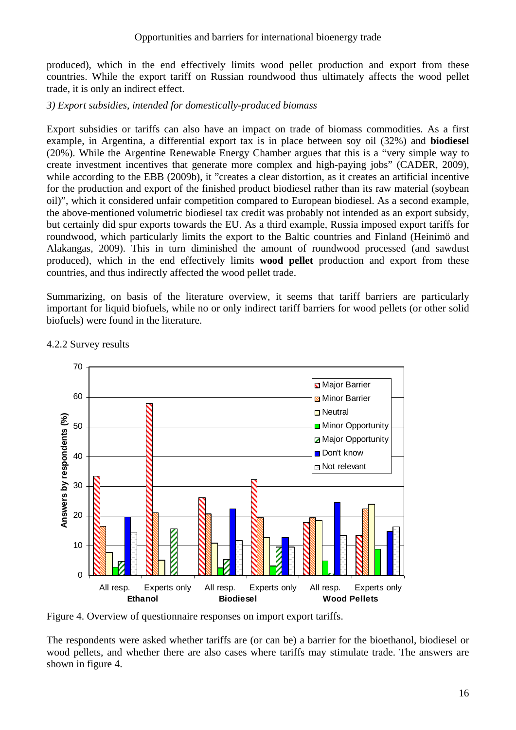#### Opportunities and barriers for international bioenergy trade

produced), which in the end effectively limits wood pellet production and export from these countries. While the export tariff on Russian roundwood thus ultimately affects the wood pellet trade, it is only an indirect effect.

#### *3) Export subsidies, intended for domestically-produced biomass*

Export subsidies or tariffs can also have an impact on trade of biomass commodities. As a first example, in Argentina, a differential export tax is in place between soy oil (32%) and **biodiesel**  (20%). While the Argentine Renewable Energy Chamber argues that this is a "very simple way to create investment incentives that generate more complex and high-paying jobs" (CADER, 2009), while according to the EBB (2009b), it "creates a clear distortion, as it creates an artificial incentive for the production and export of the finished product biodiesel rather than its raw material (soybean oil)", which it considered unfair competition compared to European biodiesel. As a second example, the above-mentioned volumetric biodiesel tax credit was probably not intended as an export subsidy, but certainly did spur exports towards the EU. As a third example, Russia imposed export tariffs for roundwood, which particularly limits the export to the Baltic countries and Finland (Heinimö and Alakangas, 2009). This in turn diminished the amount of roundwood processed (and sawdust produced), which in the end effectively limits **wood pellet** production and export from these countries, and thus indirectly affected the wood pellet trade.

Summarizing, on basis of the literature overview, it seems that tariff barriers are particularly important for liquid biofuels, while no or only indirect tariff barriers for wood pellets (or other solid biofuels) were found in the literature.



4.2.2 Survey results

Figure 4. Overview of questionnaire responses on import export tariffs.

The respondents were asked whether tariffs are (or can be) a barrier for the bioethanol, biodiesel or wood pellets, and whether there are also cases where tariffs may stimulate trade. The answers are shown in figure 4.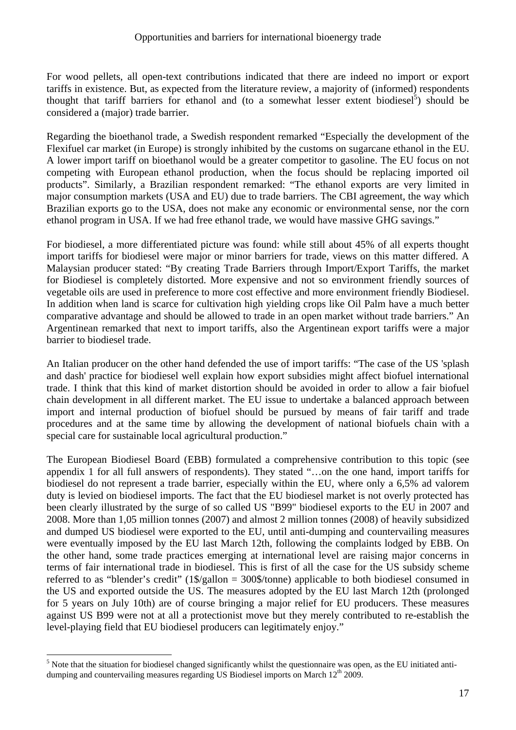#### Opportunities and barriers for international bioenergy trade

For wood pellets, all open-text contributions indicated that there are indeed no import or export tariffs in existence. But, as expected from the literature review, a majority of (informed) respondents thought that tariff barriers for ethanol and (to a somewhat lesser extent biodiesel<sup>5</sup>) should be considered a (major) trade barrier.

Regarding the bioethanol trade, a Swedish respondent remarked "Especially the development of the Flexifuel car market (in Europe) is strongly inhibited by the customs on sugarcane ethanol in the EU. A lower import tariff on bioethanol would be a greater competitor to gasoline. The EU focus on not competing with European ethanol production, when the focus should be replacing imported oil products". Similarly, a Brazilian respondent remarked: "The ethanol exports are very limited in major consumption markets (USA and EU) due to trade barriers. The CBI agreement, the way which Brazilian exports go to the USA, does not make any economic or environmental sense, nor the corn ethanol program in USA. If we had free ethanol trade, we would have massive GHG savings."

For biodiesel, a more differentiated picture was found: while still about 45% of all experts thought import tariffs for biodiesel were major or minor barriers for trade, views on this matter differed. A Malaysian producer stated: "By creating Trade Barriers through Import/Export Tariffs, the market for Biodiesel is completely distorted. More expensive and not so environment friendly sources of vegetable oils are used in preference to more cost effective and more environment friendly Biodiesel. In addition when land is scarce for cultivation high yielding crops like Oil Palm have a much better comparative advantage and should be allowed to trade in an open market without trade barriers." An Argentinean remarked that next to import tariffs, also the Argentinean export tariffs were a major barrier to biodiesel trade.

An Italian producer on the other hand defended the use of import tariffs: "The case of the US 'splash and dash' practice for biodiesel well explain how export subsidies might affect biofuel international trade. I think that this kind of market distortion should be avoided in order to allow a fair biofuel chain development in all different market. The EU issue to undertake a balanced approach between import and internal production of biofuel should be pursued by means of fair tariff and trade procedures and at the same time by allowing the development of national biofuels chain with a special care for sustainable local agricultural production."

The European Biodiesel Board (EBB) formulated a comprehensive contribution to this topic (see appendix 1 for all full answers of respondents). They stated "…on the one hand, import tariffs for biodiesel do not represent a trade barrier, especially within the EU, where only a 6,5% ad valorem duty is levied on biodiesel imports. The fact that the EU biodiesel market is not overly protected has been clearly illustrated by the surge of so called US "B99" biodiesel exports to the EU in 2007 and 2008. More than 1,05 million tonnes (2007) and almost 2 million tonnes (2008) of heavily subsidized and dumped US biodiesel were exported to the EU, until anti-dumping and countervailing measures were eventually imposed by the EU last March 12th, following the complaints lodged by EBB. On the other hand, some trade practices emerging at international level are raising major concerns in terms of fair international trade in biodiesel. This is first of all the case for the US subsidy scheme referred to as "blender's credit" (1\$/gallon = 300\$/tonne) applicable to both biodiesel consumed in the US and exported outside the US. The measures adopted by the EU last March 12th (prolonged for 5 years on July 10th) are of course bringing a major relief for EU producers. These measures against US B99 were not at all a protectionist move but they merely contributed to re-establish the level-playing field that EU biodiesel producers can legitimately enjoy."

 $\overline{a}$ 

 $<sup>5</sup>$  Note that the situation for biodiesel changed significantly whilst the questionnaire was open, as the EU initiated anti-</sup> dumping and countervailing measures regarding US Biodiesel imports on March 12<sup>th</sup> 2009.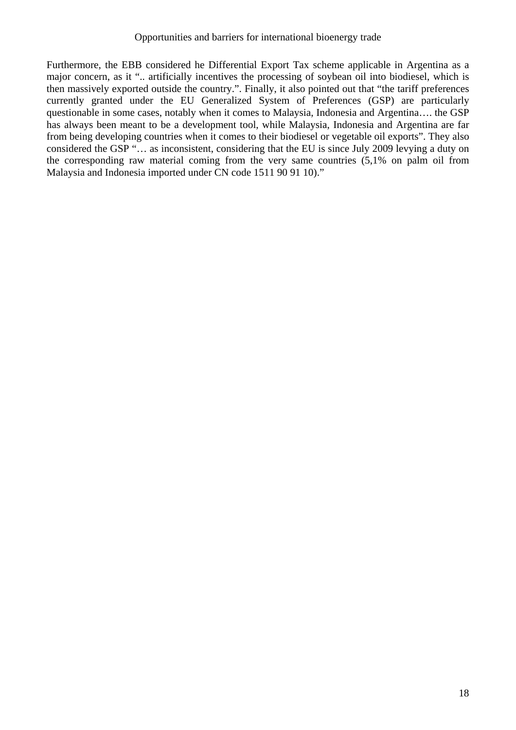Furthermore, the EBB considered he Differential Export Tax scheme applicable in Argentina as a major concern, as it ".. artificially incentives the processing of soybean oil into biodiesel, which is then massively exported outside the country.". Finally, it also pointed out that "the tariff preferences currently granted under the EU Generalized System of Preferences (GSP) are particularly questionable in some cases, notably when it comes to Malaysia, Indonesia and Argentina…. the GSP has always been meant to be a development tool, while Malaysia, Indonesia and Argentina are far from being developing countries when it comes to their biodiesel or vegetable oil exports". They also considered the GSP "… as inconsistent, considering that the EU is since July 2009 levying a duty on the corresponding raw material coming from the very same countries (5,1% on palm oil from Malaysia and Indonesia imported under CN code 1511 90 91 10)."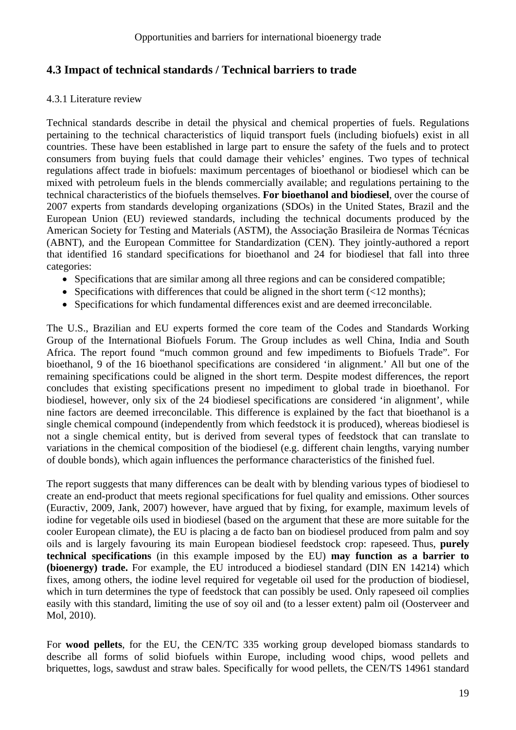## **4.3 Impact of technical standards / Technical barriers to trade**

#### 4.3.1 Literature review

Technical standards describe in detail the physical and chemical properties of fuels. Regulations pertaining to the technical characteristics of liquid transport fuels (including biofuels) exist in all countries. These have been established in large part to ensure the safety of the fuels and to protect consumers from buying fuels that could damage their vehicles' engines. Two types of technical regulations affect trade in biofuels: maximum percentages of bioethanol or biodiesel which can be mixed with petroleum fuels in the blends commercially available; and regulations pertaining to the technical characteristics of the biofuels themselves. **For bioethanol and biodiesel**, over the course of 2007 experts from standards developing organizations (SDOs) in the United States, Brazil and the European Union (EU) reviewed standards, including the technical documents produced by the American Society for Testing and Materials (ASTM), the Associação Brasileira de Normas Técnicas (ABNT), and the European Committee for Standardization (CEN). They jointly-authored a report that identified 16 standard specifications for bioethanol and 24 for biodiesel that fall into three categories:

- Specifications that are similar among all three regions and can be considered compatible;
- Specifications with differences that could be aligned in the short term  $\left($  <12 months):
- Specifications for which fundamental differences exist and are deemed irreconcilable.

The U.S., Brazilian and EU experts formed the core team of the Codes and Standards Working Group of the International Biofuels Forum. The Group includes as well China, India and South Africa. The report found "much common ground and few impediments to Biofuels Trade". For bioethanol, 9 of the 16 bioethanol specifications are considered 'in alignment.' All but one of the remaining specifications could be aligned in the short term. Despite modest differences, the report concludes that existing specifications present no impediment to global trade in bioethanol. For biodiesel, however, only six of the 24 biodiesel specifications are considered 'in alignment', while nine factors are deemed irreconcilable. This difference is explained by the fact that bioethanol is a single chemical compound (independently from which feedstock it is produced), whereas biodiesel is not a single chemical entity, but is derived from several types of feedstock that can translate to variations in the chemical composition of the biodiesel (e.g. different chain lengths, varying number of double bonds), which again influences the performance characteristics of the finished fuel.

The report suggests that many differences can be dealt with by blending various types of biodiesel to create an end-product that meets regional specifications for fuel quality and emissions. Other sources (Euractiv, 2009, Jank, 2007) however, have argued that by fixing, for example, maximum levels of iodine for vegetable oils used in biodiesel (based on the argument that these are more suitable for the cooler European climate), the EU is placing a de facto ban on biodiesel produced from palm and soy oils and is largely favouring its main European biodiesel feedstock crop: rapeseed. Thus, **purely technical specifications** (in this example imposed by the EU) **may function as a barrier to (bioenergy) trade.** For example, the EU introduced a biodiesel standard (DIN EN 14214) which fixes, among others, the iodine level required for vegetable oil used for the production of biodiesel, which in turn determines the type of feedstock that can possibly be used. Only rapeseed oil complies easily with this standard, limiting the use of soy oil and (to a lesser extent) palm oil (Oosterveer and Mol, 2010).

For **wood pellets**, for the EU, the CEN/TC 335 working group developed biomass standards to describe all forms of solid biofuels within Europe, including wood chips, wood pellets and briquettes, logs, sawdust and straw bales. Specifically for wood pellets, the CEN/TS 14961 standard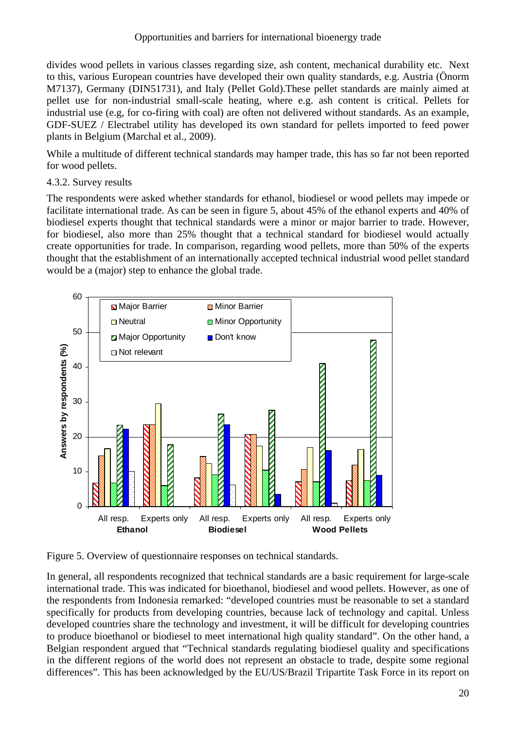divides wood pellets in various classes regarding size, ash content, mechanical durability etc. Next to this, various European countries have developed their own quality standards, e.g. Austria (Önorm M7137), Germany (DIN51731), and Italy (Pellet Gold).These pellet standards are mainly aimed at pellet use for non-industrial small-scale heating, where e.g. ash content is critical. Pellets for industrial use (e.g, for co-firing with coal) are often not delivered without standards. As an example, GDF-SUEZ / Electrabel utility has developed its own standard for pellets imported to feed power plants in Belgium (Marchal et al., 2009).

While a multitude of different technical standards may hamper trade, this has so far not been reported for wood pellets.

#### 4.3.2. Survey results

The respondents were asked whether standards for ethanol, biodiesel or wood pellets may impede or facilitate international trade. As can be seen in figure 5, about 45% of the ethanol experts and 40% of biodiesel experts thought that technical standards were a minor or major barrier to trade. However, for biodiesel, also more than 25% thought that a technical standard for biodiesel would actually create opportunities for trade. In comparison, regarding wood pellets, more than 50% of the experts thought that the establishment of an internationally accepted technical industrial wood pellet standard would be a (major) step to enhance the global trade.



Figure 5. Overview of questionnaire responses on technical standards.

In general, all respondents recognized that technical standards are a basic requirement for large-scale international trade. This was indicated for bioethanol, biodiesel and wood pellets. However, as one of the respondents from Indonesia remarked: "developed countries must be reasonable to set a standard specifically for products from developing countries, because lack of technology and capital. Unless developed countries share the technology and investment, it will be difficult for developing countries to produce bioethanol or biodiesel to meet international high quality standard". On the other hand, a Belgian respondent argued that "Technical standards regulating biodiesel quality and specifications in the different regions of the world does not represent an obstacle to trade, despite some regional differences". This has been acknowledged by the EU/US/Brazil Tripartite Task Force in its report on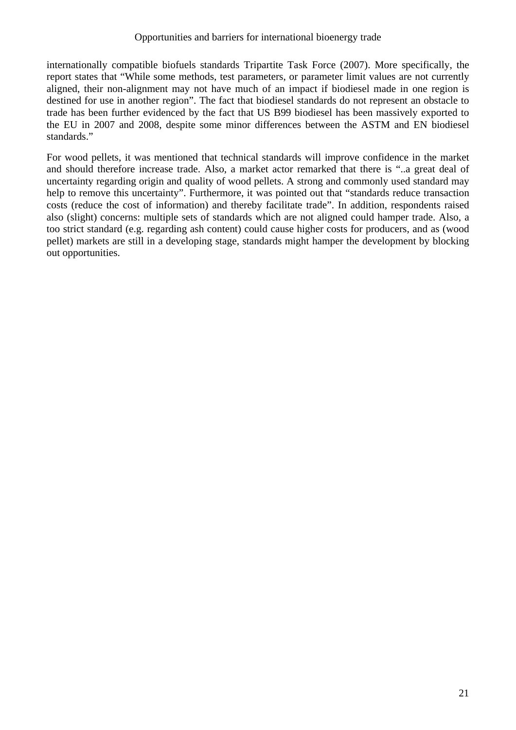internationally compatible biofuels standards Tripartite Task Force (2007). More specifically, the report states that "While some methods, test parameters, or parameter limit values are not currently aligned, their non-alignment may not have much of an impact if biodiesel made in one region is destined for use in another region". The fact that biodiesel standards do not represent an obstacle to trade has been further evidenced by the fact that US B99 biodiesel has been massively exported to the EU in 2007 and 2008, despite some minor differences between the ASTM and EN biodiesel standards."

For wood pellets, it was mentioned that technical standards will improve confidence in the market and should therefore increase trade. Also, a market actor remarked that there is "..a great deal of uncertainty regarding origin and quality of wood pellets. A strong and commonly used standard may help to remove this uncertainty". Furthermore, it was pointed out that "standards reduce transaction costs (reduce the cost of information) and thereby facilitate trade". In addition, respondents raised also (slight) concerns: multiple sets of standards which are not aligned could hamper trade. Also, a too strict standard (e.g. regarding ash content) could cause higher costs for producers, and as (wood pellet) markets are still in a developing stage, standards might hamper the development by blocking out opportunities.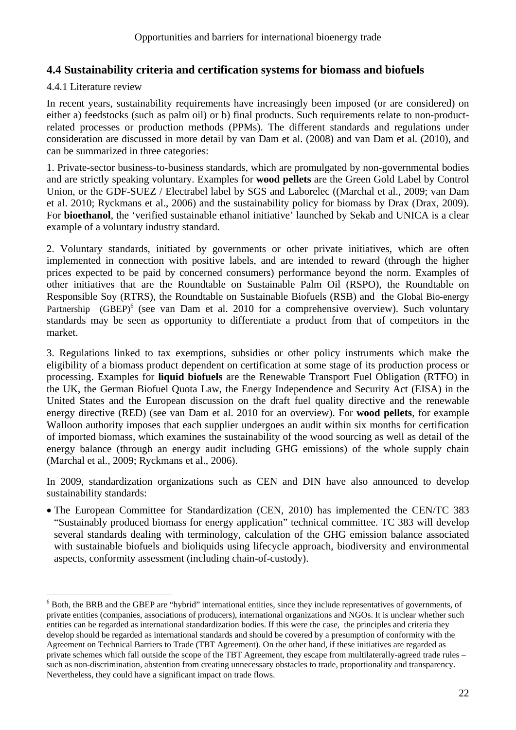### **4.4 Sustainability criteria and certification systems for biomass and biofuels**

#### 4.4.1 Literature review

 $\overline{a}$ 

In recent years, sustainability requirements have increasingly been imposed (or are considered) on either a) feedstocks (such as palm oil) or b) final products. Such requirements relate to non-productrelated processes or production methods (PPMs). The different standards and regulations under consideration are discussed in more detail by van Dam et al. (2008) and van Dam et al. (2010), and can be summarized in three categories:

1. Private-sector business-to-business standards, which are promulgated by non-governmental bodies and are strictly speaking voluntary. Examples for **wood pellets** are the Green Gold Label by Control Union, or the GDF-SUEZ / Electrabel label by SGS and Laborelec ((Marchal et al., 2009; van Dam et al. 2010; Ryckmans et al., 2006) and the sustainability policy for biomass by Drax (Drax, 2009). For **bioethanol**, the 'verified sustainable ethanol initiative' launched by Sekab and UNICA is a clear example of a voluntary industry standard.

2. Voluntary standards, initiated by governments or other private initiatives, which are often implemented in connection with positive labels, and are intended to reward (through the higher prices expected to be paid by concerned consumers) performance beyond the norm. Examples of other initiatives that are the Roundtable on Sustainable Palm Oil (RSPO), the Roundtable on Responsible Soy (RTRS), the Roundtable on Sustainable Biofuels (RSB) and the Global Bio-energy Partnership (GBEP)<sup>6</sup> (see van Dam et al. 2010 for a comprehensive overview). Such voluntary standards may be seen as opportunity to differentiate a product from that of competitors in the market.

3. Regulations linked to tax exemptions, subsidies or other policy instruments which make the eligibility of a biomass product dependent on certification at some stage of its production process or processing. Examples for **liquid biofuels** are the Renewable Transport Fuel Obligation (RTFO) in the UK, the German Biofuel Quota Law, the Energy Independence and Security Act (EISA) in the United States and the European discussion on the draft fuel quality directive and the renewable energy directive (RED) (see van Dam et al. 2010 for an overview). For **wood pellets**, for example Walloon authority imposes that each supplier undergoes an audit within six months for certification of imported biomass, which examines the sustainability of the wood sourcing as well as detail of the energy balance (through an energy audit including GHG emissions) of the whole supply chain (Marchal et al., 2009; Ryckmans et al., 2006).

In 2009, standardization organizations such as CEN and DIN have also announced to develop sustainability standards:

• The European Committee for Standardization (CEN, 2010) has implemented the CEN/TC 383 "Sustainably produced biomass for energy application" technical committee. TC 383 will develop several standards dealing with terminology, calculation of the GHG emission balance associated with sustainable biofuels and bioliquids using lifecycle approach, biodiversity and environmental aspects, conformity assessment (including chain-of-custody).

<sup>&</sup>lt;sup>6</sup> Both, the BRB and the GBEP are "hybrid" international entities, since they include representatives of governments, of private entities (companies, associations of producers), international organizations and NGOs. It is unclear whether such entities can be regarded as international standardization bodies. If this were the case, the principles and criteria they develop should be regarded as international standards and should be covered by a presumption of conformity with the Agreement on Technical Barriers to Trade (TBT Agreement). On the other hand, if these initiatives are regarded as private schemes which fall outside the scope of the TBT Agreement, they escape from multilaterally-agreed trade rules – such as non-discrimination, abstention from creating unnecessary obstacles to trade, proportionality and transparency. Nevertheless, they could have a significant impact on trade flows.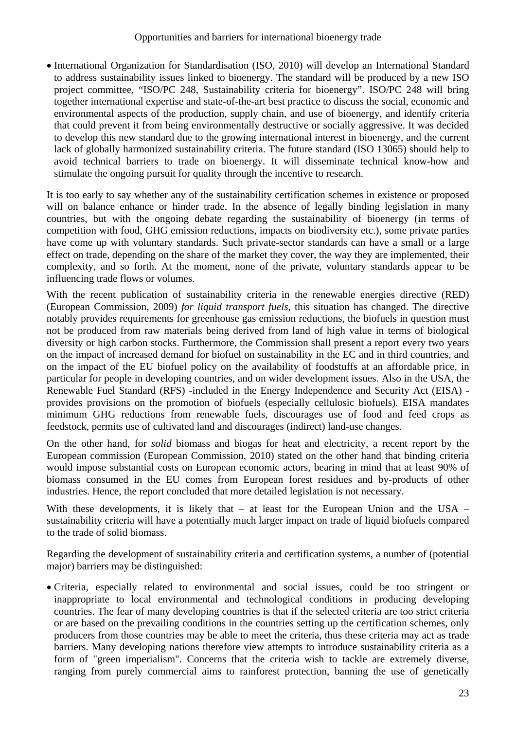International Organization for Standardisation (ISO, 2010) will develop an International Standard to address sustainability issues linked to bioenergy. The standard will be produced by a new ISO project committee, "ISO/PC 248, Sustainability criteria for bioenergy". ISO/PC 248 will bring together international expertise and state-of-the-art best practice to discuss the social, economic and environmental aspects of the production, supply chain, and use of bioenergy, and identify criteria that could prevent it from being environmentally destructive or socially aggressive. It was decided to develop this new standard due to the growing international interest in bioenergy, and the current lack of globally harmonized sustainability criteria. The future standard (ISO 13065) should help to avoid technical barriers to trade on bioenergy. It will disseminate technical know-how and stimulate the ongoing pursuit for quality through the incentive to research.

It is too early to say whether any of the sustainability certification schemes in existence or proposed will on balance enhance or hinder trade. In the absence of legally binding legislation in many countries, but with the ongoing debate regarding the sustainability of bioenergy (in terms of competition with food, GHG emission reductions, impacts on biodiversity etc.), some private parties have come up with voluntary standards. Such private-sector standards can have a small or a large effect on trade, depending on the share of the market they cover, the way they are implemented, their complexity, and so forth. At the moment, none of the private, voluntary standards appear to be influencing trade flows or volumes.

With the recent publication of sustainability criteria in the renewable energies directive (RED) (European Commission, 2009) *for liquid transport fuels*, this situation has changed. The directive notably provides requirements for greenhouse gas emission reductions, the biofuels in question must not be produced from raw materials being derived from land of high value in terms of biological diversity or high carbon stocks. Furthermore, the Commission shall present a report every two years on the impact of increased demand for biofuel on sustainability in the EC and in third countries, and on the impact of the EU biofuel policy on the availability of foodstuffs at an affordable price, in particular for people in developing countries, and on wider development issues. Also in the USA, the Renewable Fuel Standard (RFS) -included in the Energy Independence and Security Act (EISA) provides provisions on the promotion of biofuels (especially cellulosic biofuels). EISA mandates minimum GHG reductions from renewable fuels, discourages use of food and feed crops as feedstock, permits use of cultivated land and discourages (indirect) land-use changes.

On the other hand, for *solid* biomass and biogas for heat and electricity, a recent report by the European commission (European Commission, 2010) stated on the other hand that binding criteria would impose substantial costs on European economic actors, bearing in mind that at least 90% of biomass consumed in the EU comes from European forest residues and by-products of other industries. Hence, the report concluded that more detailed legislation is not necessary.

With these developments, it is likely that – at least for the European Union and the USA – sustainability criteria will have a potentially much larger impact on trade of liquid biofuels compared to the trade of solid biomass.

Regarding the development of sustainability criteria and certification systems, a number of (potential major) barriers may be distinguished:

 Criteria, especially related to environmental and social issues, could be too stringent or inappropriate to local environmental and technological conditions in producing developing countries. The fear of many developing countries is that if the selected criteria are too strict criteria or are based on the prevailing conditions in the countries setting up the certification schemes, only producers from those countries may be able to meet the criteria, thus these criteria may act as trade barriers. Many developing nations therefore view attempts to introduce sustainability criteria as a form of "green imperialism". Concerns that the criteria wish to tackle are extremely diverse, ranging from purely commercial aims to rainforest protection, banning the use of genetically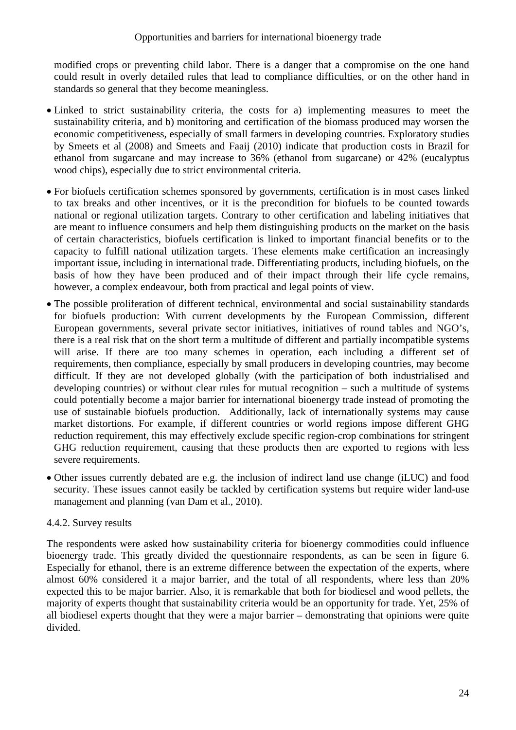modified crops or preventing child labor. There is a danger that a compromise on the one hand could result in overly detailed rules that lead to compliance difficulties, or on the other hand in standards so general that they become meaningless.

- Linked to strict sustainability criteria, the costs for a) implementing measures to meet the sustainability criteria, and b) monitoring and certification of the biomass produced may worsen the economic competitiveness, especially of small farmers in developing countries. Exploratory studies by Smeets et al (2008) and Smeets and Faaij (2010) indicate that production costs in Brazil for ethanol from sugarcane and may increase to 36% (ethanol from sugarcane) or 42% (eucalyptus wood chips), especially due to strict environmental criteria.
- For biofuels certification schemes sponsored by governments, certification is in most cases linked to tax breaks and other incentives, or it is the precondition for biofuels to be counted towards national or regional utilization targets. Contrary to other certification and labeling initiatives that are meant to influence consumers and help them distinguishing products on the market on the basis of certain characteristics, biofuels certification is linked to important financial benefits or to the capacity to fulfill national utilization targets. These elements make certification an increasingly important issue, including in international trade. Differentiating products, including biofuels, on the basis of how they have been produced and of their impact through their life cycle remains, however, a complex endeavour, both from practical and legal points of view.
- The possible proliferation of different technical, environmental and social sustainability standards for biofuels production: With current developments by the European Commission, different European governments, several private sector initiatives, initiatives of round tables and NGO's, there is a real risk that on the short term a multitude of different and partially incompatible systems will arise. If there are too many schemes in operation, each including a different set of requirements, then compliance, especially by small producers in developing countries, may become difficult. If they are not developed globally (with the participation of both industrialised and developing countries) or without clear rules for mutual recognition – such a multitude of systems could potentially become a major barrier for international bioenergy trade instead of promoting the use of sustainable biofuels production. Additionally, lack of internationally systems may cause market distortions. For example, if different countries or world regions impose different GHG reduction requirement, this may effectively exclude specific region-crop combinations for stringent GHG reduction requirement, causing that these products then are exported to regions with less severe requirements.
- Other issues currently debated are e.g. the inclusion of indirect land use change (iLUC) and food security. These issues cannot easily be tackled by certification systems but require wider land-use management and planning (van Dam et al., 2010).

#### 4.4.2. Survey results

The respondents were asked how sustainability criteria for bioenergy commodities could influence bioenergy trade. This greatly divided the questionnaire respondents, as can be seen in figure 6. Especially for ethanol, there is an extreme difference between the expectation of the experts, where almost 60% considered it a major barrier, and the total of all respondents, where less than 20% expected this to be major barrier. Also, it is remarkable that both for biodiesel and wood pellets, the majority of experts thought that sustainability criteria would be an opportunity for trade. Yet, 25% of all biodiesel experts thought that they were a major barrier – demonstrating that opinions were quite divided.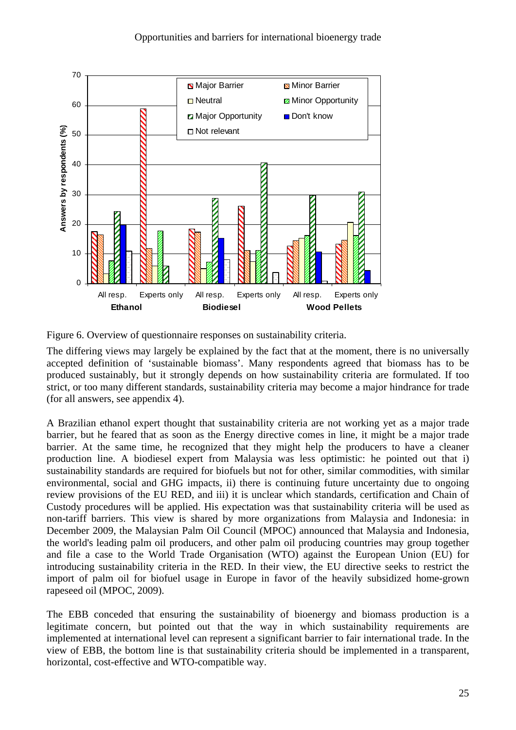

Figure 6. Overview of questionnaire responses on sustainability criteria.

The differing views may largely be explained by the fact that at the moment, there is no universally accepted definition of 'sustainable biomass'. Many respondents agreed that biomass has to be produced sustainably, but it strongly depends on how sustainability criteria are formulated. If too strict, or too many different standards, sustainability criteria may become a major hindrance for trade (for all answers, see appendix 4).

A Brazilian ethanol expert thought that sustainability criteria are not working yet as a major trade barrier, but he feared that as soon as the Energy directive comes in line, it might be a major trade barrier. At the same time, he recognized that they might help the producers to have a cleaner production line. A biodiesel expert from Malaysia was less optimistic: he pointed out that i) sustainability standards are required for biofuels but not for other, similar commodities, with similar environmental, social and GHG impacts, ii) there is continuing future uncertainty due to ongoing review provisions of the EU RED, and iii) it is unclear which standards, certification and Chain of Custody procedures will be applied. His expectation was that sustainability criteria will be used as non-tariff barriers. This view is shared by more organizations from Malaysia and Indonesia: in December 2009, the Malaysian Palm Oil Council (MPOC) announced that Malaysia and Indonesia, the world's leading palm oil producers, and other palm oil producing countries may group together and file a case to the World Trade Organisation (WTO) against the European Union (EU) for introducing sustainability criteria in the RED. In their view, the EU directive seeks to restrict the import of palm oil for biofuel usage in Europe in favor of the heavily subsidized home-grown rapeseed oil (MPOC, 2009).

The EBB conceded that ensuring the sustainability of bioenergy and biomass production is a legitimate concern, but pointed out that the way in which sustainability requirements are implemented at international level can represent a significant barrier to fair international trade. In the view of EBB, the bottom line is that sustainability criteria should be implemented in a transparent, horizontal, cost-effective and WTO-compatible way.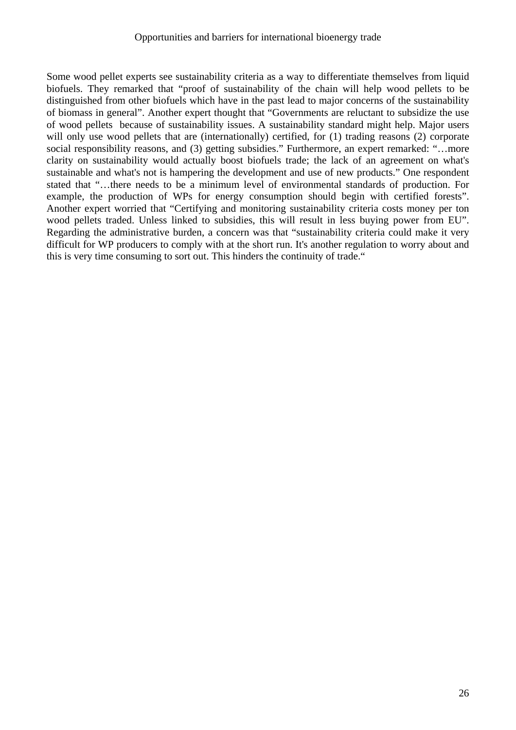Some wood pellet experts see sustainability criteria as a way to differentiate themselves from liquid biofuels. They remarked that "proof of sustainability of the chain will help wood pellets to be distinguished from other biofuels which have in the past lead to major concerns of the sustainability of biomass in general". Another expert thought that "Governments are reluctant to subsidize the use of wood pellets because of sustainability issues. A sustainability standard might help. Major users will only use wood pellets that are (internationally) certified, for (1) trading reasons (2) corporate social responsibility reasons, and (3) getting subsidies." Furthermore, an expert remarked: "…more clarity on sustainability would actually boost biofuels trade; the lack of an agreement on what's sustainable and what's not is hampering the development and use of new products." One respondent stated that "…there needs to be a minimum level of environmental standards of production. For example, the production of WPs for energy consumption should begin with certified forests". Another expert worried that "Certifying and monitoring sustainability criteria costs money per ton wood pellets traded. Unless linked to subsidies, this will result in less buying power from EU". Regarding the administrative burden, a concern was that "sustainability criteria could make it very difficult for WP producers to comply with at the short run. It's another regulation to worry about and this is very time consuming to sort out. This hinders the continuity of trade."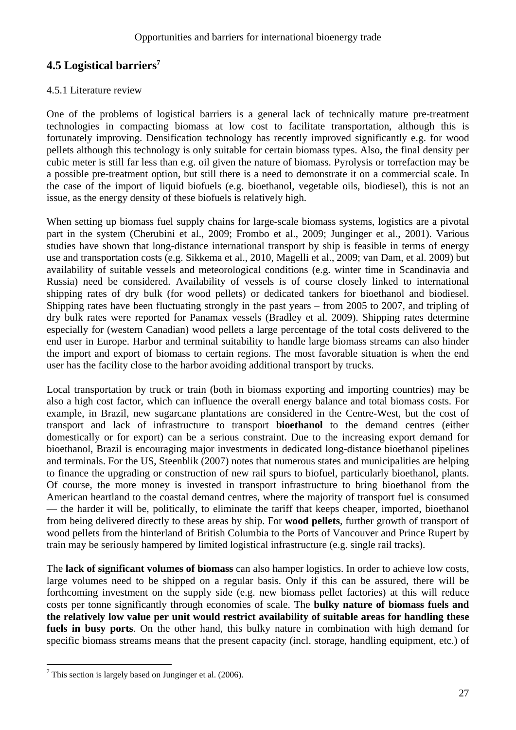## **4.5 Logistical barriers7**

#### 4.5.1 Literature review

One of the problems of logistical barriers is a general lack of technically mature pre-treatment technologies in compacting biomass at low cost to facilitate transportation, although this is fortunately improving. Densification technology has recently improved significantly e.g. for wood pellets although this technology is only suitable for certain biomass types. Also, the final density per cubic meter is still far less than e.g. oil given the nature of biomass. Pyrolysis or torrefaction may be a possible pre-treatment option, but still there is a need to demonstrate it on a commercial scale. In the case of the import of liquid biofuels (e.g. bioethanol, vegetable oils, biodiesel), this is not an issue, as the energy density of these biofuels is relatively high.

When setting up biomass fuel supply chains for large-scale biomass systems, logistics are a pivotal part in the system (Cherubini et al., 2009; Frombo et al., 2009; Junginger et al., 2001). Various studies have shown that long-distance international transport by ship is feasible in terms of energy use and transportation costs (e.g. Sikkema et al., 2010, Magelli et al., 2009; van Dam, et al. 2009) but availability of suitable vessels and meteorological conditions (e.g. winter time in Scandinavia and Russia) need be considered. Availability of vessels is of course closely linked to international shipping rates of dry bulk (for wood pellets) or dedicated tankers for bioethanol and biodiesel. Shipping rates have been fluctuating strongly in the past years – from 2005 to 2007, and tripling of dry bulk rates were reported for Panamax vessels (Bradley et al. 2009). Shipping rates determine especially for (western Canadian) wood pellets a large percentage of the total costs delivered to the end user in Europe. Harbor and terminal suitability to handle large biomass streams can also hinder the import and export of biomass to certain regions. The most favorable situation is when the end user has the facility close to the harbor avoiding additional transport by trucks.

Local transportation by truck or train (both in biomass exporting and importing countries) may be also a high cost factor, which can influence the overall energy balance and total biomass costs. For example, in Brazil, new sugarcane plantations are considered in the Centre-West, but the cost of transport and lack of infrastructure to transport **bioethanol** to the demand centres (either domestically or for export) can be a serious constraint. Due to the increasing export demand for bioethanol, Brazil is encouraging major investments in dedicated long-distance bioethanol pipelines and terminals. For the US, Steenblik (2007) notes that numerous states and municipalities are helping to finance the upgrading or construction of new rail spurs to biofuel, particularly bioethanol, plants. Of course, the more money is invested in transport infrastructure to bring bioethanol from the American heartland to the coastal demand centres, where the majority of transport fuel is consumed — the harder it will be, politically, to eliminate the tariff that keeps cheaper, imported, bioethanol from being delivered directly to these areas by ship. For **wood pellets**, further growth of transport of wood pellets from the hinterland of British Columbia to the Ports of Vancouver and Prince Rupert by train may be seriously hampered by limited logistical infrastructure (e.g. single rail tracks).

The **lack of significant volumes of biomass** can also hamper logistics. In order to achieve low costs, large volumes need to be shipped on a regular basis. Only if this can be assured, there will be forthcoming investment on the supply side (e.g. new biomass pellet factories) at this will reduce costs per tonne significantly through economies of scale. The **bulky nature of biomass fuels and the relatively low value per unit would restrict availability of suitable areas for handling these fuels in busy ports**. On the other hand, this bulky nature in combination with high demand for specific biomass streams means that the present capacity (incl. storage, handling equipment, etc.) of

 $\overline{a}$  $7$  This section is largely based on Junginger et al. (2006).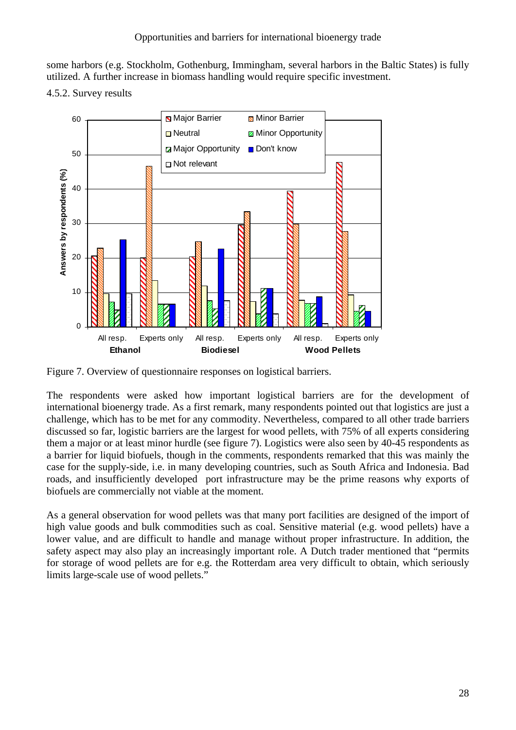some harbors (e.g. Stockholm, Gothenburg, Immingham, several harbors in the Baltic States) is fully utilized. A further increase in biomass handling would require specific investment.

#### 4.5.2. Survey results



Figure 7. Overview of questionnaire responses on logistical barriers.

The respondents were asked how important logistical barriers are for the development of international bioenergy trade. As a first remark, many respondents pointed out that logistics are just a challenge, which has to be met for any commodity. Nevertheless, compared to all other trade barriers discussed so far, logistic barriers are the largest for wood pellets, with 75% of all experts considering them a major or at least minor hurdle (see figure 7). Logistics were also seen by 40-45 respondents as a barrier for liquid biofuels, though in the comments, respondents remarked that this was mainly the case for the supply-side, i.e. in many developing countries, such as South Africa and Indonesia. Bad roads, and insufficiently developed port infrastructure may be the prime reasons why exports of biofuels are commercially not viable at the moment.

As a general observation for wood pellets was that many port facilities are designed of the import of high value goods and bulk commodities such as coal. Sensitive material (e.g. wood pellets) have a lower value, and are difficult to handle and manage without proper infrastructure. In addition, the safety aspect may also play an increasingly important role. A Dutch trader mentioned that "permits for storage of wood pellets are for e.g. the Rotterdam area very difficult to obtain, which seriously limits large-scale use of wood pellets."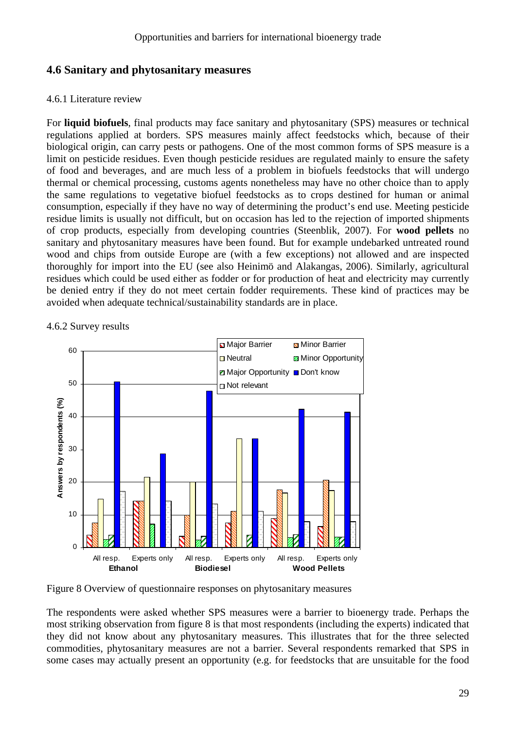## **4.6 Sanitary and phytosanitary measures**

#### 4.6.1 Literature review

For **liquid biofuels**, final products may face sanitary and phytosanitary (SPS) measures or technical regulations applied at borders. SPS measures mainly affect feedstocks which, because of their biological origin, can carry pests or pathogens. One of the most common forms of SPS measure is a limit on pesticide residues. Even though pesticide residues are regulated mainly to ensure the safety of food and beverages, and are much less of a problem in biofuels feedstocks that will undergo thermal or chemical processing, customs agents nonetheless may have no other choice than to apply the same regulations to vegetative biofuel feedstocks as to crops destined for human or animal consumption, especially if they have no way of determining the product's end use. Meeting pesticide residue limits is usually not difficult, but on occasion has led to the rejection of imported shipments of crop products, especially from developing countries (Steenblik, 2007). For **wood pellets** no sanitary and phytosanitary measures have been found. But for example undebarked untreated round wood and chips from outside Europe are (with a few exceptions) not allowed and are inspected thoroughly for import into the EU (see also Heinimö and Alakangas, 2006). Similarly, agricultural residues which could be used either as fodder or for production of heat and electricity may currently be denied entry if they do not meet certain fodder requirements. These kind of practices may be avoided when adequate technical/sustainability standards are in place.

Major Barrier Minor Barrier 60 □ Neutral 2 Minor Opportunity ■ Major Opportunity ■ Don't know 50 □ Not relevant Answers by respondents (%) **Answers by respondents (%)** 40 30 20 10  $\overline{0}$ All resp. Experts only All resp. Experts only All resp. Experts only **Ethanol Biodiesel Wood Pellets**

4.6.2 Survey results

Figure 8 Overview of questionnaire responses on phytosanitary measures

The respondents were asked whether SPS measures were a barrier to bioenergy trade. Perhaps the most striking observation from figure 8 is that most respondents (including the experts) indicated that they did not know about any phytosanitary measures. This illustrates that for the three selected commodities, phytosanitary measures are not a barrier. Several respondents remarked that SPS in some cases may actually present an opportunity (e.g. for feedstocks that are unsuitable for the food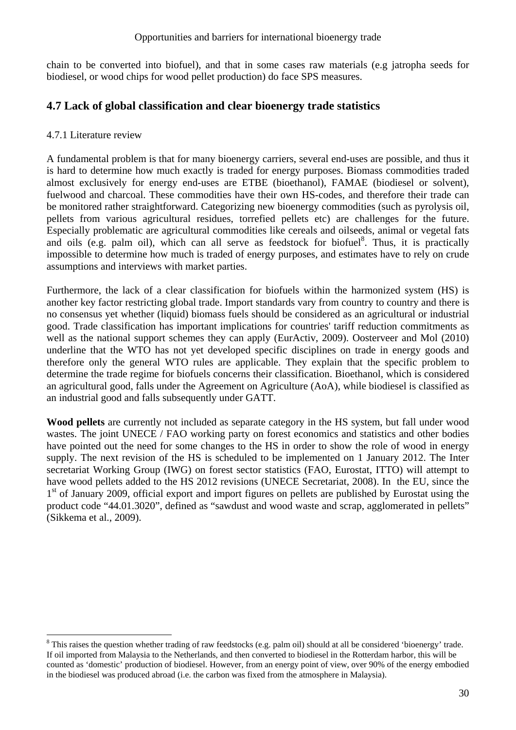chain to be converted into biofuel), and that in some cases raw materials (e.g jatropha seeds for biodiesel, or wood chips for wood pellet production) do face SPS measures.

## **4.7 Lack of global classification and clear bioenergy trade statistics**

#### 4.7.1 Literature review

 $\overline{a}$ 

A fundamental problem is that for many bioenergy carriers, several end-uses are possible, and thus it is hard to determine how much exactly is traded for energy purposes. Biomass commodities traded almost exclusively for energy end-uses are ETBE (bioethanol), FAMAE (biodiesel or solvent), fuelwood and charcoal. These commodities have their own HS-codes, and therefore their trade can be monitored rather straightforward. Categorizing new bioenergy commodities (such as pyrolysis oil, pellets from various agricultural residues, torrefied pellets etc) are challenges for the future. Especially problematic are agricultural commodities like cereals and oilseeds, animal or vegetal fats and oils  $(e.g.$  palm oil), which can all serve as feedstock for biofuel<sup>8</sup>. Thus, it is practically impossible to determine how much is traded of energy purposes, and estimates have to rely on crude assumptions and interviews with market parties.

Furthermore, the lack of a clear classification for biofuels within the harmonized system (HS) is another key factor restricting global trade. Import standards vary from country to country and there is no consensus yet whether (liquid) biomass fuels should be considered as an agricultural or industrial good. Trade classification has important implications for countries' tariff reduction commitments as well as the national support schemes they can apply (EurActiv, 2009). Oosterveer and Mol (2010) underline that the WTO has not yet developed specific disciplines on trade in energy goods and therefore only the general WTO rules are applicable. They explain that the specific problem to determine the trade regime for biofuels concerns their classification. Bioethanol, which is considered an agricultural good, falls under the Agreement on Agriculture (AoA), while biodiesel is classified as an industrial good and falls subsequently under GATT.

**Wood pellets** are currently not included as separate category in the HS system, but fall under wood wastes. The joint UNECE / FAO working party on forest economics and statistics and other bodies have pointed out the need for some changes to the HS in order to show the role of wood in energy supply. The next revision of the HS is scheduled to be implemented on 1 January 2012. The Inter secretariat Working Group (IWG) on forest sector statistics (FAO, Eurostat, ITTO) will attempt to have wood pellets added to the HS 2012 revisions (UNECE Secretariat, 2008). In the EU, since the 1<sup>st</sup> of January 2009, official export and import figures on pellets are published by Eurostat using the product code "44.01.3020", defined as "sawdust and wood waste and scrap, agglomerated in pellets" (Sikkema et al., 2009).

<sup>&</sup>lt;sup>8</sup> This raises the question whether trading of raw feedstocks (e.g. palm oil) should at all be considered 'bioenergy' trade. If oil imported from Malaysia to the Netherlands, and then converted to biodiesel in the Rotterdam harbor, this will be counted as 'domestic' production of biodiesel. However, from an energy point of view, over 90% of the energy embodied in the biodiesel was produced abroad (i.e. the carbon was fixed from the atmosphere in Malaysia).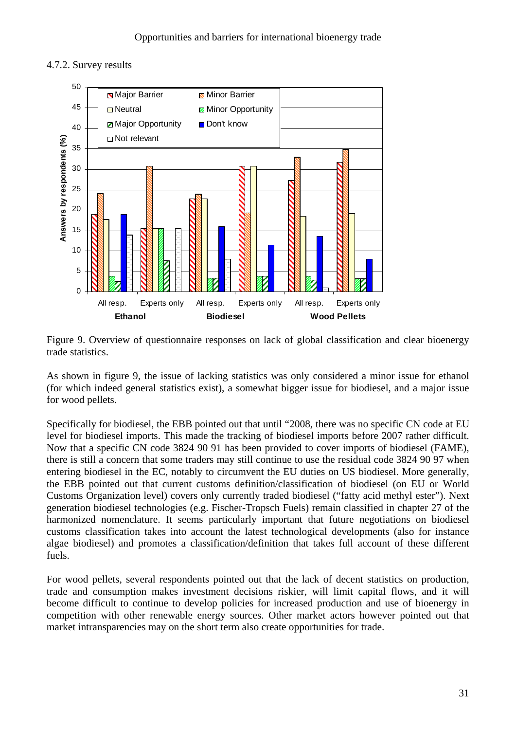#### 4.7.2. Survey results



Figure 9. Overview of questionnaire responses on lack of global classification and clear bioenergy trade statistics.

As shown in figure 9, the issue of lacking statistics was only considered a minor issue for ethanol (for which indeed general statistics exist), a somewhat bigger issue for biodiesel, and a major issue for wood pellets.

Specifically for biodiesel, the EBB pointed out that until "2008, there was no specific CN code at EU level for biodiesel imports. This made the tracking of biodiesel imports before 2007 rather difficult. Now that a specific CN code 3824 90 91 has been provided to cover imports of biodiesel (FAME), there is still a concern that some traders may still continue to use the residual code 3824 90 97 when entering biodiesel in the EC, notably to circumvent the EU duties on US biodiesel. More generally, the EBB pointed out that current customs definition/classification of biodiesel (on EU or World Customs Organization level) covers only currently traded biodiesel ("fatty acid methyl ester"). Next generation biodiesel technologies (e.g. Fischer-Tropsch Fuels) remain classified in chapter 27 of the harmonized nomenclature. It seems particularly important that future negotiations on biodiesel customs classification takes into account the latest technological developments (also for instance algae biodiesel) and promotes a classification/definition that takes full account of these different fuels.

For wood pellets, several respondents pointed out that the lack of decent statistics on production, trade and consumption makes investment decisions riskier, will limit capital flows, and it will become difficult to continue to develop policies for increased production and use of bioenergy in competition with other renewable energy sources. Other market actors however pointed out that market intransparencies may on the short term also create opportunities for trade.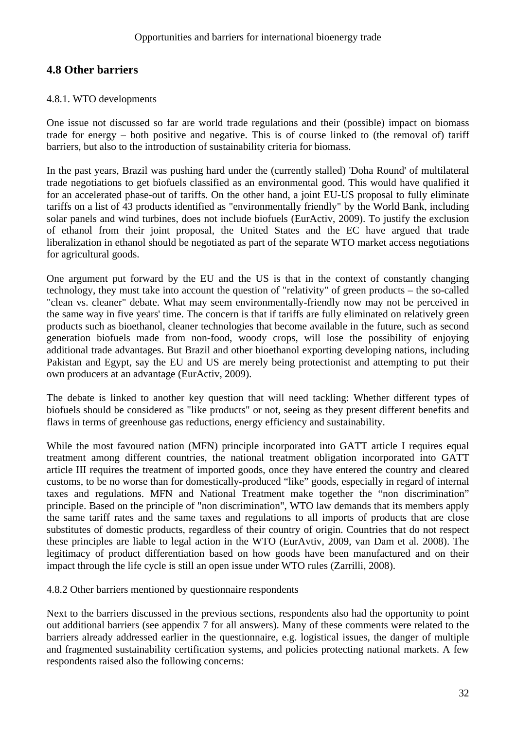## **4.8 Other barriers**

#### 4.8.1. WTO developments

One issue not discussed so far are world trade regulations and their (possible) impact on biomass trade for energy – both positive and negative. This is of course linked to (the removal of) tariff barriers, but also to the introduction of sustainability criteria for biomass.

In the past years, Brazil was pushing hard under the (currently stalled) 'Doha Round' of multilateral trade negotiations to get biofuels classified as an environmental good. This would have qualified it for an accelerated phase-out of tariffs. On the other hand, a joint EU-US proposal to fully eliminate tariffs on a list of 43 products identified as "environmentally friendly" by the World Bank, including solar panels and wind turbines, does not include biofuels (EurActiv, 2009). To justify the exclusion of ethanol from their joint proposal, the United States and the EC have argued that trade liberalization in ethanol should be negotiated as part of the separate WTO market access negotiations for agricultural goods.

One argument put forward by the EU and the US is that in the context of constantly changing technology, they must take into account the question of "relativity" of green products – the so-called "clean vs. cleaner" debate. What may seem environmentally-friendly now may not be perceived in the same way in five years' time. The concern is that if tariffs are fully eliminated on relatively green products such as bioethanol, cleaner technologies that become available in the future, such as second generation biofuels made from non-food, woody crops, will lose the possibility of enjoying additional trade advantages. But Brazil and other bioethanol exporting developing nations, including Pakistan and Egypt, say the EU and US are merely being protectionist and attempting to put their own producers at an advantage (EurActiv, 2009).

The debate is linked to another key question that will need tackling: Whether different types of biofuels should be considered as "like products" or not, seeing as they present different benefits and flaws in terms of greenhouse gas reductions, energy efficiency and sustainability.

While the most favoured nation (MFN) principle incorporated into GATT article I requires equal treatment among different countries, the national treatment obligation incorporated into GATT article III requires the treatment of imported goods, once they have entered the country and cleared customs, to be no worse than for domestically-produced "like" goods, especially in regard of internal taxes and regulations. MFN and National Treatment make together the "non discrimination" principle. Based on the principle of "non discrimination", WTO law demands that its members apply the same tariff rates and the same taxes and regulations to all imports of products that are close substitutes of domestic products, regardless of their country of origin. Countries that do not respect these principles are liable to legal action in the WTO (EurAvtiv, 2009, van Dam et al. 2008). The legitimacy of product differentiation based on how goods have been manufactured and on their impact through the life cycle is still an open issue under WTO rules (Zarrilli, 2008).

4.8.2 Other barriers mentioned by questionnaire respondents

Next to the barriers discussed in the previous sections, respondents also had the opportunity to point out additional barriers (see appendix 7 for all answers). Many of these comments were related to the barriers already addressed earlier in the questionnaire, e.g. logistical issues, the danger of multiple and fragmented sustainability certification systems, and policies protecting national markets. A few respondents raised also the following concerns: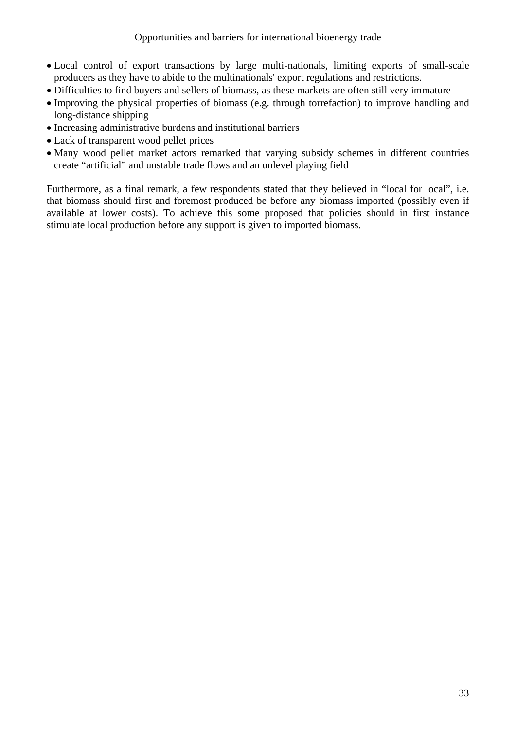- Local control of export transactions by large multi-nationals, limiting exports of small-scale producers as they have to abide to the multinationals' export regulations and restrictions.
- Difficulties to find buyers and sellers of biomass, as these markets are often still very immature
- Improving the physical properties of biomass (e.g. through torrefaction) to improve handling and long-distance shipping
- Increasing administrative burdens and institutional barriers
- Lack of transparent wood pellet prices
- Many wood pellet market actors remarked that varying subsidy schemes in different countries create "artificial" and unstable trade flows and an unlevel playing field

Furthermore, as a final remark, a few respondents stated that they believed in "local for local", i.e. that biomass should first and foremost produced be before any biomass imported (possibly even if available at lower costs). To achieve this some proposed that policies should in first instance stimulate local production before any support is given to imported biomass.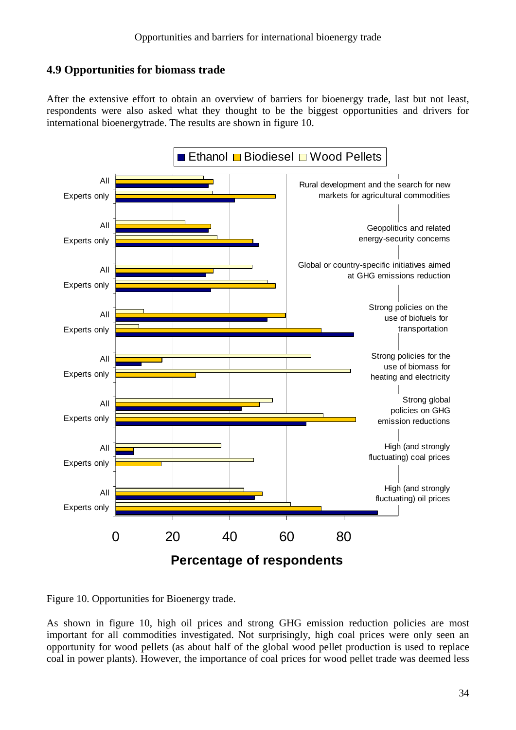## **4.9 Opportunities for biomass trade**

After the extensive effort to obtain an overview of barriers for bioenergy trade, last but not least, respondents were also asked what they thought to be the biggest opportunities and drivers for international bioenergytrade. The results are shown in figure 10.



Figure 10. Opportunities for Bioenergy trade.

As shown in figure 10, high oil prices and strong GHG emission reduction policies are most important for all commodities investigated. Not surprisingly, high coal prices were only seen an opportunity for wood pellets (as about half of the global wood pellet production is used to replace coal in power plants). However, the importance of coal prices for wood pellet trade was deemed less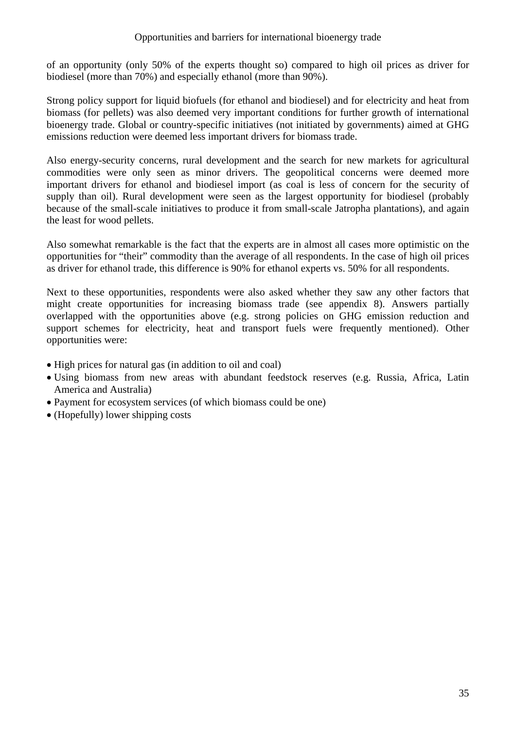of an opportunity (only 50% of the experts thought so) compared to high oil prices as driver for biodiesel (more than 70%) and especially ethanol (more than 90%).

Strong policy support for liquid biofuels (for ethanol and biodiesel) and for electricity and heat from biomass (for pellets) was also deemed very important conditions for further growth of international bioenergy trade. Global or country-specific initiatives (not initiated by governments) aimed at GHG emissions reduction were deemed less important drivers for biomass trade.

Also energy-security concerns, rural development and the search for new markets for agricultural commodities were only seen as minor drivers. The geopolitical concerns were deemed more important drivers for ethanol and biodiesel import (as coal is less of concern for the security of supply than oil). Rural development were seen as the largest opportunity for biodiesel (probably because of the small-scale initiatives to produce it from small-scale Jatropha plantations), and again the least for wood pellets.

Also somewhat remarkable is the fact that the experts are in almost all cases more optimistic on the opportunities for "their" commodity than the average of all respondents. In the case of high oil prices as driver for ethanol trade, this difference is 90% for ethanol experts vs. 50% for all respondents.

Next to these opportunities, respondents were also asked whether they saw any other factors that might create opportunities for increasing biomass trade (see appendix 8). Answers partially overlapped with the opportunities above (e.g. strong policies on GHG emission reduction and support schemes for electricity, heat and transport fuels were frequently mentioned). Other opportunities were:

- High prices for natural gas (in addition to oil and coal)
- Using biomass from new areas with abundant feedstock reserves (e.g. Russia, Africa, Latin America and Australia)
- Payment for ecosystem services (of which biomass could be one)
- (Hopefully) lower shipping costs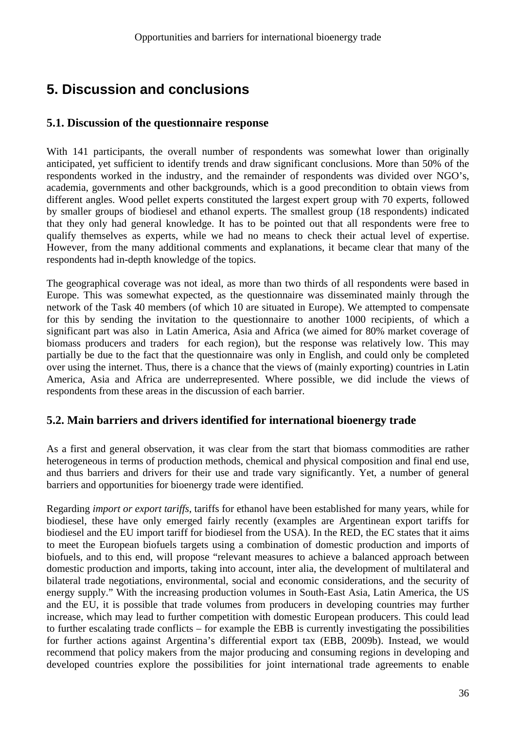# **5. Discussion and conclusions**

### **5.1. Discussion of the questionnaire response**

With 141 participants, the overall number of respondents was somewhat lower than originally anticipated, yet sufficient to identify trends and draw significant conclusions. More than 50% of the respondents worked in the industry, and the remainder of respondents was divided over NGO's, academia, governments and other backgrounds, which is a good precondition to obtain views from different angles. Wood pellet experts constituted the largest expert group with 70 experts, followed by smaller groups of biodiesel and ethanol experts. The smallest group (18 respondents) indicated that they only had general knowledge. It has to be pointed out that all respondents were free to qualify themselves as experts, while we had no means to check their actual level of expertise. However, from the many additional comments and explanations, it became clear that many of the respondents had in-depth knowledge of the topics.

The geographical coverage was not ideal, as more than two thirds of all respondents were based in Europe. This was somewhat expected, as the questionnaire was disseminated mainly through the network of the Task 40 members (of which 10 are situated in Europe). We attempted to compensate for this by sending the invitation to the questionnaire to another 1000 recipients, of which a significant part was also in Latin America, Asia and Africa (we aimed for 80% market coverage of biomass producers and traders for each region), but the response was relatively low. This may partially be due to the fact that the questionnaire was only in English, and could only be completed over using the internet. Thus, there is a chance that the views of (mainly exporting) countries in Latin America, Asia and Africa are underrepresented. Where possible, we did include the views of respondents from these areas in the discussion of each barrier.

## **5.2. Main barriers and drivers identified for international bioenergy trade**

As a first and general observation, it was clear from the start that biomass commodities are rather heterogeneous in terms of production methods, chemical and physical composition and final end use, and thus barriers and drivers for their use and trade vary significantly. Yet, a number of general barriers and opportunities for bioenergy trade were identified.

Regarding *import or export tariffs*, tariffs for ethanol have been established for many years, while for biodiesel, these have only emerged fairly recently (examples are Argentinean export tariffs for biodiesel and the EU import tariff for biodiesel from the USA). In the RED, the EC states that it aims to meet the European biofuels targets using a combination of domestic production and imports of biofuels, and to this end, will propose "relevant measures to achieve a balanced approach between domestic production and imports, taking into account, inter alia, the development of multilateral and bilateral trade negotiations, environmental, social and economic considerations, and the security of energy supply." With the increasing production volumes in South-East Asia, Latin America, the US and the EU, it is possible that trade volumes from producers in developing countries may further increase, which may lead to further competition with domestic European producers. This could lead to further escalating trade conflicts – for example the EBB is currently investigating the possibilities for further actions against Argentina's differential export tax (EBB, 2009b). Instead, we would recommend that policy makers from the major producing and consuming regions in developing and developed countries explore the possibilities for joint international trade agreements to enable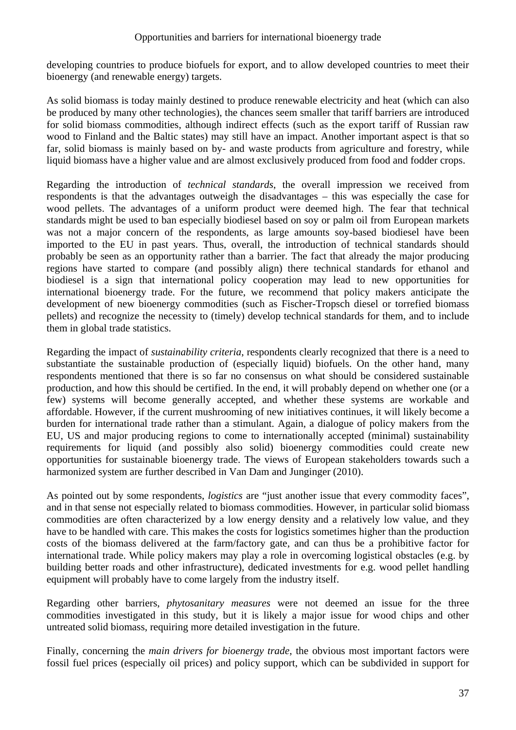developing countries to produce biofuels for export, and to allow developed countries to meet their bioenergy (and renewable energy) targets.

As solid biomass is today mainly destined to produce renewable electricity and heat (which can also be produced by many other technologies), the chances seem smaller that tariff barriers are introduced for solid biomass commodities, although indirect effects (such as the export tariff of Russian raw wood to Finland and the Baltic states) may still have an impact. Another important aspect is that so far, solid biomass is mainly based on by- and waste products from agriculture and forestry, while liquid biomass have a higher value and are almost exclusively produced from food and fodder crops.

Regarding the introduction of *technical standards*, the overall impression we received from respondents is that the advantages outweigh the disadvantages – this was especially the case for wood pellets. The advantages of a uniform product were deemed high. The fear that technical standards might be used to ban especially biodiesel based on soy or palm oil from European markets was not a major concern of the respondents, as large amounts soy-based biodiesel have been imported to the EU in past years. Thus, overall, the introduction of technical standards should probably be seen as an opportunity rather than a barrier. The fact that already the major producing regions have started to compare (and possibly align) there technical standards for ethanol and biodiesel is a sign that international policy cooperation may lead to new opportunities for international bioenergy trade. For the future, we recommend that policy makers anticipate the development of new bioenergy commodities (such as Fischer-Tropsch diesel or torrefied biomass pellets) and recognize the necessity to (timely) develop technical standards for them, and to include them in global trade statistics.

Regarding the impact of *sustainability criteria*, respondents clearly recognized that there is a need to substantiate the sustainable production of (especially liquid) biofuels. On the other hand, many respondents mentioned that there is so far no consensus on what should be considered sustainable production, and how this should be certified. In the end, it will probably depend on whether one (or a few) systems will become generally accepted, and whether these systems are workable and affordable. However, if the current mushrooming of new initiatives continues, it will likely become a burden for international trade rather than a stimulant. Again, a dialogue of policy makers from the EU, US and major producing regions to come to internationally accepted (minimal) sustainability requirements for liquid (and possibly also solid) bioenergy commodities could create new opportunities for sustainable bioenergy trade. The views of European stakeholders towards such a harmonized system are further described in Van Dam and Junginger (2010).

As pointed out by some respondents, *logistics* are "just another issue that every commodity faces", and in that sense not especially related to biomass commodities. However, in particular solid biomass commodities are often characterized by a low energy density and a relatively low value, and they have to be handled with care. This makes the costs for logistics sometimes higher than the production costs of the biomass delivered at the farm/factory gate, and can thus be a prohibitive factor for international trade. While policy makers may play a role in overcoming logistical obstacles (e.g. by building better roads and other infrastructure), dedicated investments for e.g. wood pellet handling equipment will probably have to come largely from the industry itself.

Regarding other barriers, *phytosanitary measures* were not deemed an issue for the three commodities investigated in this study, but it is likely a major issue for wood chips and other untreated solid biomass, requiring more detailed investigation in the future.

Finally, concerning the *main drivers for bioenergy trade*, the obvious most important factors were fossil fuel prices (especially oil prices) and policy support, which can be subdivided in support for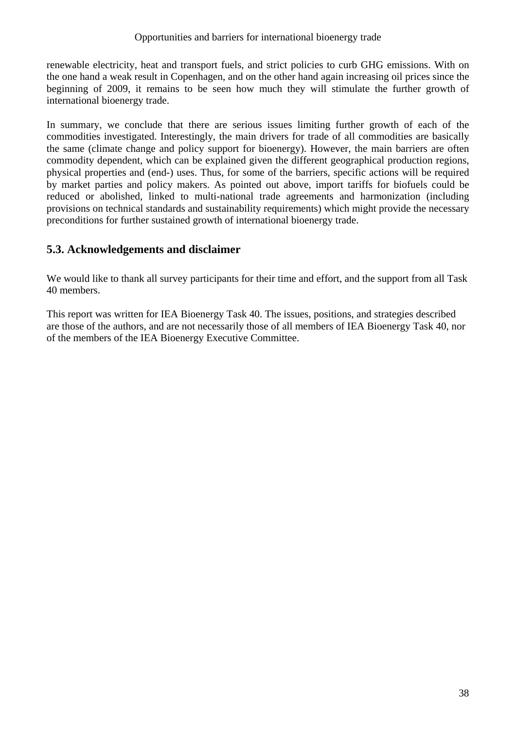renewable electricity, heat and transport fuels, and strict policies to curb GHG emissions. With on the one hand a weak result in Copenhagen, and on the other hand again increasing oil prices since the beginning of 2009, it remains to be seen how much they will stimulate the further growth of international bioenergy trade.

In summary, we conclude that there are serious issues limiting further growth of each of the commodities investigated. Interestingly, the main drivers for trade of all commodities are basically the same (climate change and policy support for bioenergy). However, the main barriers are often commodity dependent, which can be explained given the different geographical production regions, physical properties and (end-) uses. Thus, for some of the barriers, specific actions will be required by market parties and policy makers. As pointed out above, import tariffs for biofuels could be reduced or abolished, linked to multi-national trade agreements and harmonization (including provisions on technical standards and sustainability requirements) which might provide the necessary preconditions for further sustained growth of international bioenergy trade.

### **5.3. Acknowledgements and disclaimer**

We would like to thank all survey participants for their time and effort, and the support from all Task 40 members.

This report was written for IEA Bioenergy Task 40. The issues, positions, and strategies described are those of the authors, and are not necessarily those of all members of IEA Bioenergy Task 40, nor of the members of the IEA Bioenergy Executive Committee.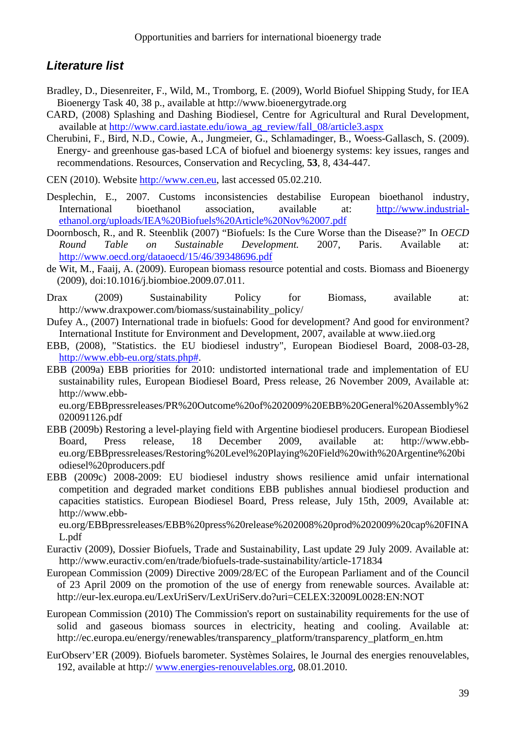### *Literature list*

- Bradley, D., Diesenreiter, F., Wild, M., Tromborg, E. (2009), World Biofuel Shipping Study, for IEA Bioenergy Task 40, 38 p., available at http://www.bioenergytrade.org
- CARD, (2008) Splashing and Dashing Biodiesel, Centre for Agricultural and Rural Development, available at http://www.card.iastate.edu/iowa\_ag\_review/fall\_08/article3.aspx
- Cherubini, F., Bird, N.D., Cowie, A., Jungmeier, G., Schlamadinger, B., Woess-Gallasch, S. (2009). Energy- and greenhouse gas-based LCA of biofuel and bioenergy systems: key issues, ranges and recommendations. Resources, Conservation and Recycling, **53**, 8, 434-447.

CEN (2010). Website http://www.cen.eu, last accessed 05.02.210.

- Desplechin, E., 2007. Customs inconsistencies destabilise European bioethanol industry, International bioethanol association, available at: http://www.industrialethanol.org/uploads/IEA%20Biofuels%20Article%20Nov%2007.pdf
- Doornbosch, R., and R. Steenblik (2007) "Biofuels: Is the Cure Worse than the Disease?" In *OECD Round Table on Sustainable Development.* 2007, Paris. Available at: http://www.oecd.org/dataoecd/15/46/39348696.pdf
- de Wit, M., Faaij, A. (2009). European biomass resource potential and costs. Biomass and Bioenergy (2009), doi:10.1016/j.biombioe.2009.07.011.
- Drax (2009) Sustainability Policy for Biomass, available at: http://www.draxpower.com/biomass/sustainability\_policy/
- Dufey A., (2007) International trade in biofuels: Good for development? And good for environment? International Institute for Environment and Development, 2007, available at www.iied.org
- EBB, (2008), "Statistics. the EU biodiesel industry", European Biodiesel Board, 2008-03-28, http://www.ebb-eu.org/stats.php#.
- EBB (2009a) EBB priorities for 2010: undistorted international trade and implementation of EU sustainability rules, European Biodiesel Board, Press release, 26 November 2009, Available at: http://www.ebb-

eu.org/EBBpressreleases/PR%20Outcome%20of%202009%20EBB%20General%20Assembly%2 020091126.pdf

- EBB (2009b) Restoring a level-playing field with Argentine biodiesel producers. European Biodiesel Board, Press release, 18 December 2009, available at: http://www.ebbeu.org/EBBpressreleases/Restoring%20Level%20Playing%20Field%20with%20Argentine%20bi odiesel%20producers.pdf
- EBB (2009c) 2008-2009: EU biodiesel industry shows resilience amid unfair international competition and degraded market conditions EBB publishes annual biodiesel production and capacities statistics. European Biodiesel Board, Press release, July 15th, 2009, Available at: http://www.ebb-

eu.org/EBBpressreleases/EBB%20press%20release%202008%20prod%202009%20cap%20FINA L.pdf

- Euractiv (2009), Dossier Biofuels, Trade and Sustainability, Last update 29 July 2009. Available at: http://www.euractiv.com/en/trade/biofuels-trade-sustainability/article-171834
- European Commission (2009) Directive 2009/28/EC of the European Parliament and of the Council of 23 April 2009 on the promotion of the use of energy from renewable sources. Available at: http://eur-lex.europa.eu/LexUriServ/LexUriServ.do?uri=CELEX:32009L0028:EN:NOT
- European Commission (2010) The Commission's report on sustainability requirements for the use of solid and gaseous biomass sources in electricity, heating and cooling. Available at: http://ec.europa.eu/energy/renewables/transparency\_platform/transparency\_platform\_en.htm
- EurObserv'ER (2009). Biofuels barometer. Systèmes Solaires, le Journal des energies renouvelables, 192, available at http:// www.energies-renouvelables.org, 08.01.2010.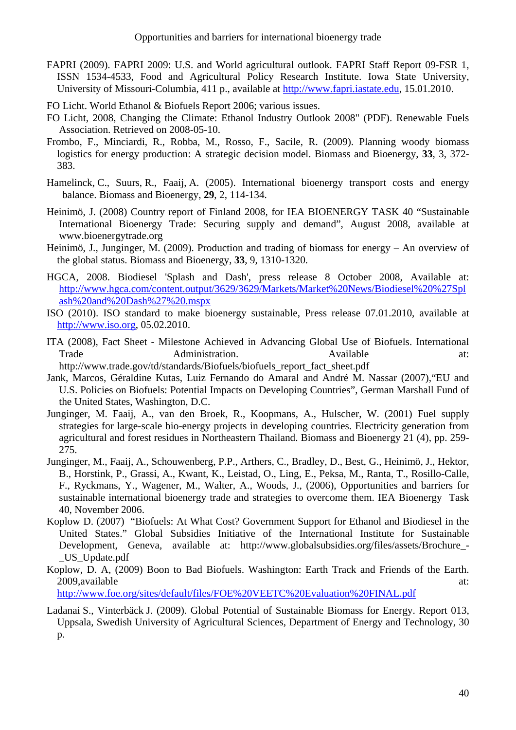- FAPRI (2009). FAPRI 2009: U.S. and World agricultural outlook. FAPRI Staff Report 09-FSR 1, ISSN 1534-4533, Food and Agricultural Policy Research Institute. Iowa State University, University of Missouri-Columbia, 411 p., available at http://www.fapri.iastate.edu, 15.01.2010.
- FO Licht. World Ethanol & Biofuels Report 2006; various issues.
- FO Licht, 2008, Changing the Climate: Ethanol Industry Outlook 2008" (PDF). Renewable Fuels Association. Retrieved on 2008-05-10.
- Frombo, F., Minciardi, R., Robba, M., Rosso, F., Sacile, R. (2009). Planning woody biomass logistics for energy production: A strategic decision model. Biomass and Bioenergy, **33**, 3, 372- 383.
- Hamelinck, C., Suurs, R., Faaij, A. (2005). International bioenergy transport costs and energy balance. Biomass and Bioenergy, **29**, 2, 114-134.
- Heinimö, J. (2008) Country report of Finland 2008, for IEA BIOENERGY TASK 40 "Sustainable International Bioenergy Trade: Securing supply and demand", August 2008, available at www.bioenergytrade.org
- Heinimö, J., Junginger, M. (2009). Production and trading of biomass for energy An overview of the global status. Biomass and Bioenergy, **33**, 9, 1310-1320.
- HGCA, 2008. Biodiesel 'Splash and Dash', press release 8 October 2008, Available at: http://www.hgca.com/content.output/3629/3629/Markets/Market%20News/Biodiesel%20%27Spl ash%20and%20Dash%27%20.mspx
- ISO (2010). ISO standard to make bioenergy sustainable, Press release 07.01.2010, available at http://www.iso.org, 05.02.2010.
- ITA (2008), Fact Sheet Milestone Achieved in Advancing Global Use of Biofuels. International Trade Administration. Available at: http://www.trade.gov/td/standards/Biofuels/biofuels\_report\_fact\_sheet.pdf
- Jank, Marcos, Géraldine Kutas, Luiz Fernando do Amaral and André M. Nassar (2007),"EU and U.S. Policies on Biofuels: Potential Impacts on Developing Countries", German Marshall Fund of the United States, Washington, D.C.
- Junginger, M. Faaij, A., van den Broek, R., Koopmans, A., Hulscher, W. (2001) Fuel supply strategies for large-scale bio-energy projects in developing countries. Electricity generation from agricultural and forest residues in Northeastern Thailand. Biomass and Bioenergy 21 (4), pp. 259- 275.
- Junginger, M., Faaij, A., Schouwenberg, P.P., Arthers, C., Bradley, D., Best, G., Heinimö, J., Hektor, B., Horstink, P., Grassi, A., Kwant, K., Leistad, O., Ling, E., Peksa, M., Ranta, T., Rosillo-Calle, F., Ryckmans, Y., Wagener, M., Walter, A., Woods, J., (2006), Opportunities and barriers for sustainable international bioenergy trade and strategies to overcome them. IEA Bioenergy Task 40, November 2006.
- Koplow D. (2007) "Biofuels: At What Cost? Government Support for Ethanol and Biodiesel in the United States." Global Subsidies Initiative of the International Institute for Sustainable Development, Geneva, available at: http://www.globalsubsidies.org/files/assets/Brochure\_- \_US\_Update.pdf
- Koplow, D. A, (2009) Boon to Bad Biofuels. Washington: Earth Track and Friends of the Earth. 2009, available at:

http://www.foe.org/sites/default/files/FOE%20VEETC%20Evaluation%20FINAL.pdf

Ladanai S., Vinterbäck J. (2009). Global Potential of Sustainable Biomass for Energy. Report 013, Uppsala, Swedish University of Agricultural Sciences, Department of Energy and Technology, 30 p.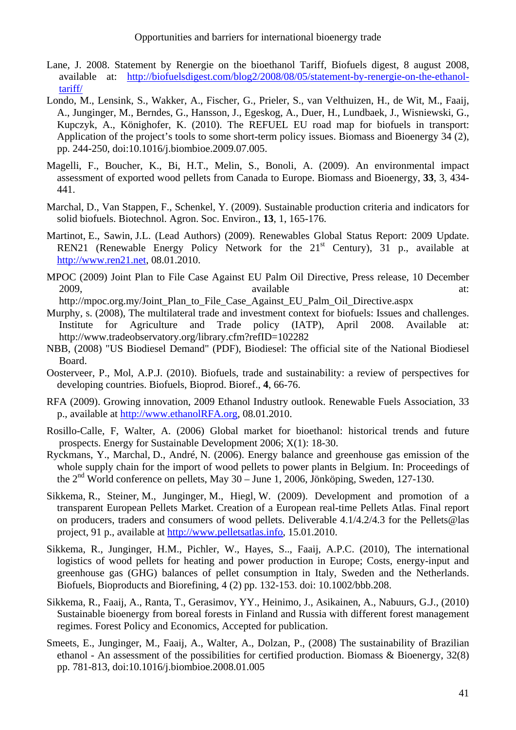- Lane, J. 2008. Statement by Renergie on the bioethanol Tariff, Biofuels digest, 8 august 2008, available at: http://biofuelsdigest.com/blog2/2008/08/05/statement-by-renergie-on-the-ethanoltariff/
- Londo, M., Lensink, S., Wakker, A., Fischer, G., Prieler, S., van Velthuizen, H., de Wit, M., Faaij, A., Junginger, M., Berndes, G., Hansson, J., Egeskog, A., Duer, H., Lundbaek, J., Wisniewski, G., Kupczyk, A., Könighofer, K. (2010). The REFUEL EU road map for biofuels in transport: Application of the project's tools to some short-term policy issues. Biomass and Bioenergy 34 (2), pp. 244-250, doi:10.1016/j.biombioe.2009.07.005.
- Magelli, F., Boucher, K., Bi, H.T., Melin, S., Bonoli, A. (2009). An environmental impact assessment of exported wood pellets from Canada to Europe. Biomass and Bioenergy, **33**, 3, 434- 441.
- Marchal, D., Van Stappen, F., Schenkel, Y. (2009). Sustainable production criteria and indicators for solid biofuels. Biotechnol. Agron. Soc. Environ., **13**, 1, 165-176.
- Martinot, E., Sawin, J.L. (Lead Authors) (2009). Renewables Global Status Report: 2009 Update. REN21 (Renewable Energy Policy Network for the  $21<sup>st</sup>$  Century), 31 p., available at http://www.ren21.net, 08.01.2010.
- MPOC (2009) Joint Plan to File Case Against EU Palm Oil Directive, Press release, 10 December 2009, available at:
	- http://mpoc.org.my/Joint\_Plan\_to\_File\_Case\_Against\_EU\_Palm\_Oil\_Directive.aspx
- Murphy, s. (2008), The multilateral trade and investment context for biofuels: Issues and challenges. Institute for Agriculture and Trade policy (IATP), April 2008. Available at: http://www.tradeobservatory.org/library.cfm?refID=102282
- NBB, (2008) "US Biodiesel Demand" (PDF), Biodiesel: The official site of the National Biodiesel Board.
- Oosterveer, P., Mol, A.P.J. (2010). Biofuels, trade and sustainability: a review of perspectives for developing countries. Biofuels, Bioprod. Bioref., **4**, 66-76.
- RFA (2009). Growing innovation, 2009 Ethanol Industry outlook. Renewable Fuels Association, 33 p., available at http://www.ethanolRFA.org, 08.01.2010.
- Rosillo-Calle, F, Walter, A. (2006) Global market for bioethanol: historical trends and future prospects. Energy for Sustainable Development 2006; X(1): 18-30.
- Ryckmans, Y., Marchal, D., André, N. (2006). Energy balance and greenhouse gas emission of the whole supply chain for the import of wood pellets to power plants in Belgium. In: Proceedings of the  $2<sup>nd</sup>$  World conference on pellets, May 30 – June 1, 2006, Jönköping, Sweden, 127-130.
- Sikkema, R., Steiner, M., Junginger, M., Hiegl, W. (2009). Development and promotion of a transparent European Pellets Market. Creation of a European real-time Pellets Atlas. Final report on producers, traders and consumers of wood pellets. Deliverable 4.1/4.2/4.3 for the Pellets@las project, 91 p., available at http://www.pelletsatlas.info, 15.01.2010.
- Sikkema, R., Junginger, H.M., Pichler, W., Hayes, S.., Faaij, A.P.C. (2010), The international logistics of wood pellets for heating and power production in Europe; Costs, energy-input and greenhouse gas (GHG) balances of pellet consumption in Italy, Sweden and the Netherlands. Biofuels, Bioproducts and Biorefining, 4 (2) pp. 132-153. doi: 10.1002/bbb.208.
- Sikkema, R., Faaij, A., Ranta, T., Gerasimov, YY., Heinimo, J., Asikainen, A., Nabuurs, G.J., (2010) Sustainable bioenergy from boreal forests in Finland and Russia with different forest management regimes. Forest Policy and Economics, Accepted for publication.
- Smeets, E., Junginger, M., Faaij, A., Walter, A., Dolzan, P., (2008) The sustainability of Brazilian ethanol - An assessment of the possibilities for certified production. Biomass & Bioenergy, 32(8) pp. 781-813, doi:10.1016/j.biombioe.2008.01.005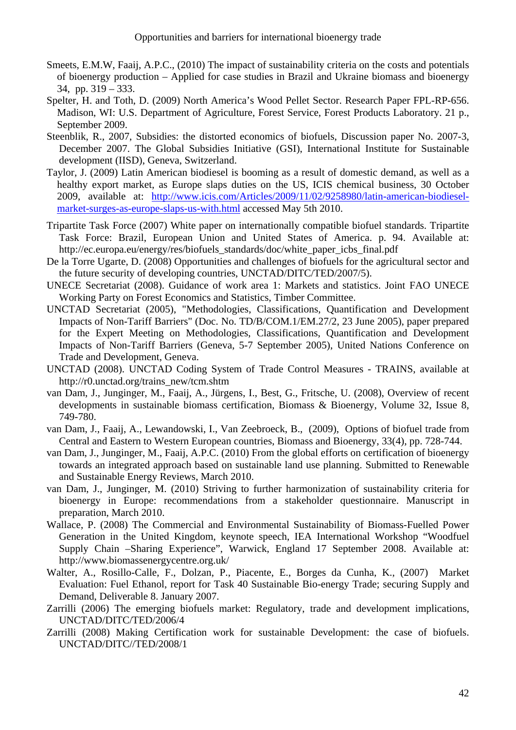- Smeets, E.M.W, Faaij, A.P.C., (2010) The impact of sustainability criteria on the costs and potentials of bioenergy production – Applied for case studies in Brazil and Ukraine biomass and bioenergy 34, pp. 319 – 333.
- Spelter, H. and Toth, D. (2009) North America's Wood Pellet Sector. Research Paper FPL-RP-656. Madison, WI: U.S. Department of Agriculture, Forest Service, Forest Products Laboratory. 21 p., September 2009.
- Steenblik, R., 2007, Subsidies: the distorted economics of biofuels, Discussion paper No. 2007-3, December 2007. The Global Subsidies Initiative (GSI), International Institute for Sustainable development (IISD), Geneva, Switzerland.
- Taylor, J. (2009) Latin American biodiesel is booming as a result of domestic demand, as well as a healthy export market, as Europe slaps duties on the US, ICIS chemical business, 30 October 2009, available at: http://www.icis.com/Articles/2009/11/02/9258980/latin-american-biodieselmarket-surges-as-europe-slaps-us-with.html accessed May 5th 2010.
- Tripartite Task Force (2007) White paper on internationally compatible biofuel standards. Tripartite Task Force: Brazil, European Union and United States of America. p. 94. Available at: http://ec.europa.eu/energy/res/biofuels\_standards/doc/white\_paper\_icbs\_final.pdf
- De la Torre Ugarte, D. (2008) Opportunities and challenges of biofuels for the agricultural sector and the future security of developing countries, UNCTAD/DITC/TED/2007/5).
- UNECE Secretariat (2008). Guidance of work area 1: Markets and statistics. Joint FAO UNECE Working Party on Forest Economics and Statistics, Timber Committee.
- UNCTAD Secretariat (2005), "Methodologies, Classifications, Quantification and Development Impacts of Non-Tariff Barriers" (Doc. No. TD/B/COM.1/EM.27/2, 23 June 2005), paper prepared for the Expert Meeting on Methodologies, Classifications, Quantification and Development Impacts of Non-Tariff Barriers (Geneva, 5-7 September 2005), United Nations Conference on Trade and Development, Geneva.
- UNCTAD (2008). UNCTAD Coding System of Trade Control Measures TRAINS, available at http://r0.unctad.org/trains\_new/tcm.shtm
- van Dam, J., Junginger, M., Faaij, A., Jürgens, I., Best, G., Fritsche, U. (2008), Overview of recent developments in sustainable biomass certification, Biomass & Bioenergy, Volume 32, Issue 8, 749-780.
- van Dam, J., Faaij, A., Lewandowski, I., Van Zeebroeck, B., (2009), Options of biofuel trade from Central and Eastern to Western European countries, Biomass and Bioenergy, 33(4), pp. 728-744.
- van Dam, J., Junginger, M., Faaij, A.P.C. (2010) From the global efforts on certification of bioenergy towards an integrated approach based on sustainable land use planning. Submitted to Renewable and Sustainable Energy Reviews, March 2010.
- van Dam, J., Junginger, M. (2010) Striving to further harmonization of sustainability criteria for bioenergy in Europe: recommendations from a stakeholder questionnaire. Manuscript in preparation, March 2010.
- Wallace, P. (2008) The Commercial and Environmental Sustainability of Biomass-Fuelled Power Generation in the United Kingdom, keynote speech, IEA International Workshop "Woodfuel Supply Chain –Sharing Experience", Warwick, England 17 September 2008. Available at: http://www.biomassenergycentre.org.uk/
- Walter, A., Rosillo-Calle, F., Dolzan, P., Piacente, E., Borges da Cunha, K., (2007) Market Evaluation: Fuel Ethanol, report for Task 40 Sustainable Bio-energy Trade; securing Supply and Demand, Deliverable 8. January 2007.
- Zarrilli (2006) The emerging biofuels market: Regulatory, trade and development implications, UNCTAD/DITC/TED/2006/4
- Zarrilli (2008) Making Certification work for sustainable Development: the case of biofuels. UNCTAD/DITC//TED/2008/1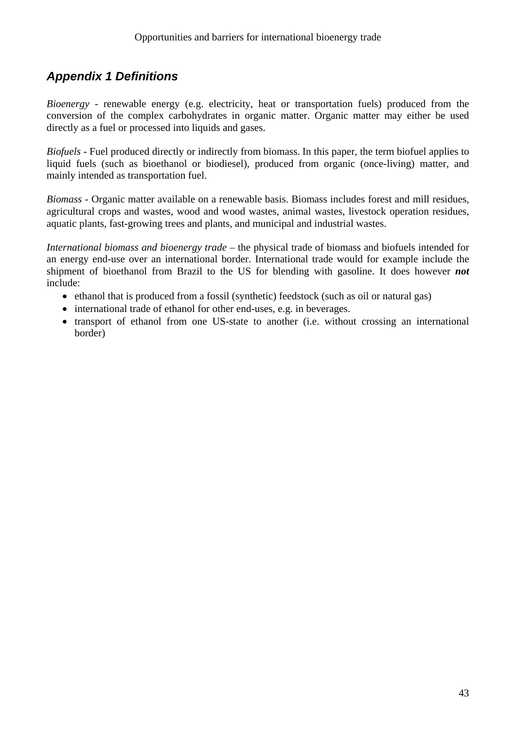### *Appendix 1 Definitions*

*Bioenergy -* renewable energy (e.g. electricity, heat or transportation fuels) produced from the conversion of the complex carbohydrates in organic matter. Organic matter may either be used directly as a fuel or processed into liquids and gases.

*Biofuels* - Fuel produced directly or indirectly from biomass. In this paper, the term biofuel applies to liquid fuels (such as bioethanol or biodiesel), produced from organic (once-living) matter, and mainly intended as transportation fuel.

*Biomass -* Organic matter available on a renewable basis. Biomass includes forest and mill residues, agricultural crops and wastes, wood and wood wastes, animal wastes, livestock operation residues, aquatic plants, fast-growing trees and plants, and municipal and industrial wastes.

*International biomass and bioenergy trade –* the physical trade of biomass and biofuels intended for an energy end-use over an international border. International trade would for example include the shipment of bioethanol from Brazil to the US for blending with gasoline. It does however *not* include:

- ethanol that is produced from a fossil (synthetic) feedstock (such as oil or natural gas)
- international trade of ethanol for other end-uses, e.g. in beverages.
- transport of ethanol from one US-state to another (i.e. without crossing an international border)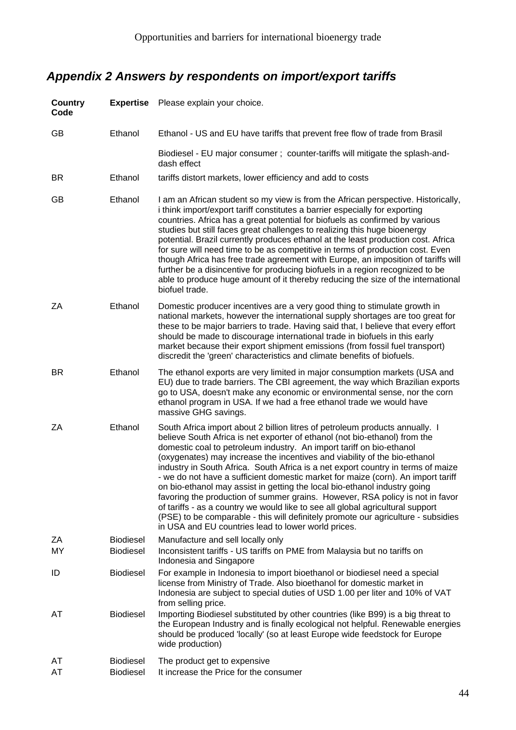## *Appendix 2 Answers by respondents on import/export tariffs*

| Country<br>Code | <b>Expertise</b>                     | Please explain your choice.                                                                                                                                                                                                                                                                                                                                                                                                                                                                                                                                                                                                                                                                                                                                                                                                                                                         |
|-----------------|--------------------------------------|-------------------------------------------------------------------------------------------------------------------------------------------------------------------------------------------------------------------------------------------------------------------------------------------------------------------------------------------------------------------------------------------------------------------------------------------------------------------------------------------------------------------------------------------------------------------------------------------------------------------------------------------------------------------------------------------------------------------------------------------------------------------------------------------------------------------------------------------------------------------------------------|
| <b>GB</b>       | Ethanol                              | Ethanol - US and EU have tariffs that prevent free flow of trade from Brasil                                                                                                                                                                                                                                                                                                                                                                                                                                                                                                                                                                                                                                                                                                                                                                                                        |
|                 |                                      | Biodiesel - EU major consumer ; counter-tariffs will mitigate the splash-and-<br>dash effect                                                                                                                                                                                                                                                                                                                                                                                                                                                                                                                                                                                                                                                                                                                                                                                        |
| <b>BR</b>       | Ethanol                              | tariffs distort markets, lower efficiency and add to costs                                                                                                                                                                                                                                                                                                                                                                                                                                                                                                                                                                                                                                                                                                                                                                                                                          |
| <b>GB</b>       | Ethanol                              | I am an African student so my view is from the African perspective. Historically,<br>i think import/export tariff constitutes a barrier especially for exporting<br>countries. Africa has a great potential for biofuels as confirmed by various<br>studies but still faces great challenges to realizing this huge bioenergy<br>potential. Brazil currently produces ethanol at the least production cost. Africa<br>for sure will need time to be as competitive in terms of production cost. Even<br>though Africa has free trade agreement with Europe, an imposition of tariffs will<br>further be a disincentive for producing biofuels in a region recognized to be<br>able to produce huge amount of it thereby reducing the size of the international<br>biofuel trade.                                                                                                    |
| ZA              | Ethanol                              | Domestic producer incentives are a very good thing to stimulate growth in<br>national markets, however the international supply shortages are too great for<br>these to be major barriers to trade. Having said that, I believe that every effort<br>should be made to discourage international trade in biofuels in this early<br>market because their export shipment emissions (from fossil fuel transport)<br>discredit the 'green' characteristics and climate benefits of biofuels.                                                                                                                                                                                                                                                                                                                                                                                           |
| <b>BR</b>       | Ethanol                              | The ethanol exports are very limited in major consumption markets (USA and<br>EU) due to trade barriers. The CBI agreement, the way which Brazilian exports<br>go to USA, doesn't make any economic or environmental sense, nor the corn<br>ethanol program in USA. If we had a free ethanol trade we would have<br>massive GHG savings.                                                                                                                                                                                                                                                                                                                                                                                                                                                                                                                                            |
| ZA              | Ethanol                              | South Africa import about 2 billion litres of petroleum products annually. I<br>believe South Africa is net exporter of ethanol (not bio-ethanol) from the<br>domestic coal to petroleum industry. An import tariff on bio-ethanol<br>(oxygenates) may increase the incentives and viability of the bio-ethanol<br>industry in South Africa. South Africa is a net export country in terms of maize<br>- we do not have a sufficient domestic market for maize (corn). An import tariff<br>on bio-ethanol may assist in getting the local bio-ethanol industry going<br>favoring the production of summer grains. However, RSA policy is not in favor<br>of tariffs - as a country we would like to see all global agricultural support<br>(PSE) to be comparable - this will definitely promote our agriculture - subsidies<br>in USA and EU countries lead to lower world prices. |
| ΖA<br>ΜY        | <b>Biodiesel</b><br><b>Biodiesel</b> | Manufacture and sell locally only<br>Inconsistent tariffs - US tariffs on PME from Malaysia but no tariffs on<br>Indonesia and Singapore                                                                                                                                                                                                                                                                                                                                                                                                                                                                                                                                                                                                                                                                                                                                            |
| ID              | Biodiesel                            | For example in Indonesia to import bioethanol or biodiesel need a special<br>license from Ministry of Trade. Also bioethanol for domestic market in<br>Indonesia are subject to special duties of USD 1.00 per liter and 10% of VAT<br>from selling price.                                                                                                                                                                                                                                                                                                                                                                                                                                                                                                                                                                                                                          |
| AT              | <b>Biodiesel</b>                     | Importing Biodiesel substituted by other countries (like B99) is a big threat to<br>the European Industry and is finally ecological not helpful. Renewable energies<br>should be produced 'locally' (so at least Europe wide feedstock for Europe<br>wide production)                                                                                                                                                                                                                                                                                                                                                                                                                                                                                                                                                                                                               |
| AT<br>AT        | <b>Biodiesel</b><br>Biodiesel        | The product get to expensive<br>It increase the Price for the consumer                                                                                                                                                                                                                                                                                                                                                                                                                                                                                                                                                                                                                                                                                                                                                                                                              |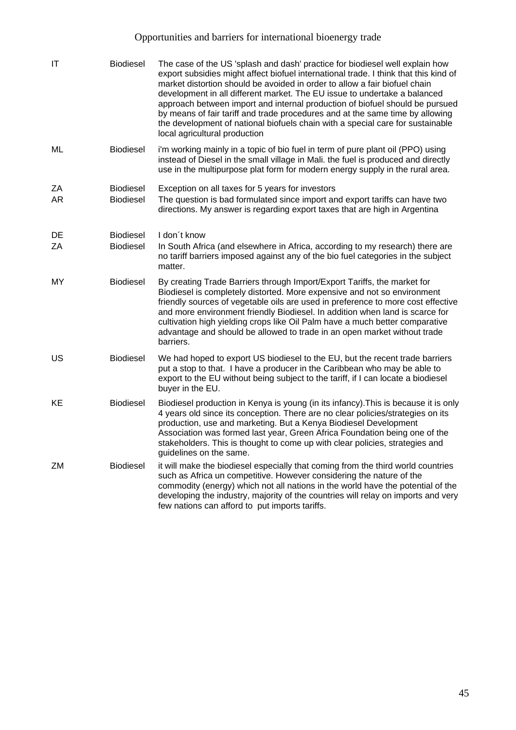| IT       | Biodiesel                            | The case of the US 'splash and dash' practice for biodiesel well explain how<br>export subsidies might affect biofuel international trade. I think that this kind of<br>market distortion should be avoided in order to allow a fair biofuel chain<br>development in all different market. The EU issue to undertake a balanced<br>approach between import and internal production of biofuel should be pursued<br>by means of fair tariff and trade procedures and at the same time by allowing<br>the development of national biofuels chain with a special care for sustainable<br>local agricultural production |
|----------|--------------------------------------|---------------------------------------------------------------------------------------------------------------------------------------------------------------------------------------------------------------------------------------------------------------------------------------------------------------------------------------------------------------------------------------------------------------------------------------------------------------------------------------------------------------------------------------------------------------------------------------------------------------------|
| ML       | Biodiesel                            | i'm working mainly in a topic of bio fuel in term of pure plant oil (PPO) using<br>instead of Diesel in the small village in Mali. the fuel is produced and directly<br>use in the multipurpose plat form for modern energy supply in the rural area.                                                                                                                                                                                                                                                                                                                                                               |
| ΖA<br>AR | <b>Biodiesel</b><br><b>Biodiesel</b> | Exception on all taxes for 5 years for investors<br>The question is bad formulated since import and export tariffs can have two<br>directions. My answer is regarding export taxes that are high in Argentina                                                                                                                                                                                                                                                                                                                                                                                                       |
| DE<br>ΖA | <b>Biodiesel</b><br>Biodiesel        | I don't know<br>In South Africa (and elsewhere in Africa, according to my research) there are<br>no tariff barriers imposed against any of the bio fuel categories in the subject<br>matter.                                                                                                                                                                                                                                                                                                                                                                                                                        |
| ΜY       | <b>Biodiesel</b>                     | By creating Trade Barriers through Import/Export Tariffs, the market for<br>Biodiesel is completely distorted. More expensive and not so environment<br>friendly sources of vegetable oils are used in preference to more cost effective<br>and more environment friendly Biodiesel. In addition when land is scarce for<br>cultivation high yielding crops like Oil Palm have a much better comparative<br>advantage and should be allowed to trade in an open market without trade<br>barriers.                                                                                                                   |
| US       | Biodiesel                            | We had hoped to export US biodiesel to the EU, but the recent trade barriers<br>put a stop to that. I have a producer in the Caribbean who may be able to<br>export to the EU without being subject to the tariff, if I can locate a biodiesel<br>buyer in the EU.                                                                                                                                                                                                                                                                                                                                                  |
| KΕ       | <b>Biodiesel</b>                     | Biodiesel production in Kenya is young (in its infancy). This is because it is only<br>4 years old since its conception. There are no clear policies/strategies on its<br>production, use and marketing. But a Kenya Biodiesel Development<br>Association was formed last year, Green Africa Foundation being one of the<br>stakeholders. This is thought to come up with clear policies, strategies and<br>quidelines on the same.                                                                                                                                                                                 |
| ZM       | <b>Biodiesel</b>                     | it will make the biodiesel especially that coming from the third world countries<br>such as Africa un competitive. However considering the nature of the<br>commodity (energy) which not all nations in the world have the potential of the<br>developing the industry, majority of the countries will relay on imports and very<br>few nations can afford to put imports tariffs.                                                                                                                                                                                                                                  |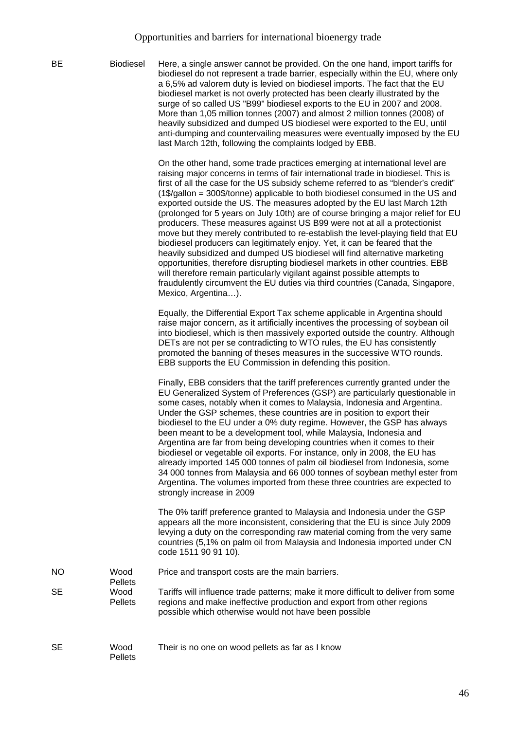BE Biodiesel Here, a single answer cannot be provided. On the one hand, import tariffs for biodiesel do not represent a trade barrier, especially within the EU, where only a 6,5% ad valorem duty is levied on biodiesel imports. The fact that the EU biodiesel market is not overly protected has been clearly illustrated by the surge of so called US "B99" biodiesel exports to the EU in 2007 and 2008. More than 1,05 million tonnes (2007) and almost 2 million tonnes (2008) of heavily subsidized and dumped US biodiesel were exported to the EU, until anti-dumping and countervailing measures were eventually imposed by the EU last March 12th, following the complaints lodged by EBB.

> On the other hand, some trade practices emerging at international level are raising major concerns in terms of fair international trade in biodiesel. This is first of all the case for the US subsidy scheme referred to as "blender's credit" (1\$/gallon = 300\$/tonne) applicable to both biodiesel consumed in the US and exported outside the US. The measures adopted by the EU last March 12th (prolonged for 5 years on July 10th) are of course bringing a major relief for EU producers. These measures against US B99 were not at all a protectionist move but they merely contributed to re-establish the level-playing field that EU biodiesel producers can legitimately enjoy. Yet, it can be feared that the heavily subsidized and dumped US biodiesel will find alternative marketing opportunities, therefore disrupting biodiesel markets in other countries. EBB will therefore remain particularly vigilant against possible attempts to fraudulently circumvent the EU duties via third countries (Canada, Singapore, Mexico, Argentina…).

Equally, the Differential Export Tax scheme applicable in Argentina should raise major concern, as it artificially incentives the processing of soybean oil into biodiesel, which is then massively exported outside the country. Although DETs are not per se contradicting to WTO rules, the EU has consistently promoted the banning of theses measures in the successive WTO rounds. EBB supports the EU Commission in defending this position.

Finally, EBB considers that the tariff preferences currently granted under the EU Generalized System of Preferences (GSP) are particularly questionable in some cases, notably when it comes to Malaysia, Indonesia and Argentina. Under the GSP schemes, these countries are in position to export their biodiesel to the EU under a 0% duty regime. However, the GSP has always been meant to be a development tool, while Malaysia, Indonesia and Argentina are far from being developing countries when it comes to their biodiesel or vegetable oil exports. For instance, only in 2008, the EU has already imported 145 000 tonnes of palm oil biodiesel from Indonesia, some 34 000 tonnes from Malaysia and 66 000 tonnes of soybean methyl ester from Argentina. The volumes imported from these three countries are expected to strongly increase in 2009

The 0% tariff preference granted to Malaysia and Indonesia under the GSP appears all the more inconsistent, considering that the EU is since July 2009 levying a duty on the corresponding raw material coming from the very same countries (5,1% on palm oil from Malaysia and Indonesia imported under CN code 1511 90 91 10).

NO Wood Pellets Price and transport costs are the main barriers. SE Wood Pellets Tariffs will influence trade patterns; make it more difficult to deliver from some regions and make ineffective production and export from other regions possible which otherwise would not have been possible

SE Wood Pellets Their is no one on wood pellets as far as I know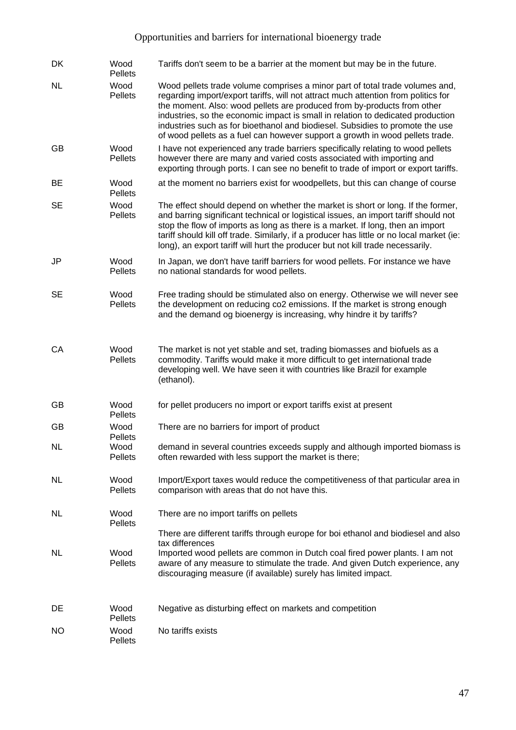| DK        | Wood<br><b>Pellets</b> | Tariffs don't seem to be a barrier at the moment but may be in the future.                                                                                                                                                                                                                                                                                                                                                                                                                         |
|-----------|------------------------|----------------------------------------------------------------------------------------------------------------------------------------------------------------------------------------------------------------------------------------------------------------------------------------------------------------------------------------------------------------------------------------------------------------------------------------------------------------------------------------------------|
| <b>NL</b> | Wood<br>Pellets        | Wood pellets trade volume comprises a minor part of total trade volumes and,<br>regarding import/export tariffs, will not attract much attention from politics for<br>the moment. Also: wood pellets are produced from by-products from other<br>industries, so the economic impact is small in relation to dedicated production<br>industries such as for bioethanol and biodiesel. Subsidies to promote the use<br>of wood pellets as a fuel can however support a growth in wood pellets trade. |
| <b>GB</b> | Wood<br><b>Pellets</b> | I have not experienced any trade barriers specifically relating to wood pellets<br>however there are many and varied costs associated with importing and<br>exporting through ports. I can see no benefit to trade of import or export tariffs.                                                                                                                                                                                                                                                    |
| BE        | Wood<br><b>Pellets</b> | at the moment no barriers exist for woodpellets, but this can change of course                                                                                                                                                                                                                                                                                                                                                                                                                     |
| <b>SE</b> | Wood<br><b>Pellets</b> | The effect should depend on whether the market is short or long. If the former,<br>and barring significant technical or logistical issues, an import tariff should not<br>stop the flow of imports as long as there is a market. If long, then an import<br>tariff should kill off trade. Similarly, if a producer has little or no local market (ie:<br>long), an export tariff will hurt the producer but not kill trade necessarily.                                                            |
| JP        | Wood<br><b>Pellets</b> | In Japan, we don't have tariff barriers for wood pellets. For instance we have<br>no national standards for wood pellets.                                                                                                                                                                                                                                                                                                                                                                          |
| <b>SE</b> | Wood<br><b>Pellets</b> | Free trading should be stimulated also on energy. Otherwise we will never see<br>the development on reducing co2 emissions. If the market is strong enough<br>and the demand og bioenergy is increasing, why hindre it by tariffs?                                                                                                                                                                                                                                                                 |
| CA        | Wood<br><b>Pellets</b> | The market is not yet stable and set, trading biomasses and biofuels as a<br>commodity. Tariffs would make it more difficult to get international trade<br>developing well. We have seen it with countries like Brazil for example<br>(ethanol).                                                                                                                                                                                                                                                   |
| <b>GB</b> | Wood<br><b>Pellets</b> | for pellet producers no import or export tariffs exist at present                                                                                                                                                                                                                                                                                                                                                                                                                                  |
| <b>GB</b> | Wood<br><b>Pellets</b> | There are no barriers for import of product                                                                                                                                                                                                                                                                                                                                                                                                                                                        |
| NL        | Wood<br>Pellets        | demand in several countries exceeds supply and although imported biomass is<br>often rewarded with less support the market is there;                                                                                                                                                                                                                                                                                                                                                               |
| <b>NL</b> | Wood<br>Pellets        | Import/Export taxes would reduce the competitiveness of that particular area in<br>comparison with areas that do not have this.                                                                                                                                                                                                                                                                                                                                                                    |
| <b>NL</b> | Wood<br>Pellets        | There are no import tariffs on pellets                                                                                                                                                                                                                                                                                                                                                                                                                                                             |
|           |                        | There are different tariffs through europe for boi ethanol and biodiesel and also<br>tax differences                                                                                                                                                                                                                                                                                                                                                                                               |
| <b>NL</b> | Wood<br>Pellets        | Imported wood pellets are common in Dutch coal fired power plants. I am not<br>aware of any measure to stimulate the trade. And given Dutch experience, any<br>discouraging measure (if available) surely has limited impact.                                                                                                                                                                                                                                                                      |
| DE        | Wood<br>Pellets        | Negative as disturbing effect on markets and competition                                                                                                                                                                                                                                                                                                                                                                                                                                           |
| NO.       | Wood<br>Pellets        | No tariffs exists                                                                                                                                                                                                                                                                                                                                                                                                                                                                                  |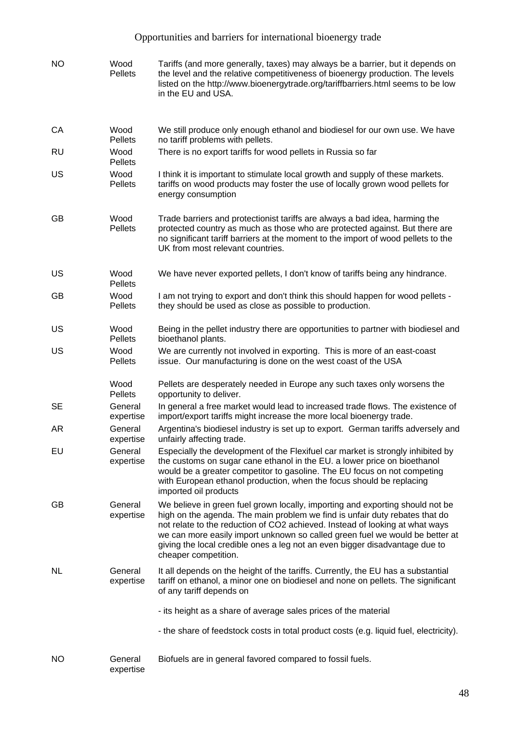| <b>NO</b> | Wood<br>Pellets        | Tariffs (and more generally, taxes) may always be a barrier, but it depends on<br>the level and the relative competitiveness of bioenergy production. The levels<br>listed on the http://www.bioenergytrade.org/tariffbarriers.html seems to be low<br>in the EU and USA.                                                                                                                                                           |
|-----------|------------------------|-------------------------------------------------------------------------------------------------------------------------------------------------------------------------------------------------------------------------------------------------------------------------------------------------------------------------------------------------------------------------------------------------------------------------------------|
| CA        | Wood<br>Pellets        | We still produce only enough ethanol and biodiesel for our own use. We have<br>no tariff problems with pellets.                                                                                                                                                                                                                                                                                                                     |
| <b>RU</b> | Wood<br><b>Pellets</b> | There is no export tariffs for wood pellets in Russia so far                                                                                                                                                                                                                                                                                                                                                                        |
| US        | Wood<br><b>Pellets</b> | I think it is important to stimulate local growth and supply of these markets.<br>tariffs on wood products may foster the use of locally grown wood pellets for<br>energy consumption                                                                                                                                                                                                                                               |
| <b>GB</b> | Wood<br>Pellets        | Trade barriers and protectionist tariffs are always a bad idea, harming the<br>protected country as much as those who are protected against. But there are<br>no significant tariff barriers at the moment to the import of wood pellets to the<br>UK from most relevant countries.                                                                                                                                                 |
| US        | Wood<br><b>Pellets</b> | We have never exported pellets, I don't know of tariffs being any hindrance.                                                                                                                                                                                                                                                                                                                                                        |
| GB        | Wood<br>Pellets        | I am not trying to export and don't think this should happen for wood pellets -<br>they should be used as close as possible to production.                                                                                                                                                                                                                                                                                          |
| <b>US</b> | Wood<br><b>Pellets</b> | Being in the pellet industry there are opportunities to partner with biodiesel and<br>bioethanol plants.                                                                                                                                                                                                                                                                                                                            |
| US        | Wood<br>Pellets        | We are currently not involved in exporting. This is more of an east-coast<br>issue. Our manufacturing is done on the west coast of the USA                                                                                                                                                                                                                                                                                          |
|           | Wood<br><b>Pellets</b> | Pellets are desperately needed in Europe any such taxes only worsens the<br>opportunity to deliver.                                                                                                                                                                                                                                                                                                                                 |
| <b>SE</b> | General<br>expertise   | In general a free market would lead to increased trade flows. The existence of<br>import/export tariffs might increase the more local bioenergy trade.                                                                                                                                                                                                                                                                              |
| AR        | General<br>expertise   | Argentina's biodiesel industry is set up to export. German tariffs adversely and<br>unfairly affecting trade.                                                                                                                                                                                                                                                                                                                       |
| EU        | General<br>expertise   | Especially the development of the Flexifuel car market is strongly inhibited by<br>the customs on sugar cane ethanol in the EU. a lower price on bioethanol<br>would be a greater competitor to gasoline. The EU focus on not competing<br>with European ethanol production, when the focus should be replacing<br>imported oil products                                                                                            |
| <b>GB</b> | General<br>expertise   | We believe in green fuel grown locally, importing and exporting should not be<br>high on the agenda. The main problem we find is unfair duty rebates that do<br>not relate to the reduction of CO2 achieved. Instead of looking at what ways<br>we can more easily import unknown so called green fuel we would be better at<br>giving the local credible ones a leg not an even bigger disadvantage due to<br>cheaper competition. |
| <b>NL</b> | General<br>expertise   | It all depends on the height of the tariffs. Currently, the EU has a substantial<br>tariff on ethanol, a minor one on biodiesel and none on pellets. The significant<br>of any tariff depends on                                                                                                                                                                                                                                    |
|           |                        | - its height as a share of average sales prices of the material                                                                                                                                                                                                                                                                                                                                                                     |
|           |                        | - the share of feedstock costs in total product costs (e.g. liquid fuel, electricity).                                                                                                                                                                                                                                                                                                                                              |
| <b>NO</b> | General<br>expertise   | Biofuels are in general favored compared to fossil fuels.                                                                                                                                                                                                                                                                                                                                                                           |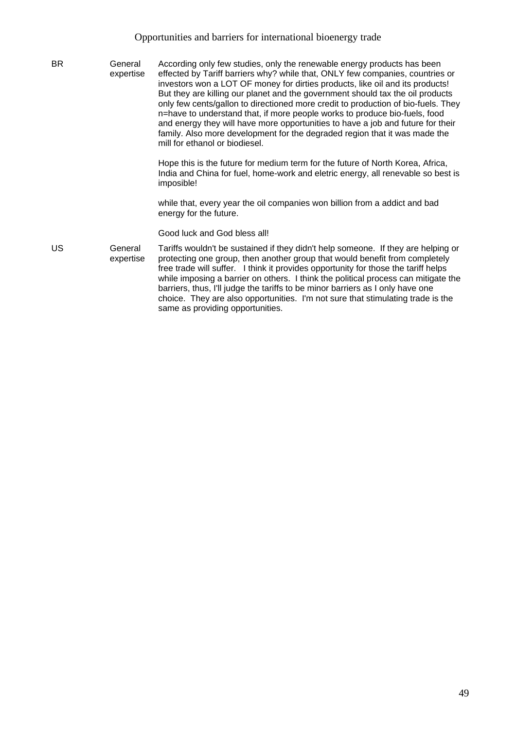BR General expertise According only few studies, only the renewable energy products has been effected by Tariff barriers why? while that, ONLY few companies, countries or investors won a LOT OF money for dirties products, like oil and its products! But they are killing our planet and the government should tax the oil products only few cents/gallon to directioned more credit to production of bio-fuels. They n=have to understand that, if more people works to produce bio-fuels, food and energy they will have more opportunities to have a job and future for their family. Also more development for the degraded region that it was made the mill for ethanol or biodiesel.

> Hope this is the future for medium term for the future of North Korea, Africa, India and China for fuel, home-work and eletric energy, all renevable so best is imposible!

while that, every year the oil companies won billion from a addict and bad energy for the future.

Good luck and God bless all!

US General expertise Tariffs wouldn't be sustained if they didn't help someone. If they are helping or protecting one group, then another group that would benefit from completely free trade will suffer. I think it provides opportunity for those the tariff helps while imposing a barrier on others. I think the political process can mitigate the barriers, thus, I'll judge the tariffs to be minor barriers as I only have one choice. They are also opportunities. I'm not sure that stimulating trade is the same as providing opportunities.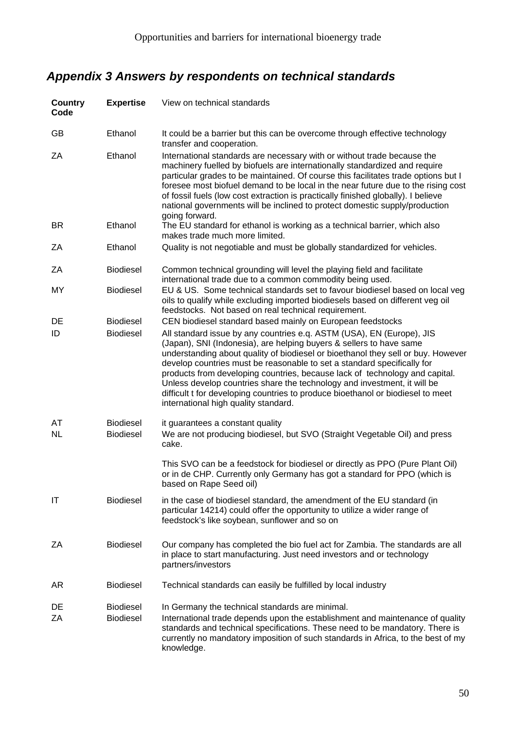# *Appendix 3 Answers by respondents on technical standards*

| Country<br>Code | <b>Expertise</b>                     | View on technical standards                                                                                                                                                                                                                                                                                                                                                                                                                                                                                                                                                                                                                                     |
|-----------------|--------------------------------------|-----------------------------------------------------------------------------------------------------------------------------------------------------------------------------------------------------------------------------------------------------------------------------------------------------------------------------------------------------------------------------------------------------------------------------------------------------------------------------------------------------------------------------------------------------------------------------------------------------------------------------------------------------------------|
| <b>GB</b>       | Ethanol                              | It could be a barrier but this can be overcome through effective technology<br>transfer and cooperation.                                                                                                                                                                                                                                                                                                                                                                                                                                                                                                                                                        |
| ΖA              | Ethanol                              | International standards are necessary with or without trade because the<br>machinery fuelled by biofuels are internationally standardized and require<br>particular grades to be maintained. Of course this facilitates trade options but I<br>foresee most biofuel demand to be local in the near future due to the rising cost<br>of fossil fuels (low cost extraction is practically finished globally). I believe<br>national governments will be inclined to protect domestic supply/production<br>going forward.                                                                                                                                          |
| <b>BR</b>       | Ethanol                              | The EU standard for ethanol is working as a technical barrier, which also<br>makes trade much more limited.                                                                                                                                                                                                                                                                                                                                                                                                                                                                                                                                                     |
| ΖA              | Ethanol                              | Quality is not negotiable and must be globally standardized for vehicles.                                                                                                                                                                                                                                                                                                                                                                                                                                                                                                                                                                                       |
| ΖA              | <b>Biodiesel</b>                     | Common technical grounding will level the playing field and facilitate<br>international trade due to a common commodity being used.                                                                                                                                                                                                                                                                                                                                                                                                                                                                                                                             |
| MY              | <b>Biodiesel</b>                     | EU & US. Some technical standards set to favour biodiesel based on local veg<br>oils to qualify while excluding imported biodiesels based on different veg oil<br>feedstocks. Not based on real technical requirement.                                                                                                                                                                                                                                                                                                                                                                                                                                          |
| DE<br>ID        | <b>Biodiesel</b><br>Biodiesel        | CEN biodiesel standard based mainly on European feedstocks<br>All standard issue by any countries e.q. ASTM (USA), EN (Europe), JIS<br>(Japan), SNI (Indonesia), are helping buyers & sellers to have same<br>understanding about quality of biodiesel or bioethanol they sell or buy. However<br>develop countries must be reasonable to set a standard specifically for<br>products from developing countries, because lack of technology and capital.<br>Unless develop countries share the technology and investment, it will be<br>difficult t for developing countries to produce bioethanol or biodiesel to meet<br>international high quality standard. |
| AT<br><b>NL</b> | <b>Biodiesel</b><br><b>Biodiesel</b> | it guarantees a constant quality<br>We are not producing biodiesel, but SVO (Straight Vegetable Oil) and press<br>cake.                                                                                                                                                                                                                                                                                                                                                                                                                                                                                                                                         |
|                 |                                      | This SVO can be a feedstock for biodiesel or directly as PPO (Pure Plant Oil)<br>or in de CHP. Currently only Germany has got a standard for PPO (which is<br>based on Rape Seed oil)                                                                                                                                                                                                                                                                                                                                                                                                                                                                           |
| IT              | Biodiesel                            | in the case of biodiesel standard, the amendment of the EU standard (in<br>particular 14214) could offer the opportunity to utilize a wider range of<br>feedstock's like soybean, sunflower and so on                                                                                                                                                                                                                                                                                                                                                                                                                                                           |
| ΖA              | <b>Biodiesel</b>                     | Our company has completed the bio fuel act for Zambia. The standards are all<br>in place to start manufacturing. Just need investors and or technology<br>partners/investors                                                                                                                                                                                                                                                                                                                                                                                                                                                                                    |
| AR              | <b>Biodiesel</b>                     | Technical standards can easily be fulfilled by local industry                                                                                                                                                                                                                                                                                                                                                                                                                                                                                                                                                                                                   |
| DE<br>ΖA        | <b>Biodiesel</b><br><b>Biodiesel</b> | In Germany the technical standards are minimal.<br>International trade depends upon the establishment and maintenance of quality<br>standards and technical specifications. These need to be mandatory. There is<br>currently no mandatory imposition of such standards in Africa, to the best of my<br>knowledge.                                                                                                                                                                                                                                                                                                                                              |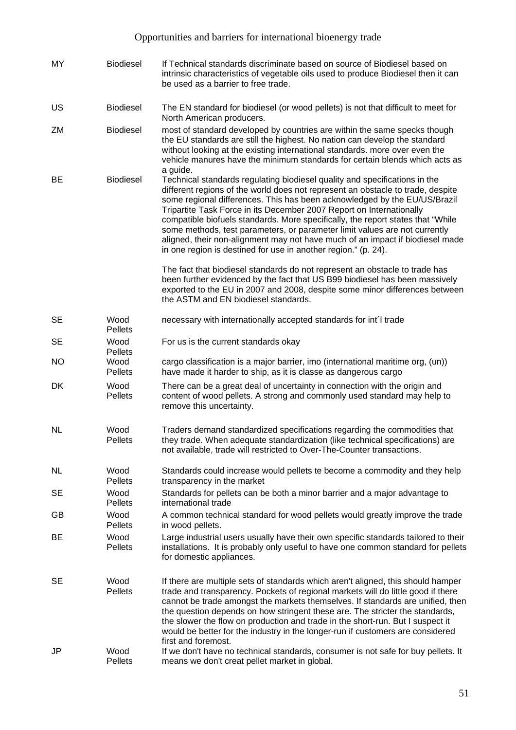| MY        | <b>Biodiesel</b>       | If Technical standards discriminate based on source of Biodiesel based on<br>intrinsic characteristics of vegetable oils used to produce Biodiesel then it can<br>be used as a barrier to free trade.                                                                                                                                                                                                                                                                                                                                                                                                                                  |
|-----------|------------------------|----------------------------------------------------------------------------------------------------------------------------------------------------------------------------------------------------------------------------------------------------------------------------------------------------------------------------------------------------------------------------------------------------------------------------------------------------------------------------------------------------------------------------------------------------------------------------------------------------------------------------------------|
| US        | <b>Biodiesel</b>       | The EN standard for biodiesel (or wood pellets) is not that difficult to meet for<br>North American producers.                                                                                                                                                                                                                                                                                                                                                                                                                                                                                                                         |
| ZM        | <b>Biodiesel</b>       | most of standard developed by countries are within the same specks though<br>the EU standards are still the highest. No nation can develop the standard<br>without looking at the existing international standards. more over even the<br>vehicle manures have the minimum standards for certain blends which acts as<br>a guide.                                                                                                                                                                                                                                                                                                      |
| BE        | <b>Biodiesel</b>       | Technical standards regulating biodiesel quality and specifications in the<br>different regions of the world does not represent an obstacle to trade, despite<br>some regional differences. This has been acknowledged by the EU/US/Brazil<br>Tripartite Task Force in its December 2007 Report on Internationally<br>compatible biofuels standards. More specifically, the report states that "While<br>some methods, test parameters, or parameter limit values are not currently<br>aligned, their non-alignment may not have much of an impact if biodiesel made<br>in one region is destined for use in another region." (p. 24). |
|           |                        | The fact that biodiesel standards do not represent an obstacle to trade has<br>been further evidenced by the fact that US B99 biodiesel has been massively<br>exported to the EU in 2007 and 2008, despite some minor differences between<br>the ASTM and EN biodiesel standards.                                                                                                                                                                                                                                                                                                                                                      |
| <b>SE</b> | Wood<br><b>Pellets</b> | necessary with internationally accepted standards for int'l trade                                                                                                                                                                                                                                                                                                                                                                                                                                                                                                                                                                      |
| <b>SE</b> | Wood<br><b>Pellets</b> | For us is the current standards okay                                                                                                                                                                                                                                                                                                                                                                                                                                                                                                                                                                                                   |
| <b>NO</b> | Wood<br><b>Pellets</b> | cargo classification is a major barrier, imo (international maritime org, (un))<br>have made it harder to ship, as it is classe as dangerous cargo                                                                                                                                                                                                                                                                                                                                                                                                                                                                                     |
| DK        | Wood<br><b>Pellets</b> | There can be a great deal of uncertainty in connection with the origin and<br>content of wood pellets. A strong and commonly used standard may help to<br>remove this uncertainty.                                                                                                                                                                                                                                                                                                                                                                                                                                                     |
| <b>NL</b> | Wood<br><b>Pellets</b> | Traders demand standardized specifications regarding the commodities that<br>they trade. When adequate standardization (like technical specifications) are<br>not available, trade will restricted to Over-The-Counter transactions.                                                                                                                                                                                                                                                                                                                                                                                                   |
| <b>NL</b> | Wood<br>Pellets        | Standards could increase would pellets te become a commodity and they help<br>transparency in the market                                                                                                                                                                                                                                                                                                                                                                                                                                                                                                                               |
| <b>SE</b> | Wood<br><b>Pellets</b> | Standards for pellets can be both a minor barrier and a major advantage to<br>international trade                                                                                                                                                                                                                                                                                                                                                                                                                                                                                                                                      |
| GB        | Wood<br><b>Pellets</b> | A common technical standard for wood pellets would greatly improve the trade<br>in wood pellets.                                                                                                                                                                                                                                                                                                                                                                                                                                                                                                                                       |
| BE        | Wood<br><b>Pellets</b> | Large industrial users usually have their own specific standards tailored to their<br>installations. It is probably only useful to have one common standard for pellets<br>for domestic appliances.                                                                                                                                                                                                                                                                                                                                                                                                                                    |
| <b>SE</b> | Wood<br><b>Pellets</b> | If there are multiple sets of standards which aren't aligned, this should hamper<br>trade and transparency. Pockets of regional markets will do little good if there<br>cannot be trade amongst the markets themselves. If standards are unified, then<br>the question depends on how stringent these are. The stricter the standards,<br>the slower the flow on production and trade in the short-run. But I suspect it<br>would be better for the industry in the longer-run if customers are considered<br>first and foremost.                                                                                                      |
| JP        | Wood<br>Pellets        | If we don't have no technical standards, consumer is not safe for buy pellets. It<br>means we don't creat pellet market in global.                                                                                                                                                                                                                                                                                                                                                                                                                                                                                                     |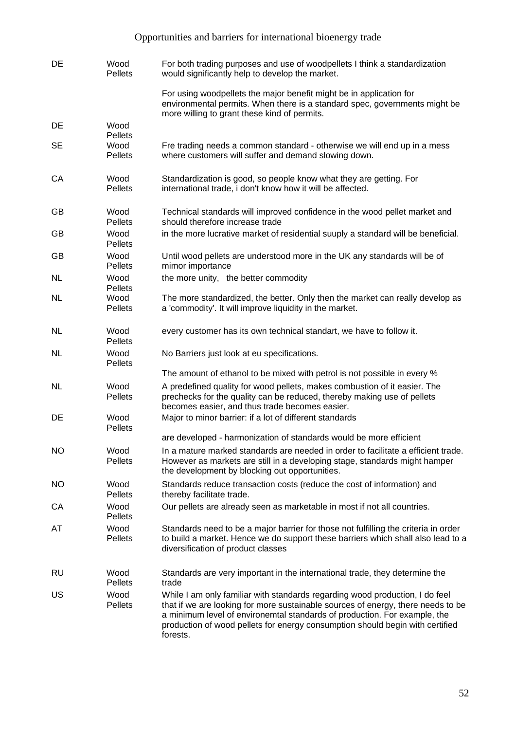| DE        | Wood<br><b>Pellets</b> | For both trading purposes and use of woodpellets I think a standardization<br>would significantly help to develop the market.                                                                                                                                                                                                              |
|-----------|------------------------|--------------------------------------------------------------------------------------------------------------------------------------------------------------------------------------------------------------------------------------------------------------------------------------------------------------------------------------------|
|           |                        | For using woodpellets the major benefit might be in application for<br>environmental permits. When there is a standard spec, governments might be<br>more willing to grant these kind of permits.                                                                                                                                          |
| DE        | Wood<br><b>Pellets</b> |                                                                                                                                                                                                                                                                                                                                            |
| <b>SE</b> | Wood<br><b>Pellets</b> | Fre trading needs a common standard - otherwise we will end up in a mess<br>where customers will suffer and demand slowing down.                                                                                                                                                                                                           |
| CA        | Wood<br><b>Pellets</b> | Standardization is good, so people know what they are getting. For<br>international trade, i don't know how it will be affected.                                                                                                                                                                                                           |
| GB        | Wood<br><b>Pellets</b> | Technical standards will improved confidence in the wood pellet market and<br>should therefore increase trade                                                                                                                                                                                                                              |
| <b>GB</b> | Wood<br><b>Pellets</b> | in the more lucrative market of residential suuply a standard will be beneficial.                                                                                                                                                                                                                                                          |
| <b>GB</b> | Wood<br><b>Pellets</b> | Until wood pellets are understood more in the UK any standards will be of<br>mimor importance                                                                                                                                                                                                                                              |
| <b>NL</b> | Wood<br><b>Pellets</b> | the more unity, the better commodity                                                                                                                                                                                                                                                                                                       |
| <b>NL</b> | Wood<br><b>Pellets</b> | The more standardized, the better. Only then the market can really develop as<br>a 'commodity'. It will improve liquidity in the market.                                                                                                                                                                                                   |
| <b>NL</b> | Wood<br><b>Pellets</b> | every customer has its own technical standart, we have to follow it.                                                                                                                                                                                                                                                                       |
| <b>NL</b> | Wood<br>Pellets        | No Barriers just look at eu specifications.                                                                                                                                                                                                                                                                                                |
|           |                        | The amount of ethanol to be mixed with petrol is not possible in every %                                                                                                                                                                                                                                                                   |
| <b>NL</b> | Wood<br><b>Pellets</b> | A predefined quality for wood pellets, makes combustion of it easier. The<br>prechecks for the quality can be reduced, thereby making use of pellets<br>becomes easier, and thus trade becomes easier.                                                                                                                                     |
| DE        | Wood<br><b>Pellets</b> | Major to minor barrier: if a lot of different standards                                                                                                                                                                                                                                                                                    |
|           |                        | are developed - harmonization of standards would be more efficient                                                                                                                                                                                                                                                                         |
| <b>NO</b> | Wood<br>Pellets        | In a mature marked standards are needed in order to facilitate a efficient trade.<br>However as markets are still in a developing stage, standards might hamper<br>the development by blocking out opportunities.                                                                                                                          |
| <b>NO</b> | Wood<br><b>Pellets</b> | Standards reduce transaction costs (reduce the cost of information) and<br>thereby facilitate trade.                                                                                                                                                                                                                                       |
| СA        | Wood<br><b>Pellets</b> | Our pellets are already seen as marketable in most if not all countries.                                                                                                                                                                                                                                                                   |
| AT        | Wood<br>Pellets        | Standards need to be a major barrier for those not fulfilling the criteria in order<br>to build a market. Hence we do support these barriers which shall also lead to a<br>diversification of product classes                                                                                                                              |
| <b>RU</b> | Wood<br><b>Pellets</b> | Standards are very important in the international trade, they determine the<br>trade                                                                                                                                                                                                                                                       |
| US        | Wood<br>Pellets        | While I am only familiar with standards regarding wood production, I do feel<br>that if we are looking for more sustainable sources of energy, there needs to be<br>a minimum level of environemtal standards of production. For example, the<br>production of wood pellets for energy consumption should begin with certified<br>forests. |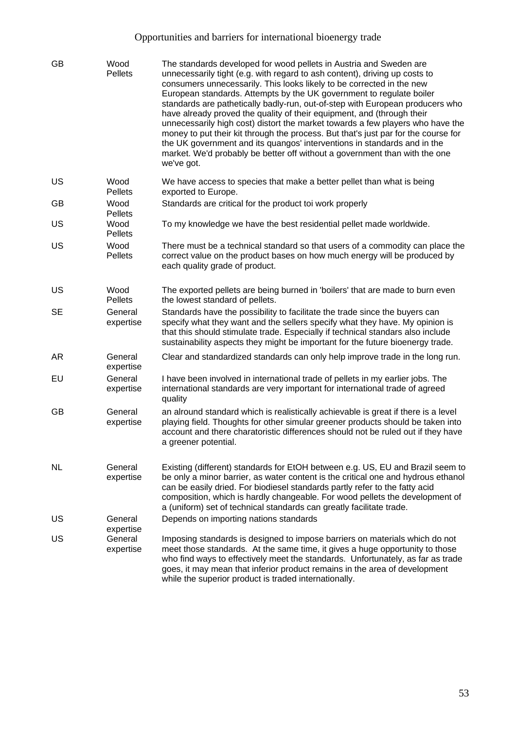| <b>GB</b> | Wood<br><b>Pellets</b> | The standards developed for wood pellets in Austria and Sweden are<br>unnecessarily tight (e.g. with regard to ash content), driving up costs to<br>consumers unnecessarily. This looks likely to be corrected in the new<br>European standards. Attempts by the UK government to regulate boiler<br>standards are pathetically badly-run, out-of-step with European producers who<br>have already proved the quality of their equipment, and (through their<br>unnecessarily high cost) distort the market towards a few players who have the<br>money to put their kit through the process. But that's just par for the course for<br>the UK government and its quangos' interventions in standards and in the<br>market. We'd probably be better off without a government than with the one<br>we've got. |
|-----------|------------------------|--------------------------------------------------------------------------------------------------------------------------------------------------------------------------------------------------------------------------------------------------------------------------------------------------------------------------------------------------------------------------------------------------------------------------------------------------------------------------------------------------------------------------------------------------------------------------------------------------------------------------------------------------------------------------------------------------------------------------------------------------------------------------------------------------------------|
| <b>US</b> | Wood<br><b>Pellets</b> | We have access to species that make a better pellet than what is being<br>exported to Europe.                                                                                                                                                                                                                                                                                                                                                                                                                                                                                                                                                                                                                                                                                                                |
| <b>GB</b> | Wood<br><b>Pellets</b> | Standards are critical for the product toi work properly                                                                                                                                                                                                                                                                                                                                                                                                                                                                                                                                                                                                                                                                                                                                                     |
| <b>US</b> | Wood<br><b>Pellets</b> | To my knowledge we have the best residential pellet made worldwide.                                                                                                                                                                                                                                                                                                                                                                                                                                                                                                                                                                                                                                                                                                                                          |
| US        | Wood<br><b>Pellets</b> | There must be a technical standard so that users of a commodity can place the<br>correct value on the product bases on how much energy will be produced by<br>each quality grade of product.                                                                                                                                                                                                                                                                                                                                                                                                                                                                                                                                                                                                                 |
| <b>US</b> | Wood<br><b>Pellets</b> | The exported pellets are being burned in 'boilers' that are made to burn even<br>the lowest standard of pellets.                                                                                                                                                                                                                                                                                                                                                                                                                                                                                                                                                                                                                                                                                             |
| <b>SE</b> | General<br>expertise   | Standards have the possibility to facilitate the trade since the buyers can<br>specify what they want and the sellers specify what they have. My opinion is<br>that this should stimulate trade. Especially if technical standars also include<br>sustainability aspects they might be important for the future bioenergy trade.                                                                                                                                                                                                                                                                                                                                                                                                                                                                             |
| AR.       | General<br>expertise   | Clear and standardized standards can only help improve trade in the long run.                                                                                                                                                                                                                                                                                                                                                                                                                                                                                                                                                                                                                                                                                                                                |
| EU        | General<br>expertise   | I have been involved in international trade of pellets in my earlier jobs. The<br>international standards are very important for international trade of agreed<br>quality                                                                                                                                                                                                                                                                                                                                                                                                                                                                                                                                                                                                                                    |
| <b>GB</b> | General<br>expertise   | an alround standard which is realistically achievable is great if there is a level<br>playing field. Thoughts for other simular greener products should be taken into<br>account and there charatoristic differences should not be ruled out if they have<br>a greener potential.                                                                                                                                                                                                                                                                                                                                                                                                                                                                                                                            |
| <b>NL</b> | General<br>expertise   | Existing (different) standards for EtOH between e.g. US, EU and Brazil seem to<br>be only a minor barrier, as water content is the critical one and hydrous ethanol<br>can be easily dried. For biodiesel standards partly refer to the fatty acid<br>composition, which is hardly changeable. For wood pellets the development of<br>a (uniform) set of technical standards can greatly facilitate trade.                                                                                                                                                                                                                                                                                                                                                                                                   |
| <b>US</b> | General<br>expertise   | Depends on importing nations standards                                                                                                                                                                                                                                                                                                                                                                                                                                                                                                                                                                                                                                                                                                                                                                       |
| US        | General<br>expertise   | Imposing standards is designed to impose barriers on materials which do not<br>meet those standards. At the same time, it gives a huge opportunity to those<br>who find ways to effectively meet the standards. Unfortunately, as far as trade<br>goes, it may mean that inferior product remains in the area of development<br>while the superior product is traded internationally.                                                                                                                                                                                                                                                                                                                                                                                                                        |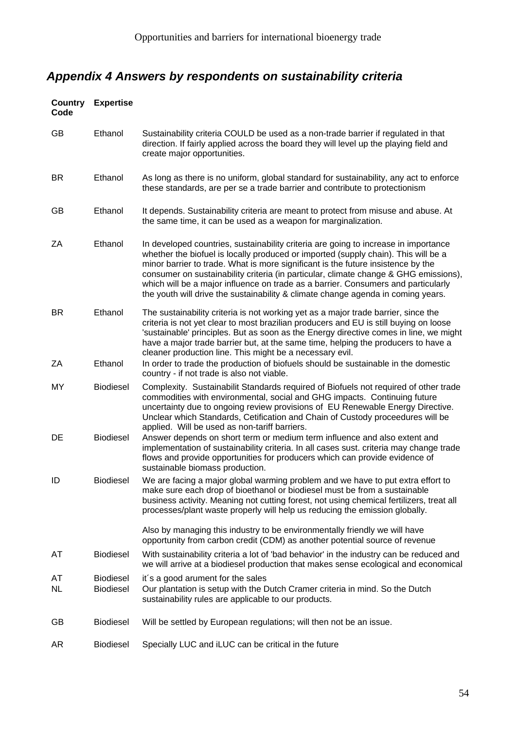## *Appendix 4 Answers by respondents on sustainability criteria*

| Country<br>Code | <b>Expertise</b>                     |                                                                                                                                                                                                                                                                                                                                                                                                                                                                                                                                |
|-----------------|--------------------------------------|--------------------------------------------------------------------------------------------------------------------------------------------------------------------------------------------------------------------------------------------------------------------------------------------------------------------------------------------------------------------------------------------------------------------------------------------------------------------------------------------------------------------------------|
| <b>GB</b>       | Ethanol                              | Sustainability criteria COULD be used as a non-trade barrier if regulated in that<br>direction. If fairly applied across the board they will level up the playing field and<br>create major opportunities.                                                                                                                                                                                                                                                                                                                     |
| BR.             | Ethanol                              | As long as there is no uniform, global standard for sustainability, any act to enforce<br>these standards, are per se a trade barrier and contribute to protectionism                                                                                                                                                                                                                                                                                                                                                          |
| <b>GB</b>       | Ethanol                              | It depends. Sustainability criteria are meant to protect from misuse and abuse. At<br>the same time, it can be used as a weapon for marginalization.                                                                                                                                                                                                                                                                                                                                                                           |
| ΖA              | Ethanol                              | In developed countries, sustainability criteria are going to increase in importance<br>whether the biofuel is locally produced or imported (supply chain). This will be a<br>minor barrier to trade. What is more significant is the future insistence by the<br>consumer on sustainability criteria (in particular, climate change & GHG emissions),<br>which will be a major influence on trade as a barrier. Consumers and particularly<br>the youth will drive the sustainability & climate change agenda in coming years. |
| <b>BR</b>       | Ethanol                              | The sustainability criteria is not working yet as a major trade barrier, since the<br>criteria is not yet clear to most brazilian producers and EU is still buying on loose<br>'sustainable' principles. But as soon as the Energy directive comes in line, we might<br>have a major trade barrier but, at the same time, helping the producers to have a<br>cleaner production line. This might be a necessary evil.                                                                                                          |
| ΖA              | Ethanol                              | In order to trade the production of biofuels should be sustainable in the domestic<br>country - if not trade is also not viable.                                                                                                                                                                                                                                                                                                                                                                                               |
| MY              | Biodiesel                            | Complexity. Sustainabilit Standards required of Biofuels not required of other trade<br>commodities with environmental, social and GHG impacts. Continuing future<br>uncertainty due to ongoing review provisions of EU Renewable Energy Directive.<br>Unclear which Standards, Cetification and Chain of Custody proceedures will be<br>applied. Will be used as non-tariff barriers.                                                                                                                                         |
| DE              | <b>Biodiesel</b>                     | Answer depends on short term or medium term influence and also extent and<br>implementation of sustainability criteria. In all cases sust. criteria may change trade<br>flows and provide opportunities for producers which can provide evidence of<br>sustainable biomass production.                                                                                                                                                                                                                                         |
| ID              | <b>Biodiesel</b>                     | We are facing a major global warming problem and we have to put extra effort to<br>make sure each drop of bioethanol or biodiesel must be from a sustainable<br>business activity. Meaning not cutting forest, not using chemical fertilizers, treat all<br>processes/plant waste properly will help us reducing the emission globally.                                                                                                                                                                                        |
|                 |                                      | Also by managing this industry to be environmentally friendly we will have<br>opportunity from carbon credit (CDM) as another potential source of revenue                                                                                                                                                                                                                                                                                                                                                                      |
| AT              | <b>Biodiesel</b>                     | With sustainability criteria a lot of 'bad behavior' in the industry can be reduced and<br>we will arrive at a biodiesel production that makes sense ecological and economical                                                                                                                                                                                                                                                                                                                                                 |
| AT<br><b>NL</b> | <b>Biodiesel</b><br><b>Biodiesel</b> | it's a good arument for the sales<br>Our plantation is setup with the Dutch Cramer criteria in mind. So the Dutch<br>sustainability rules are applicable to our products.                                                                                                                                                                                                                                                                                                                                                      |
| GB              | <b>Biodiesel</b>                     | Will be settled by European regulations; will then not be an issue.                                                                                                                                                                                                                                                                                                                                                                                                                                                            |
| AR              | <b>Biodiesel</b>                     | Specially LUC and iLUC can be critical in the future                                                                                                                                                                                                                                                                                                                                                                                                                                                                           |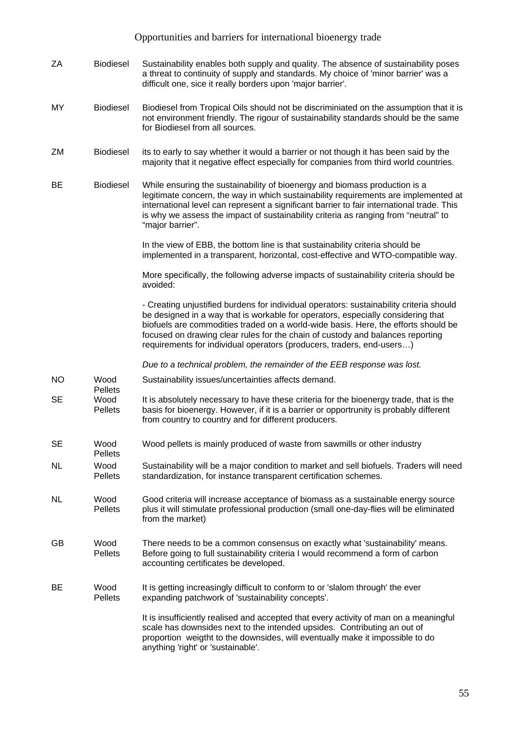- ZA Biodiesel Sustainability enables both supply and quality. The absence of sustainability poses a threat to continuity of supply and standards. My choice of 'minor barrier' was a difficult one, sice it really borders upon 'major barrier'.
- MY Biodiesel Biodiesel from Tropical Oils should not be discriminiated on the assumption that it is not environment friendly. The rigour of sustainability standards should be the same for Biodiesel from all sources.
- ZM Biodiesel its to early to say whether it would a barrier or not though it has been said by the majority that it negative effect especially for companies from third world countries.
- BE Biodiesel While ensuring the sustainability of bioenergy and biomass production is a legitimate concern, the way in which sustainability requirements are implemented at international level can represent a significant barrier to fair international trade. This is why we assess the impact of sustainability criteria as ranging from "neutral" to "major barrier".

In the view of EBB, the bottom line is that sustainability criteria should be implemented in a transparent, horizontal, cost-effective and WTO-compatible way.

More specifically, the following adverse impacts of sustainability criteria should be avoided:

- Creating unjustified burdens for individual operators: sustainability criteria should be designed in a way that is workable for operators, especially considering that biofuels are commodities traded on a world-wide basis. Here, the efforts should be focused on drawing clear rules for the chain of custody and balances reporting requirements for individual operators (producers, traders, end-users…)

*Due to a technical problem, the remainder of the EEB response was lost.*

- NO Wood Pellets Sustainability issues/uncertainties affects demand.
- SE Wood Pellets It is absolutely necessary to have these criteria for the bioenergy trade, that is the basis for bioenergy. However, if it is a barrier or opportrunity is probably different from country to country and for different producers.
- SE Wood Pellets Wood pellets is mainly produced of waste from sawmills or other industry
- NL Wood Pellets Sustainability will be a major condition to market and sell biofuels. Traders will need standardization, for instance transparent certification schemes.
- NL Wood Pellets Good criteria will increase acceptance of biomass as a sustainable energy source plus it will stimulate professional production (small one-day-flies will be eliminated from the market)
- GB Wood Pellets There needs to be a common consensus on exactly what 'sustainability' means. Before going to full sustainability criteria I would recommend a form of carbon accounting certificates be developed.
- BE Wood Pellets It is getting increasingly difficult to conform to or 'slalom through' the ever expanding patchwork of 'sustainability concepts'.

It is insufficiently realised and accepted that every activity of man on a meaningful scale has downsides next to the intended upsides. Contributing an out of proportion weigtht to the downsides, will eventually make it impossible to do anything 'right' or 'sustainable'.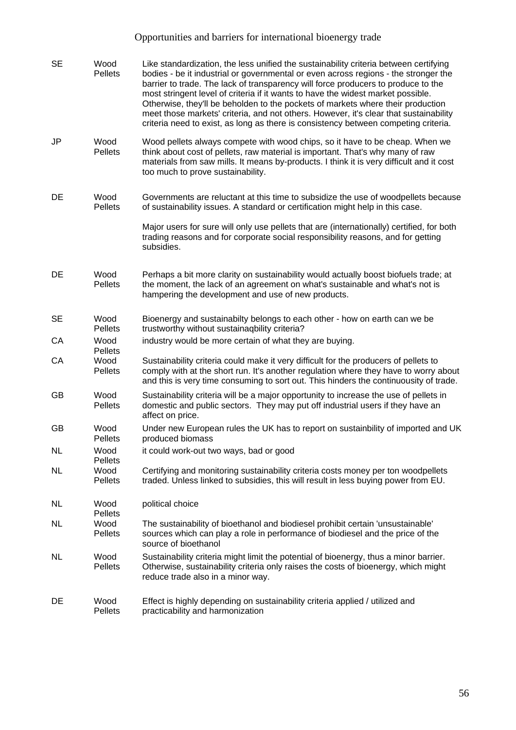| <b>SE</b> | Wood<br><b>Pellets</b> | Like standardization, the less unified the sustainability criteria between certifying<br>bodies - be it industrial or governmental or even across regions - the stronger the<br>barrier to trade. The lack of transparency will force producers to produce to the<br>most stringent level of criteria if it wants to have the widest market possible.<br>Otherwise, they'll be beholden to the pockets of markets where their production<br>meet those markets' criteria, and not others. However, it's clear that sustainability<br>criteria need to exist, as long as there is consistency between competing criteria. |
|-----------|------------------------|--------------------------------------------------------------------------------------------------------------------------------------------------------------------------------------------------------------------------------------------------------------------------------------------------------------------------------------------------------------------------------------------------------------------------------------------------------------------------------------------------------------------------------------------------------------------------------------------------------------------------|
| JP        | Wood<br><b>Pellets</b> | Wood pellets always compete with wood chips, so it have to be cheap. When we<br>think about cost of pellets, raw material is important. That's why many of raw<br>materials from saw mills. It means by-products. I think it is very difficult and it cost<br>too much to prove sustainability.                                                                                                                                                                                                                                                                                                                          |
| DE        | Wood<br><b>Pellets</b> | Governments are reluctant at this time to subsidize the use of woodpellets because<br>of sustainability issues. A standard or certification might help in this case.                                                                                                                                                                                                                                                                                                                                                                                                                                                     |
|           |                        | Major users for sure will only use pellets that are (internationally) certified, for both<br>trading reasons and for corporate social responsibility reasons, and for getting<br>subsidies.                                                                                                                                                                                                                                                                                                                                                                                                                              |
| DE        | Wood<br><b>Pellets</b> | Perhaps a bit more clarity on sustainability would actually boost biofuels trade; at<br>the moment, the lack of an agreement on what's sustainable and what's not is<br>hampering the development and use of new products.                                                                                                                                                                                                                                                                                                                                                                                               |
| <b>SE</b> | Wood<br><b>Pellets</b> | Bioenergy and sustainabilty belongs to each other - how on earth can we be<br>trustworthy without sustainaqbility criteria?                                                                                                                                                                                                                                                                                                                                                                                                                                                                                              |
| CA        | Wood<br><b>Pellets</b> | industry would be more certain of what they are buying.                                                                                                                                                                                                                                                                                                                                                                                                                                                                                                                                                                  |
| CA        | Wood<br><b>Pellets</b> | Sustainability criteria could make it very difficult for the producers of pellets to<br>comply with at the short run. It's another regulation where they have to worry about<br>and this is very time consuming to sort out. This hinders the continuousity of trade.                                                                                                                                                                                                                                                                                                                                                    |
| <b>GB</b> | Wood<br><b>Pellets</b> | Sustainability criteria will be a major opportunity to increase the use of pellets in<br>domestic and public sectors. They may put off industrial users if they have an<br>affect on price.                                                                                                                                                                                                                                                                                                                                                                                                                              |
| <b>GB</b> | Wood<br><b>Pellets</b> | Under new European rules the UK has to report on sustainbility of imported and UK<br>produced biomass                                                                                                                                                                                                                                                                                                                                                                                                                                                                                                                    |
| <b>NL</b> | Wood<br><b>Pellets</b> | it could work-out two ways, bad or good                                                                                                                                                                                                                                                                                                                                                                                                                                                                                                                                                                                  |
| <b>NL</b> | Wood<br>Pellets        | Certifying and monitoring sustainability criteria costs money per ton woodpellets<br>traded. Unless linked to subsidies, this will result in less buying power from EU.                                                                                                                                                                                                                                                                                                                                                                                                                                                  |
| <b>NL</b> | Wood<br><b>Pellets</b> | political choice                                                                                                                                                                                                                                                                                                                                                                                                                                                                                                                                                                                                         |
| <b>NL</b> | Wood<br>Pellets        | The sustainability of bioethanol and biodiesel prohibit certain 'unsustainable'<br>sources which can play a role in performance of biodiesel and the price of the<br>source of bioethanol                                                                                                                                                                                                                                                                                                                                                                                                                                |
| <b>NL</b> | Wood<br>Pellets        | Sustainability criteria might limit the potential of bioenergy, thus a minor barrier.<br>Otherwise, sustainability criteria only raises the costs of bioenergy, which might<br>reduce trade also in a minor way.                                                                                                                                                                                                                                                                                                                                                                                                         |
| DE        | Wood<br>Pellets        | Effect is highly depending on sustainability criteria applied / utilized and<br>practicability and harmonization                                                                                                                                                                                                                                                                                                                                                                                                                                                                                                         |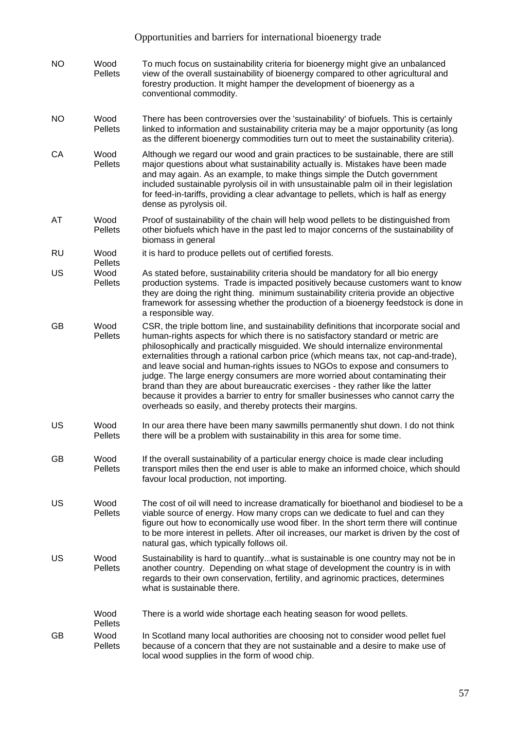- NO Wood Pellets To much focus on sustainability criteria for bioenergy might give an unbalanced view of the overall sustainability of bioenergy compared to other agricultural and forestry production. It might hamper the development of bioenergy as a conventional commodity.
- NO Wood Pellets There has been controversies over the 'sustainability' of biofuels. This is certainly linked to information and sustainability criteria may be a major opportunity (as long as the different bioenergy commodities turn out to meet the sustainability criteria).
- CA Wood Pellets Although we regard our wood and grain practices to be sustainable, there are still major questions about what sustainability actually is. Mistakes have been made and may again. As an example, to make things simple the Dutch government included sustainable pyrolysis oil in with unsustainable palm oil in their legislation for feed-in-tariffs, providing a clear advantage to pellets, which is half as energy dense as pyrolysis oil.
- AT Wood **Pellets** Proof of sustainability of the chain will help wood pellets to be distinguished from other biofuels which have in the past led to major concerns of the sustainability of biomass in general
- RU Wood it is hard to produce pellets out of certified forests.

Pellets

- US Wood Pellets As stated before, sustainability criteria should be mandatory for all bio energy production systems. Trade is impacted positively because customers want to know they are doing the right thing. minimum sustainability criteria provide an objective framework for assessing whether the production of a bioenergy feedstock is done in a responsible way.
- GB Wood Pellets CSR, the triple bottom line, and sustainability definitions that incorporate social and human-rights aspects for which there is no satisfactory standard or metric are philosophically and practically misguided. We should internalize environmental externalities through a rational carbon price (which means tax, not cap-and-trade), and leave social and human-rights issues to NGOs to expose and consumers to judge. The large energy consumers are more worried about contaminating their brand than they are about bureaucratic exercises - they rather like the latter because it provides a barrier to entry for smaller businesses who cannot carry the overheads so easily, and thereby protects their margins.
- US Wood Pellets In our area there have been many sawmills permanently shut down. I do not think there will be a problem with sustainability in this area for some time.
- GB Wood Pellets If the overall sustainability of a particular energy choice is made clear including transport miles then the end user is able to make an informed choice, which should favour local production, not importing.
- US Wood Pellets The cost of oil will need to increase dramatically for bioethanol and biodiesel to be a viable source of energy. How many crops can we dedicate to fuel and can they figure out how to economically use wood fiber. In the short term there will continue to be more interest in pellets. After oil increases, our market is driven by the cost of natural gas, which typically follows oil.
- US Wood Pellets Sustainability is hard to quantify...what is sustainable is one country may not be in another country. Depending on what stage of development the country is in with regards to their own conservation, fertility, and agrinomic practices, determines what is sustainable there.

#### Wood Pellets There is a world wide shortage each heating season for wood pellets. GB Wood Pellets In Scotland many local authorities are choosing not to consider wood pellet fuel because of a concern that they are not sustainable and a desire to make use of local wood supplies in the form of wood chip.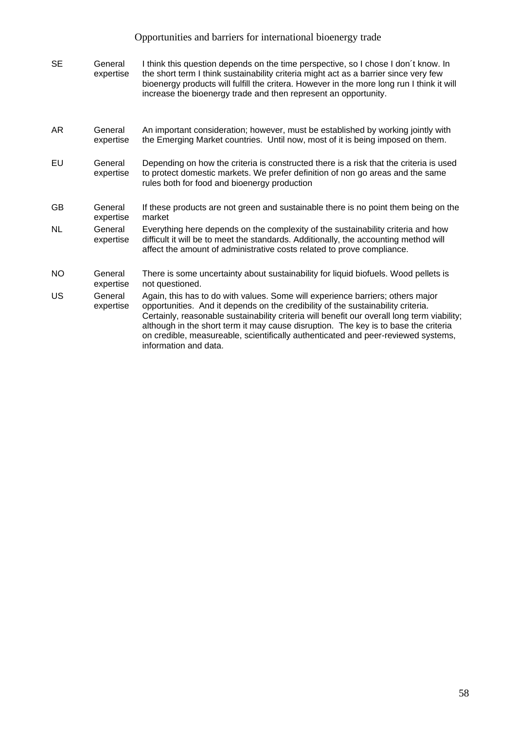- SE General expertise I think this question depends on the time perspective, so I chose I don´t know. In the short term I think sustainability criteria might act as a barrier since very few bioenergy products will fulfill the critera. However in the more long run I think it will increase the bioenergy trade and then represent an opportunity.
- AR General expertise An important consideration; however, must be established by working jointly with the Emerging Market countries. Until now, most of it is being imposed on them.
- EU General expertise Depending on how the criteria is constructed there is a risk that the criteria is used to protect domestic markets. We prefer definition of non go areas and the same rules both for food and bioenergy production
- GB General expertise If these products are not green and sustainable there is no point them being on the market
- NL General expertise Everything here depends on the complexity of the sustainability criteria and how difficult it will be to meet the standards. Additionally, the accounting method will affect the amount of administrative costs related to prove compliance.
- NO General expertise There is some uncertainty about sustainability for liquid biofuels. Wood pellets is not questioned.
- US General expertise Again, this has to do with values. Some will experience barriers; others major opportunities. And it depends on the credibility of the sustainability criteria. Certainly, reasonable sustainability criteria will benefit our overall long term viability; although in the short term it may cause disruption. The key is to base the criteria on credible, measureable, scientifically authenticated and peer-reviewed systems, information and data.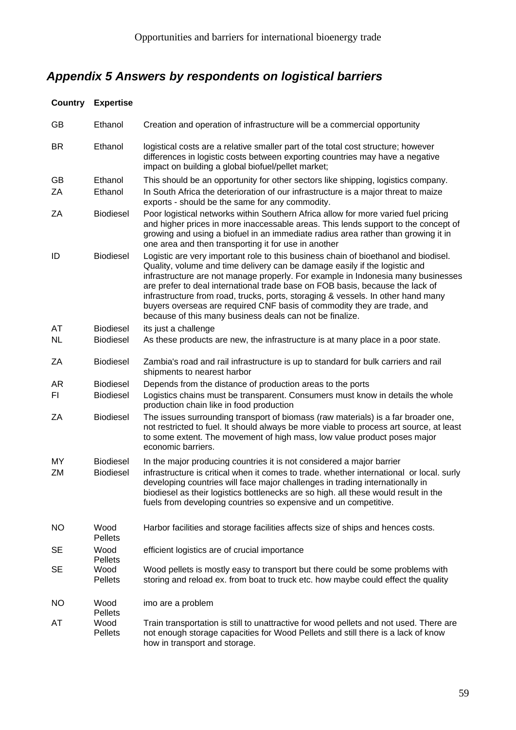# *Appendix 5 Answers by respondents on logistical barriers*

| Country   | <b>Expertise</b>       |                                                                                                                                                                                                                                                                                                                                                                                                                                                                                                                                                                   |
|-----------|------------------------|-------------------------------------------------------------------------------------------------------------------------------------------------------------------------------------------------------------------------------------------------------------------------------------------------------------------------------------------------------------------------------------------------------------------------------------------------------------------------------------------------------------------------------------------------------------------|
| GB        | Ethanol                | Creation and operation of infrastructure will be a commercial opportunity                                                                                                                                                                                                                                                                                                                                                                                                                                                                                         |
| <b>BR</b> | Ethanol                | logistical costs are a relative smaller part of the total cost structure; however<br>differences in logistic costs between exporting countries may have a negative<br>impact on building a global biofuel/pellet market;                                                                                                                                                                                                                                                                                                                                          |
| GB        | Ethanol                | This should be an opportunity for other sectors like shipping, logistics company.                                                                                                                                                                                                                                                                                                                                                                                                                                                                                 |
| ΖA        | Ethanol                | In South Africa the deterioration of our infrastructure is a major threat to maize<br>exports - should be the same for any commodity.                                                                                                                                                                                                                                                                                                                                                                                                                             |
| ΖA        | Biodiesel              | Poor logistical networks within Southern Africa allow for more varied fuel pricing<br>and higher prices in more inaccessable areas. This lends support to the concept of<br>growing and using a biofuel in an immediate radius area rather than growing it in<br>one area and then transporting it for use in another                                                                                                                                                                                                                                             |
| ID        | <b>Biodiesel</b>       | Logistic are very important role to this business chain of bioethanol and biodisel.<br>Quality, volume and time delivery can be damage easily if the logistic and<br>infrastructure are not manage properly. For example in Indonesia many businesses<br>are prefer to deal international trade base on FOB basis, because the lack of<br>infrastructure from road, trucks, ports, storaging & vessels. In other hand many<br>buyers overseas are required CNF basis of commodity they are trade, and<br>because of this many business deals can not be finalize. |
| AT        | Biodiesel              | its just a challenge                                                                                                                                                                                                                                                                                                                                                                                                                                                                                                                                              |
| <b>NL</b> | Biodiesel              | As these products are new, the infrastructure is at many place in a poor state.                                                                                                                                                                                                                                                                                                                                                                                                                                                                                   |
| ΖA        | <b>Biodiesel</b>       | Zambia's road and rail infrastructure is up to standard for bulk carriers and rail<br>shipments to nearest harbor                                                                                                                                                                                                                                                                                                                                                                                                                                                 |
| AR        | <b>Biodiesel</b>       | Depends from the distance of production areas to the ports                                                                                                                                                                                                                                                                                                                                                                                                                                                                                                        |
| FI.       | <b>Biodiesel</b>       | Logistics chains must be transparent. Consumers must know in details the whole<br>production chain like in food production                                                                                                                                                                                                                                                                                                                                                                                                                                        |
| ΖA        | Biodiesel              | The issues surrounding transport of biomass (raw materials) is a far broader one,<br>not restricted to fuel. It should always be more viable to process art source, at least<br>to some extent. The movement of high mass, low value product poses major<br>economic barriers.                                                                                                                                                                                                                                                                                    |
| MY        | <b>Biodiesel</b>       | In the major producing countries it is not considered a major barrier                                                                                                                                                                                                                                                                                                                                                                                                                                                                                             |
| ZM        | <b>Biodiesel</b>       | infrastructure is critical when it comes to trade. whether international or local. surly<br>developing countries will face major challenges in trading internationally in<br>biodiesel as their logistics bottlenecks are so high. all these would result in the<br>fuels from developing countries so expensive and un competitive.                                                                                                                                                                                                                              |
| <b>NO</b> | Wood<br><b>Pellets</b> | Harbor facilities and storage facilities affects size of ships and hences costs.                                                                                                                                                                                                                                                                                                                                                                                                                                                                                  |
| <b>SE</b> | Wood<br>Pellets        | efficient logistics are of crucial importance                                                                                                                                                                                                                                                                                                                                                                                                                                                                                                                     |
| <b>SE</b> | Wood<br>Pellets        | Wood pellets is mostly easy to transport but there could be some problems with<br>storing and reload ex. from boat to truck etc. how maybe could effect the quality                                                                                                                                                                                                                                                                                                                                                                                               |
| NO.       | Wood<br><b>Pellets</b> | imo are a problem                                                                                                                                                                                                                                                                                                                                                                                                                                                                                                                                                 |
| AT        | Wood<br>Pellets        | Train transportation is still to unattractive for wood pellets and not used. There are<br>not enough storage capacities for Wood Pellets and still there is a lack of know<br>how in transport and storage.                                                                                                                                                                                                                                                                                                                                                       |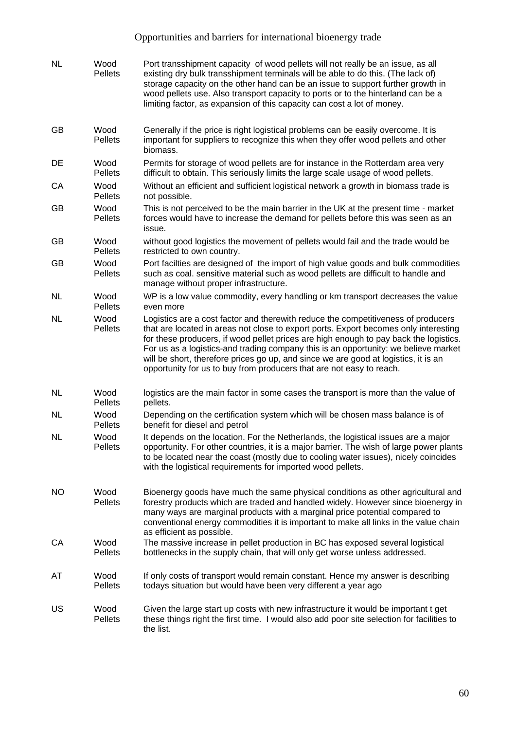NL Wood Pellets Port transshipment capacity of wood pellets will not really be an issue, as all existing dry bulk transshipment terminals will be able to do this. (The lack of) storage capacity on the other hand can be an issue to support further growth in wood pellets use. Also transport capacity to ports or to the hinterland can be a limiting factor, as expansion of this capacity can cost a lot of money. GB Wood Pellets Generally if the price is right logistical problems can be easily overcome. It is important for suppliers to recognize this when they offer wood pellets and other biomass. DE Wood Pellets Permits for storage of wood pellets are for instance in the Rotterdam area very difficult to obtain. This seriously limits the large scale usage of wood pellets. CA Wood Pellets Without an efficient and sufficient logistical network a growth in biomass trade is not possible. GB Wood Pellets This is not perceived to be the main barrier in the UK at the present time - market forces would have to increase the demand for pellets before this was seen as an issue. GB Wood Pellets without good logistics the movement of pellets would fail and the trade would be restricted to own country. GB Wood Pellets Port facilties are designed of the import of high value goods and bulk commodities such as coal. sensitive material such as wood pellets are difficult to handle and manage without proper infrastructure. NL Wood Pellets WP is a low value commodity, every handling or km transport decreases the value even more NL Wood Pellets Logistics are a cost factor and therewith reduce the competitiveness of producers that are located in areas not close to export ports. Export becomes only interesting for these producers, if wood pellet prices are high enough to pay back the logistics. For us as a logistics-and trading company this is an opportunity: we believe market will be short, therefore prices go up, and since we are good at logistics, it is an opportunity for us to buy from producers that are not easy to reach. NL Wood Pellets logistics are the main factor in some cases the transport is more than the value of pellets. NL Wood Pellets Depending on the certification system which will be chosen mass balance is of benefit for diesel and petrol NL Wood **Pellets** It depends on the location. For the Netherlands, the logistical issues are a major opportunity. For other countries, it is a major barrier. The wish of large power plants to be located near the coast (mostly due to cooling water issues), nicely coincides with the logistical requirements for imported wood pellets. NO Wood Pellets Bioenergy goods have much the same physical conditions as other agricultural and forestry products which are traded and handled widely. However since bioenergy in many ways are marginal products with a marginal price potential compared to conventional energy commodities it is important to make all links in the value chain as efficient as possible. CA Wood **Pellets** The massive increase in pellet production in BC has exposed several logistical bottlenecks in the supply chain, that will only get worse unless addressed. AT Wood Pellets If only costs of transport would remain constant. Hence my answer is describing todays situation but would have been very different a year ago US Wood Pellets Given the large start up costs with new infrastructure it would be important t get these things right the first time. I would also add poor site selection for facilities to the list.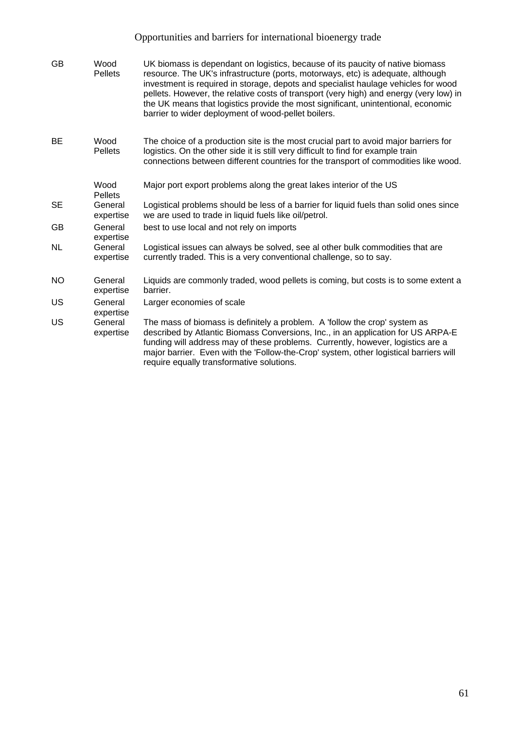- GB Wood Pellets UK biomass is dependant on logistics, because of its paucity of native biomass resource. The UK's infrastructure (ports, motorways, etc) is adequate, although investment is required in storage, depots and specialist haulage vehicles for wood pellets. However, the relative costs of transport (very high) and energy (very low) in the UK means that logistics provide the most significant, unintentional, economic barrier to wider deployment of wood-pellet boilers.
- BE Wood Pellets The choice of a production site is the most crucial part to avoid major barriers for logistics. On the other side it is still very difficult to find for example train connections between different countries for the transport of commodities like wood.
	- Wood Pellets Major port export problems along the great lakes interior of the US
- SE General expertise Logistical problems should be less of a barrier for liquid fuels than solid ones since we are used to trade in liquid fuels like oil/petrol.
- GB General best to use local and not rely on imports
- expertise NL General expertise Logistical issues can always be solved, see al other bulk commodities that are currently traded. This is a very conventional challenge, so to say.
- NO General expertise Liquids are commonly traded, wood pellets is coming, but costs is to some extent a barrier.
- US General expertise Larger economies of scale
- US General expertise The mass of biomass is definitely a problem. A 'follow the crop' system as described by Atlantic Biomass Conversions, Inc., in an application for US ARPA-E funding will address may of these problems. Currently, however, logistics are a major barrier. Even with the 'Follow-the-Crop' system, other logistical barriers will require equally transformative solutions.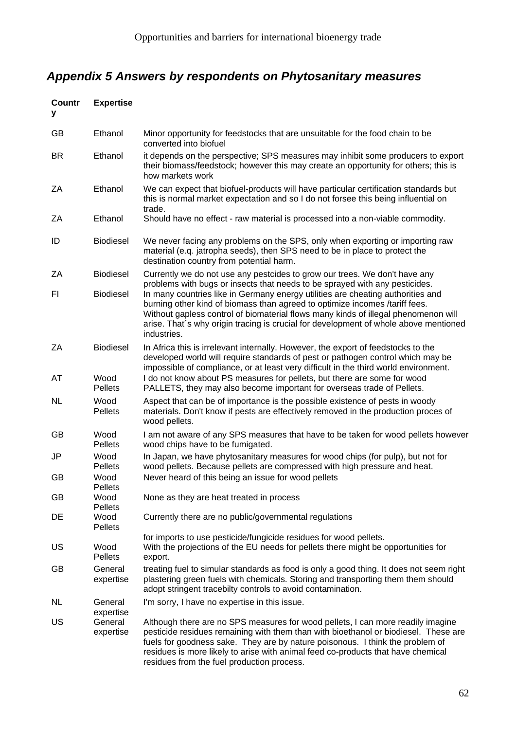# *Appendix 5 Answers by respondents on Phytosanitary measures*

| <b>Countr</b><br>у | <b>Expertise</b>       |                                                                                                                                                                                                                                                                                                                                                                                           |
|--------------------|------------------------|-------------------------------------------------------------------------------------------------------------------------------------------------------------------------------------------------------------------------------------------------------------------------------------------------------------------------------------------------------------------------------------------|
| GB                 | Ethanol                | Minor opportunity for feedstocks that are unsuitable for the food chain to be<br>converted into biofuel                                                                                                                                                                                                                                                                                   |
| <b>BR</b>          | Ethanol                | it depends on the perspective; SPS measures may inhibit some producers to export<br>their biomass/feedstock; however this may create an opportunity for others; this is<br>how markets work                                                                                                                                                                                               |
| ΖA                 | Ethanol                | We can expect that biofuel-products will have particular certification standards but<br>this is normal market expectation and so I do not forsee this being influential on<br>trade.                                                                                                                                                                                                      |
| ΖA                 | Ethanol                | Should have no effect - raw material is processed into a non-viable commodity.                                                                                                                                                                                                                                                                                                            |
| ID                 | <b>Biodiesel</b>       | We never facing any problems on the SPS, only when exporting or importing raw<br>material (e.g. jatropha seeds), then SPS need to be in place to protect the<br>destination country from potential harm.                                                                                                                                                                                  |
| ΖA                 | <b>Biodiesel</b>       | Currently we do not use any pestcides to grow our trees. We don't have any<br>problems with bugs or insects that needs to be sprayed with any pesticides.                                                                                                                                                                                                                                 |
| FI                 | <b>Biodiesel</b>       | In many countries like in Germany energy utilities are cheating authorities and<br>burning other kind of biomass than agreed to optimize incomes /tariff fees.<br>Without gapless control of biomaterial flows many kinds of illegal phenomenon will<br>arise. That's why origin tracing is crucial for development of whole above mentioned<br>industries.                               |
| ΖA                 | <b>Biodiesel</b>       | In Africa this is irrelevant internally. However, the export of feedstocks to the<br>developed world will require standards of pest or pathogen control which may be<br>impossible of compliance, or at least very difficult in the third world environment.                                                                                                                              |
| AT                 | Wood<br><b>Pellets</b> | I do not know about PS measures for pellets, but there are some for wood<br>PALLETS, they may also become important for overseas trade of Pellets.                                                                                                                                                                                                                                        |
| <b>NL</b>          | Wood<br><b>Pellets</b> | Aspect that can be of importance is the possible existence of pests in woody<br>materials. Don't know if pests are effectively removed in the production proces of<br>wood pellets.                                                                                                                                                                                                       |
| <b>GB</b>          | Wood<br><b>Pellets</b> | I am not aware of any SPS measures that have to be taken for wood pellets however<br>wood chips have to be fumigated.                                                                                                                                                                                                                                                                     |
| JP                 | Wood<br><b>Pellets</b> | In Japan, we have phytosanitary measures for wood chips (for pulp), but not for<br>wood pellets. Because pellets are compressed with high pressure and heat.                                                                                                                                                                                                                              |
| GВ                 | Wood<br>Pellets        | Never heard of this being an issue for wood pellets                                                                                                                                                                                                                                                                                                                                       |
| GB                 | Wood<br><b>Pellets</b> | None as they are heat treated in process                                                                                                                                                                                                                                                                                                                                                  |
| DE                 | Wood<br>Pellets        | Currently there are no public/governmental regulations                                                                                                                                                                                                                                                                                                                                    |
| <b>US</b>          | Wood<br><b>Pellets</b> | for imports to use pesticide/fungicide residues for wood pellets.<br>With the projections of the EU needs for pellets there might be opportunities for<br>export.                                                                                                                                                                                                                         |
| GB                 | General<br>expertise   | treating fuel to simular standards as food is only a good thing. It does not seem right<br>plastering green fuels with chemicals. Storing and transporting them them should<br>adopt stringent tracebilty controls to avoid contamination.                                                                                                                                                |
| NL.                | General<br>expertise   | I'm sorry, I have no expertise in this issue.                                                                                                                                                                                                                                                                                                                                             |
| US                 | General<br>expertise   | Although there are no SPS measures for wood pellets, I can more readily imagine<br>pesticide residues remaining with them than with bioethanol or biodiesel. These are<br>fuels for goodness sake. They are by nature poisonous. I think the problem of<br>residues is more likely to arise with animal feed co-products that have chemical<br>residues from the fuel production process. |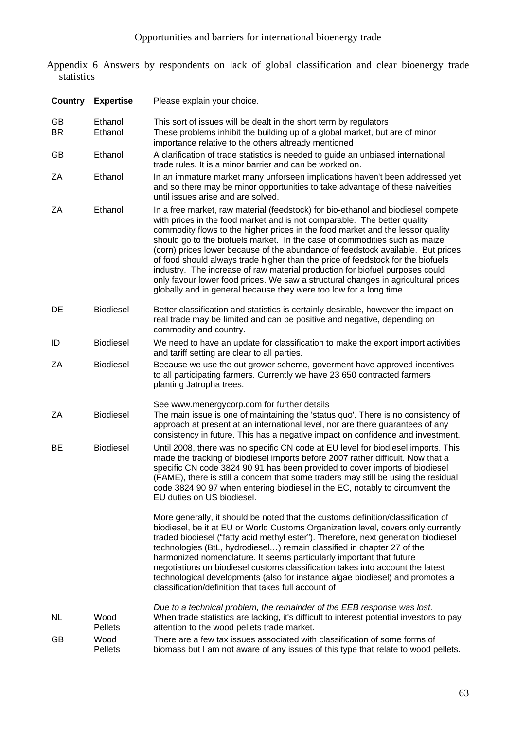Appendix 6 Answers by respondents on lack of global classification and clear bioenergy trade statistics

| <b>Country</b>  | <b>Expertise</b>       | Please explain your choice.                                                                                                                                                                                                                                                                                                                                                                                                                                                                                                                                                                                                                                                                                                                   |  |
|-----------------|------------------------|-----------------------------------------------------------------------------------------------------------------------------------------------------------------------------------------------------------------------------------------------------------------------------------------------------------------------------------------------------------------------------------------------------------------------------------------------------------------------------------------------------------------------------------------------------------------------------------------------------------------------------------------------------------------------------------------------------------------------------------------------|--|
| GB<br><b>BR</b> | Ethanol<br>Ethanol     | This sort of issues will be dealt in the short term by regulators<br>These problems inhibit the building up of a global market, but are of minor<br>importance relative to the others altready mentioned                                                                                                                                                                                                                                                                                                                                                                                                                                                                                                                                      |  |
| GB              | Ethanol                | A clarification of trade statistics is needed to guide an unbiased international<br>trade rules. It is a minor barrier and can be worked on.                                                                                                                                                                                                                                                                                                                                                                                                                                                                                                                                                                                                  |  |
| ΖA              | Ethanol                | In an immature market many unforseen implications haven't been addressed yet<br>and so there may be minor opportunities to take advantage of these naiveities<br>until issues arise and are solved.                                                                                                                                                                                                                                                                                                                                                                                                                                                                                                                                           |  |
| ΖA              | Ethanol                | In a free market, raw material (feedstock) for bio-ethanol and biodiesel compete<br>with prices in the food market and is not comparable. The better quality<br>commodity flows to the higher prices in the food market and the lessor quality<br>should go to the biofuels market. In the case of commodities such as maize<br>(corn) prices lower because of the abundance of feedstock available. But prices<br>of food should always trade higher than the price of feedstock for the biofuels<br>industry. The increase of raw material production for biofuel purposes could<br>only favour lower food prices. We saw a structural changes in agricultural prices<br>globally and in general because they were too low for a long time. |  |
| DE              | <b>Biodiesel</b>       | Better classification and statistics is certainly desirable, however the impact on<br>real trade may be limited and can be positive and negative, depending on<br>commodity and country.                                                                                                                                                                                                                                                                                                                                                                                                                                                                                                                                                      |  |
| ID              | <b>Biodiesel</b>       | We need to have an update for classification to make the export import activities<br>and tariff setting are clear to all parties.                                                                                                                                                                                                                                                                                                                                                                                                                                                                                                                                                                                                             |  |
| ΖA              | <b>Biodiesel</b>       | Because we use the out grower scheme, goverment have approved incentives<br>to all participating farmers. Currently we have 23 650 contracted farmers<br>planting Jatropha trees.                                                                                                                                                                                                                                                                                                                                                                                                                                                                                                                                                             |  |
| ΖA              | Biodiesel              | See www.menergycorp.com for further details<br>The main issue is one of maintaining the 'status quo'. There is no consistency of<br>approach at present at an international level, nor are there guarantees of any<br>consistency in future. This has a negative impact on confidence and investment.                                                                                                                                                                                                                                                                                                                                                                                                                                         |  |
| BE              | Biodiesel              | Until 2008, there was no specific CN code at EU level for biodiesel imports. This<br>made the tracking of biodiesel imports before 2007 rather difficult. Now that a<br>specific CN code 3824 90 91 has been provided to cover imports of biodiesel<br>(FAME), there is still a concern that some traders may still be using the residual<br>code 3824 90 97 when entering biodiesel in the EC, notably to circumvent the<br>EU duties on US biodiesel.                                                                                                                                                                                                                                                                                       |  |
|                 |                        | More generally, it should be noted that the customs definition/classification of<br>biodiesel, be it at EU or World Customs Organization level, covers only currently<br>traded biodiesel ("fatty acid methyl ester"). Therefore, next generation biodiesel<br>technologies (BtL, hydrodiesel) remain classified in chapter 27 of the<br>harmonized nomenclature. It seems particularly important that future<br>negotiations on biodiesel customs classification takes into account the latest<br>technological developments (also for instance algae biodiesel) and promotes a<br>classification/definition that takes full account of                                                                                                      |  |
| <b>NL</b>       | Wood<br><b>Pellets</b> | Due to a technical problem, the remainder of the EEB response was lost.<br>When trade statistics are lacking, it's difficult to interest potential investors to pay<br>attention to the wood pellets trade market.                                                                                                                                                                                                                                                                                                                                                                                                                                                                                                                            |  |
| GB              | Wood<br>Pellets        | There are a few tax issues associated with classification of some forms of<br>biomass but I am not aware of any issues of this type that relate to wood pellets.                                                                                                                                                                                                                                                                                                                                                                                                                                                                                                                                                                              |  |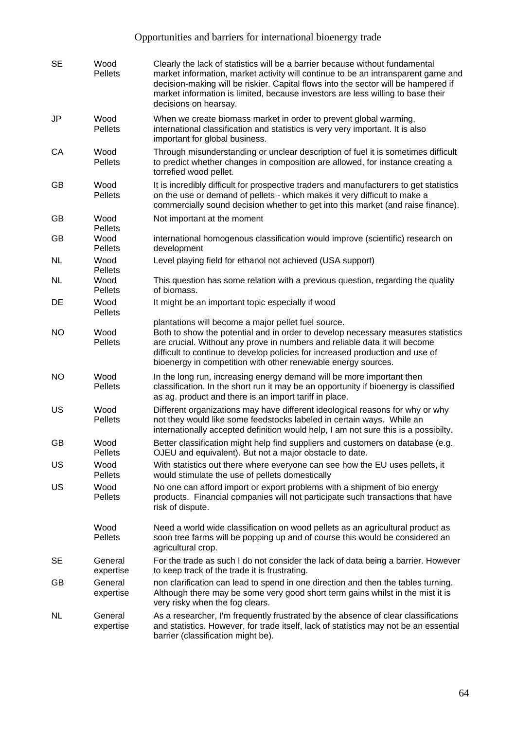| <b>SE</b> | Wood<br><b>Pellets</b> | Clearly the lack of statistics will be a barrier because without fundamental<br>market information, market activity will continue to be an intransparent game and<br>decision-making will be riskier. Capital flows into the sector will be hampered if<br>market information is limited, because investors are less willing to base their<br>decisions on hearsay.     |
|-----------|------------------------|-------------------------------------------------------------------------------------------------------------------------------------------------------------------------------------------------------------------------------------------------------------------------------------------------------------------------------------------------------------------------|
| JP        | Wood<br><b>Pellets</b> | When we create biomass market in order to prevent global warming,<br>international classification and statistics is very very important. It is also<br>important for global business.                                                                                                                                                                                   |
| CA        | Wood<br><b>Pellets</b> | Through misunderstanding or unclear description of fuel it is sometimes difficult<br>to predict whether changes in composition are allowed, for instance creating a<br>torrefied wood pellet.                                                                                                                                                                           |
| <b>GB</b> | Wood<br><b>Pellets</b> | It is incredibly difficult for prospective traders and manufacturers to get statistics<br>on the use or demand of pellets - which makes it very difficult to make a<br>commercially sound decision whether to get into this market (and raise finance).                                                                                                                 |
| GB        | Wood<br><b>Pellets</b> | Not important at the moment                                                                                                                                                                                                                                                                                                                                             |
| <b>GB</b> | Wood<br><b>Pellets</b> | international homogenous classification would improve (scientific) research on<br>development                                                                                                                                                                                                                                                                           |
| <b>NL</b> | Wood<br><b>Pellets</b> | Level playing field for ethanol not achieved (USA support)                                                                                                                                                                                                                                                                                                              |
| <b>NL</b> | Wood<br><b>Pellets</b> | This question has some relation with a previous question, regarding the quality<br>of biomass.                                                                                                                                                                                                                                                                          |
| DE        | Wood<br><b>Pellets</b> | It might be an important topic especially if wood                                                                                                                                                                                                                                                                                                                       |
| <b>NO</b> | Wood<br><b>Pellets</b> | plantations will become a major pellet fuel source.<br>Both to show the potential and in order to develop necessary measures statistics<br>are crucial. Without any prove in numbers and reliable data it will become<br>difficult to continue to develop policies for increased production and use of<br>bioenergy in competition with other renewable energy sources. |
| <b>NO</b> | Wood<br><b>Pellets</b> | In the long run, increasing energy demand will be more important then<br>classification. In the short run it may be an opportunity if bioenergy is classified<br>as ag. product and there is an import tariff in place.                                                                                                                                                 |
| US        | Wood<br><b>Pellets</b> | Different organizations may have different ideological reasons for why or why<br>not they would like some feedstocks labeled in certain ways. While an<br>internationally accepted definition would help, I am not sure this is a possibilty.                                                                                                                           |
| <b>GB</b> | Wood<br><b>Pellets</b> | Better classification might help find suppliers and customers on database (e.g.<br>OJEU and equivalent). But not a major obstacle to date.                                                                                                                                                                                                                              |
| US        | Wood<br><b>Pellets</b> | With statistics out there where everyone can see how the EU uses pellets, it<br>would stimulate the use of pellets domestically                                                                                                                                                                                                                                         |
| US        | Wood<br><b>Pellets</b> | No one can afford import or export problems with a shipment of bio energy<br>products. Financial companies will not participate such transactions that have<br>risk of dispute.                                                                                                                                                                                         |
|           | Wood<br><b>Pellets</b> | Need a world wide classification on wood pellets as an agricultural product as<br>soon tree farms will be popping up and of course this would be considered an<br>agricultural crop.                                                                                                                                                                                    |
| <b>SE</b> | General<br>expertise   | For the trade as such I do not consider the lack of data being a barrier. However<br>to keep track of the trade it is frustrating.                                                                                                                                                                                                                                      |
| GB        | General<br>expertise   | non clarification can lead to spend in one direction and then the tables turning.<br>Although there may be some very good short term gains whilst in the mist it is<br>very risky when the fog clears.                                                                                                                                                                  |
| <b>NL</b> | General<br>expertise   | As a researcher, I'm frequently frustrated by the absence of clear classifications<br>and statistics. However, for trade itself, lack of statistics may not be an essential<br>barrier (classification might be).                                                                                                                                                       |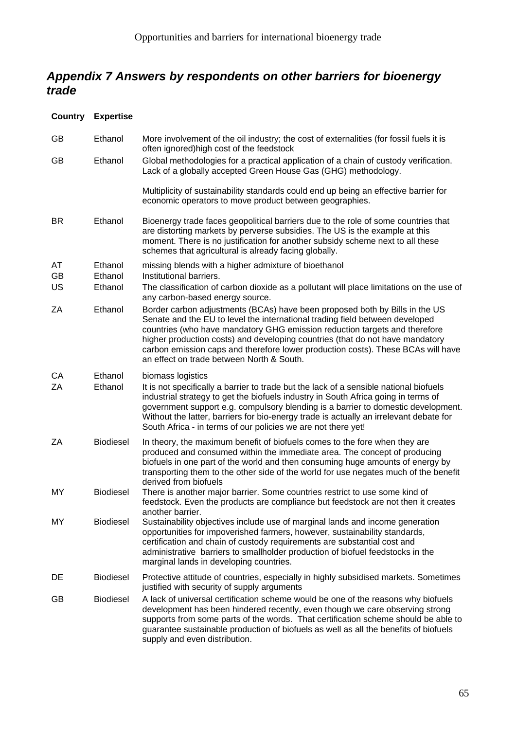### *Appendix 7 Answers by respondents on other barriers for bioenergy trade*

| Country         | <b>Expertise</b>   |                                                                                                                                                                                                                                                                                                                                                                                                                                                             |
|-----------------|--------------------|-------------------------------------------------------------------------------------------------------------------------------------------------------------------------------------------------------------------------------------------------------------------------------------------------------------------------------------------------------------------------------------------------------------------------------------------------------------|
| <b>GB</b>       | Ethanol            | More involvement of the oil industry; the cost of externalities (for fossil fuels it is<br>often ignored) high cost of the feedstock                                                                                                                                                                                                                                                                                                                        |
| GB              | Ethanol            | Global methodologies for a practical application of a chain of custody verification.<br>Lack of a globally accepted Green House Gas (GHG) methodology.                                                                                                                                                                                                                                                                                                      |
|                 |                    | Multiplicity of sustainability standards could end up being an effective barrier for<br>economic operators to move product between geographies.                                                                                                                                                                                                                                                                                                             |
| <b>BR</b>       | Ethanol            | Bioenergy trade faces geopolitical barriers due to the role of some countries that<br>are distorting markets by perverse subsidies. The US is the example at this<br>moment. There is no justification for another subsidy scheme next to all these<br>schemes that agricultural is already facing globally.                                                                                                                                                |
| AT              | Ethanol            | missing blends with a higher admixture of bioethanol                                                                                                                                                                                                                                                                                                                                                                                                        |
| <b>GB</b><br>US | Ethanol<br>Ethanol | Institutional barriers.<br>The classification of carbon dioxide as a pollutant will place limitations on the use of<br>any carbon-based energy source.                                                                                                                                                                                                                                                                                                      |
| ΖA              | Ethanol            | Border carbon adjustments (BCAs) have been proposed both by Bills in the US<br>Senate and the EU to level the international trading field between developed<br>countries (who have mandatory GHG emission reduction targets and therefore<br>higher production costs) and developing countries (that do not have mandatory<br>carbon emission caps and therefore lower production costs). These BCAs will have<br>an effect on trade between North & South. |
| CA              | Ethanol            | biomass logistics                                                                                                                                                                                                                                                                                                                                                                                                                                           |
| ΖA              | Ethanol            | It is not specifically a barrier to trade but the lack of a sensible national biofuels<br>industrial strategy to get the biofuels industry in South Africa going in terms of<br>government support e.g. compulsory blending is a barrier to domestic development.<br>Without the latter, barriers for bio-energy trade is actually an irrelevant debate for<br>South Africa - in terms of our policies we are not there yet!                                |
| ΖA              | <b>Biodiesel</b>   | In theory, the maximum benefit of biofuels comes to the fore when they are<br>produced and consumed within the immediate area. The concept of producing<br>biofuels in one part of the world and then consuming huge amounts of energy by<br>transporting them to the other side of the world for use negates much of the benefit<br>derived from biofuels                                                                                                  |
| MY              | <b>Biodiesel</b>   | There is another major barrier. Some countries restrict to use some kind of<br>feedstock. Even the products are compliance but feedstock are not then it creates<br>another barrier.                                                                                                                                                                                                                                                                        |
| MY              | <b>Biodiesel</b>   | Sustainability objectives include use of marginal lands and income generation<br>opportunities for impoverished farmers, however, sustainability standards,<br>certification and chain of custody requirements are substantial cost and<br>administrative barriers to smallholder production of biofuel feedstocks in the<br>marginal lands in developing countries.                                                                                        |
| DE              | <b>Biodiesel</b>   | Protective attitude of countries, especially in highly subsidised markets. Sometimes<br>justified with security of supply arguments                                                                                                                                                                                                                                                                                                                         |
| GB              | <b>Biodiesel</b>   | A lack of universal certification scheme would be one of the reasons why biofuels<br>development has been hindered recently, even though we care observing strong<br>supports from some parts of the words. That certification scheme should be able to<br>guarantee sustainable production of biofuels as well as all the benefits of biofuels<br>supply and even distribution.                                                                            |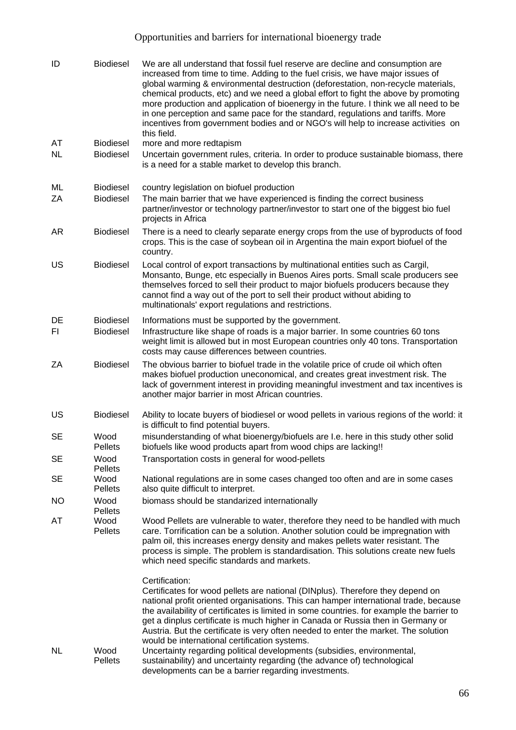| ID              | <b>Biodiesel</b>                     | We are all understand that fossil fuel reserve are decline and consumption are<br>increased from time to time. Adding to the fuel crisis, we have major issues of<br>global warming & environmental destruction (deforestation, non-recycle materials,<br>chemical products, etc) and we need a global effort to fight the above by promoting<br>more production and application of bioenergy in the future. I think we all need to be<br>in one perception and same pace for the standard, regulations and tariffs. More<br>incentives from government bodies and or NGO's will help to increase activities on<br>this field.                                                                                                  |
|-----------------|--------------------------------------|---------------------------------------------------------------------------------------------------------------------------------------------------------------------------------------------------------------------------------------------------------------------------------------------------------------------------------------------------------------------------------------------------------------------------------------------------------------------------------------------------------------------------------------------------------------------------------------------------------------------------------------------------------------------------------------------------------------------------------|
| AT<br><b>NL</b> | <b>Biodiesel</b><br>Biodiesel        | more and more redtapism<br>Uncertain government rules, criteria. In order to produce sustainable biomass, there<br>is a need for a stable market to develop this branch.                                                                                                                                                                                                                                                                                                                                                                                                                                                                                                                                                        |
| ML<br>ΖA        | <b>Biodiesel</b><br><b>Biodiesel</b> | country legislation on biofuel production<br>The main barrier that we have experienced is finding the correct business<br>partner/investor or technology partner/investor to start one of the biggest bio fuel<br>projects in Africa                                                                                                                                                                                                                                                                                                                                                                                                                                                                                            |
| AR              | <b>Biodiesel</b>                     | There is a need to clearly separate energy crops from the use of byproducts of food<br>crops. This is the case of soybean oil in Argentina the main export biofuel of the<br>country.                                                                                                                                                                                                                                                                                                                                                                                                                                                                                                                                           |
| US              | <b>Biodiesel</b>                     | Local control of export transactions by multinational entities such as Cargil,<br>Monsanto, Bunge, etc especially in Buenos Aires ports. Small scale producers see<br>themselves forced to sell their product to major biofuels producers because they<br>cannot find a way out of the port to sell their product without abiding to<br>multinationals' export regulations and restrictions.                                                                                                                                                                                                                                                                                                                                    |
| DE<br>FI.       | Biodiesel<br>Biodiesel               | Informations must be supported by the government.<br>Infrastructure like shape of roads is a major barrier. In some countries 60 tons<br>weight limit is allowed but in most European countries only 40 tons. Transportation<br>costs may cause differences between countries.                                                                                                                                                                                                                                                                                                                                                                                                                                                  |
| ΖA              | <b>Biodiesel</b>                     | The obvious barrier to biofuel trade in the volatile price of crude oil which often<br>makes biofuel production uneconomical, and creates great investment risk. The<br>lack of government interest in providing meaningful investment and tax incentives is<br>another major barrier in most African countries.                                                                                                                                                                                                                                                                                                                                                                                                                |
| US              | <b>Biodiesel</b>                     | Ability to locate buyers of biodiesel or wood pellets in various regions of the world: it<br>is difficult to find potential buyers.                                                                                                                                                                                                                                                                                                                                                                                                                                                                                                                                                                                             |
| <b>SE</b>       | Wood<br>Pellets                      | misunderstanding of what bioenergy/biofuels are I.e. here in this study other solid<br>biofuels like wood products apart from wood chips are lacking!!                                                                                                                                                                                                                                                                                                                                                                                                                                                                                                                                                                          |
| <b>SE</b>       | Wood<br><b>Pellets</b>               | Transportation costs in general for wood-pellets                                                                                                                                                                                                                                                                                                                                                                                                                                                                                                                                                                                                                                                                                |
| <b>SE</b>       | Wood<br><b>Pellets</b>               | National regulations are in some cases changed too often and are in some cases<br>also quite difficult to interpret.                                                                                                                                                                                                                                                                                                                                                                                                                                                                                                                                                                                                            |
| <b>NO</b>       | Wood<br><b>Pellets</b>               | biomass should be standarized internationally                                                                                                                                                                                                                                                                                                                                                                                                                                                                                                                                                                                                                                                                                   |
| AT              | Wood<br><b>Pellets</b>               | Wood Pellets are vulnerable to water, therefore they need to be handled with much<br>care. Torrification can be a solution. Another solution could be impregnation with<br>palm oil, this increases energy density and makes pellets water resistant. The<br>process is simple. The problem is standardisation. This solutions create new fuels<br>which need specific standards and markets.                                                                                                                                                                                                                                                                                                                                   |
| <b>NL</b>       | Wood<br><b>Pellets</b>               | Certification:<br>Certificates for wood pellets are national (DINplus). Therefore they depend on<br>national profit oriented organisations. This can hamper international trade, because<br>the availability of certificates is limited in some countries. for example the barrier to<br>get a dinplus certificate is much higher in Canada or Russia then in Germany or<br>Austria. But the certificate is very often needed to enter the market. The solution<br>would be international certification systems.<br>Uncertainty regarding political developments (subsidies, environmental,<br>sustainability) and uncertainty regarding (the advance of) technological<br>developments can be a barrier regarding investments. |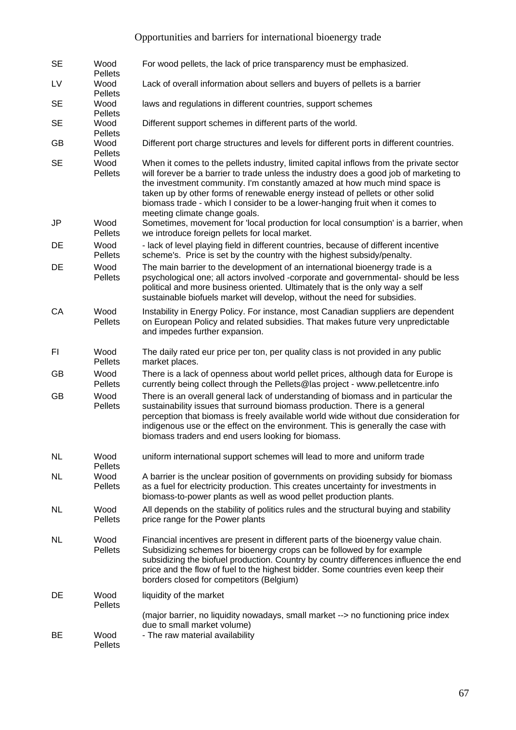| <b>SE</b> | Wood<br><b>Pellets</b> | For wood pellets, the lack of price transparency must be emphasized.                                                                                                                                                                                                                                                                                                                                                                                             |
|-----------|------------------------|------------------------------------------------------------------------------------------------------------------------------------------------------------------------------------------------------------------------------------------------------------------------------------------------------------------------------------------------------------------------------------------------------------------------------------------------------------------|
| LV        | Wood<br>Pellets        | Lack of overall information about sellers and buyers of pellets is a barrier                                                                                                                                                                                                                                                                                                                                                                                     |
| <b>SE</b> | Wood<br><b>Pellets</b> | laws and regulations in different countries, support schemes                                                                                                                                                                                                                                                                                                                                                                                                     |
| <b>SE</b> | Wood<br><b>Pellets</b> | Different support schemes in different parts of the world.                                                                                                                                                                                                                                                                                                                                                                                                       |
| GB        | Wood<br><b>Pellets</b> | Different port charge structures and levels for different ports in different countries.                                                                                                                                                                                                                                                                                                                                                                          |
| <b>SE</b> | Wood<br><b>Pellets</b> | When it comes to the pellets industry, limited capital inflows from the private sector<br>will forever be a barrier to trade unless the industry does a good job of marketing to<br>the investment community. I'm constantly amazed at how much mind space is<br>taken up by other forms of renewable energy instead of pellets or other solid<br>biomass trade - which I consider to be a lower-hanging fruit when it comes to<br>meeting climate change goals. |
| <b>JP</b> | Wood<br>Pellets        | Sometimes, movement for 'local production for local consumption' is a barrier, when<br>we introduce foreign pellets for local market.                                                                                                                                                                                                                                                                                                                            |
| DE        | Wood<br><b>Pellets</b> | - lack of level playing field in different countries, because of different incentive<br>scheme's. Price is set by the country with the highest subsidy/penalty.                                                                                                                                                                                                                                                                                                  |
| DE        | Wood<br><b>Pellets</b> | The main barrier to the development of an international bioenergy trade is a<br>psychological one; all actors involved -corporate and governmental- should be less<br>political and more business oriented. Ultimately that is the only way a self<br>sustainable biofuels market will develop, without the need for subsidies.                                                                                                                                  |
| CA        | Wood<br><b>Pellets</b> | Instability in Energy Policy. For instance, most Canadian suppliers are dependent<br>on European Policy and related subsidies. That makes future very unpredictable<br>and impedes further expansion.                                                                                                                                                                                                                                                            |
| FI        | Wood<br><b>Pellets</b> | The daily rated eur price per ton, per quality class is not provided in any public<br>market places.                                                                                                                                                                                                                                                                                                                                                             |
| GB        | Wood<br>Pellets        | There is a lack of openness about world pellet prices, although data for Europe is<br>currently being collect through the Pellets@las project - www.pelletcentre.info                                                                                                                                                                                                                                                                                            |
| GB        | Wood<br>Pellets        | There is an overall general lack of understanding of biomass and in particular the<br>sustainability issues that surround biomass production. There is a general<br>perception that biomass is freely available world wide without due consideration for<br>indigenous use or the effect on the environment. This is generally the case with<br>biomass traders and end users looking for biomass.                                                               |
| <b>NL</b> | Wood<br><b>Pellets</b> | uniform international support schemes will lead to more and uniform trade                                                                                                                                                                                                                                                                                                                                                                                        |
| NL.       | Wood<br><b>Pellets</b> | A barrier is the unclear position of governments on providing subsidy for biomass<br>as a fuel for electricity production. This creates uncertainty for investments in<br>biomass-to-power plants as well as wood pellet production plants.                                                                                                                                                                                                                      |
| <b>NL</b> | Wood<br><b>Pellets</b> | All depends on the stability of politics rules and the structural buying and stability<br>price range for the Power plants                                                                                                                                                                                                                                                                                                                                       |
| <b>NL</b> | Wood<br>Pellets        | Financial incentives are present in different parts of the bioenergy value chain.<br>Subsidizing schemes for bioenergy crops can be followed by for example<br>subsidizing the biofuel production. Country by country differences influence the end<br>price and the flow of fuel to the highest bidder. Some countries even keep their<br>borders closed for competitors (Belgium)                                                                              |
| DE        | Wood<br><b>Pellets</b> | liquidity of the market<br>(major barrier, no liquidity nowadays, small market --> no functioning price index                                                                                                                                                                                                                                                                                                                                                    |
| BE        | Wood                   | due to small market volume)<br>- The raw material availability                                                                                                                                                                                                                                                                                                                                                                                                   |
|           | Pellets                |                                                                                                                                                                                                                                                                                                                                                                                                                                                                  |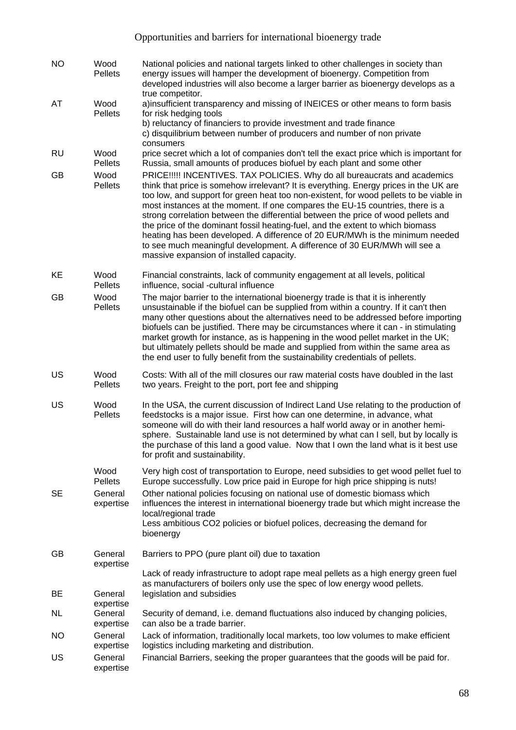NO Wood Pellets National policies and national targets linked to other challenges in society than energy issues will hamper the development of bioenergy. Competition from developed industries will also become a larger barrier as bioenergy develops as a true competitor. AT Wood Pellets a)insufficient transparency and missing of INEICES or other means to form basis for risk hedging tools b) reluctancy of financiers to provide investment and trade finance c) disquilibrium between number of producers and number of non private consumers RU Wood Pellets price secret which a lot of companies don't tell the exact price which is important for Russia, small amounts of produces biofuel by each plant and some other GB Wood Pellets PRICE!!!!! INCENTIVES. TAX POLICIES. Why do all bureaucrats and academics think that price is somehow irrelevant? It is everything. Energy prices in the UK are too low, and support for green heat too non-existent, for wood pellets to be viable in most instances at the moment. If one compares the EU-15 countries, there is a strong correlation between the differential between the price of wood pellets and the price of the dominant fossil heating-fuel, and the extent to which biomass heating has been developed. A difference of 20 EUR/MWh is the minimum needed to see much meaningful development. A difference of 30 EUR/MWh will see a massive expansion of installed capacity. KE Wood Pellets Financial constraints, lack of community engagement at all levels, political influence, social -cultural influence GB Wood Pellets The major barrier to the international bioenergy trade is that it is inherently unsustainable if the biofuel can be supplied from within a country. If it can't then many other questions about the alternatives need to be addressed before importing biofuels can be justified. There may be circumstances where it can - in stimulating market growth for instance, as is happening in the wood pellet market in the UK; but ultimately pellets should be made and supplied from within the same area as the end user to fully benefit from the sustainability credentials of pellets. US Wood Pellets Costs: With all of the mill closures our raw material costs have doubled in the last two years. Freight to the port, port fee and shipping US Wood Pellets In the USA, the current discussion of Indirect Land Use relating to the production of feedstocks is a major issue. First how can one determine, in advance, what someone will do with their land resources a half world away or in another hemisphere. Sustainable land use is not determined by what can I sell, but by locally is the purchase of this land a good value. Now that I own the land what is it best use for profit and sustainability. Wood Pellets Very high cost of transportation to Europe, need subsidies to get wood pellet fuel to Europe successfully. Low price paid in Europe for high price shipping is nuts! SE General expertise Other national policies focusing on national use of domestic biomass which influences the interest in international bioenergy trade but which might increase the local/regional trade Less ambitious CO2 policies or biofuel polices, decreasing the demand for bioenergy GB General expertise Barriers to PPO (pure plant oil) due to taxation Lack of ready infrastructure to adopt rape meal pellets as a high energy green fuel as manufacturers of boilers only use the spec of low energy wood pellets. BE General expertise legislation and subsidies NL General expertise Security of demand, i.e. demand fluctuations also induced by changing policies, can also be a trade barrier. NO General expertise Lack of information, traditionally local markets, too low volumes to make efficient logistics including marketing and distribution. US General expertise Financial Barriers, seeking the proper guarantees that the goods will be paid for.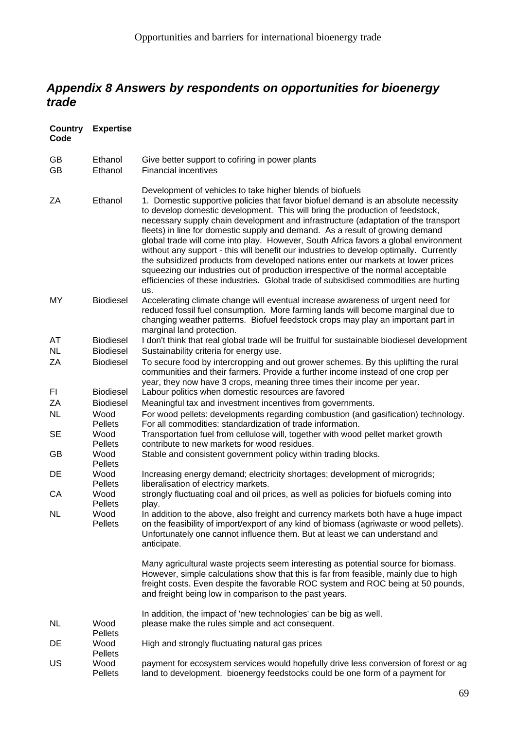### *Appendix 8 Answers by respondents on opportunities for bioenergy trade*

| <b>Country</b><br>Code | <b>Expertise</b>                  |                                                                                                                                                                                                                                                                                                                                                                                                                                                                                                                                                                                                                                                                                                                                                                                                                                                                 |
|------------------------|-----------------------------------|-----------------------------------------------------------------------------------------------------------------------------------------------------------------------------------------------------------------------------------------------------------------------------------------------------------------------------------------------------------------------------------------------------------------------------------------------------------------------------------------------------------------------------------------------------------------------------------------------------------------------------------------------------------------------------------------------------------------------------------------------------------------------------------------------------------------------------------------------------------------|
| GB<br><b>GB</b>        | Ethanol<br>Ethanol                | Give better support to cofiring in power plants<br><b>Financial incentives</b>                                                                                                                                                                                                                                                                                                                                                                                                                                                                                                                                                                                                                                                                                                                                                                                  |
| ΖA                     | Ethanol                           | Development of vehicles to take higher blends of biofuels<br>1. Domestic supportive policies that favor biofuel demand is an absolute necessity<br>to develop domestic development. This will bring the production of feedstock,<br>necessary supply chain development and infrastructure (adaptation of the transport<br>fleets) in line for domestic supply and demand. As a result of growing demand<br>global trade will come into play. However, South Africa favors a global environment<br>without any support - this will benefit our industries to develop optimally. Currently<br>the subsidized products from developed nations enter our markets at lower prices<br>squeezing our industries out of production irrespective of the normal acceptable<br>efficiencies of these industries. Global trade of subsidised commodities are hurting<br>us. |
| MY                     | <b>Biodiesel</b>                  | Accelerating climate change will eventual increase awareness of urgent need for<br>reduced fossil fuel consumption. More farming lands will become marginal due to<br>changing weather patterns. Biofuel feedstock crops may play an important part in<br>marginal land protection.                                                                                                                                                                                                                                                                                                                                                                                                                                                                                                                                                                             |
| AT                     | <b>Biodiesel</b>                  | I don't think that real global trade will be fruitful for sustainable biodiesel development                                                                                                                                                                                                                                                                                                                                                                                                                                                                                                                                                                                                                                                                                                                                                                     |
| <b>NL</b>              | Biodiesel                         | Sustainability criteria for energy use.                                                                                                                                                                                                                                                                                                                                                                                                                                                                                                                                                                                                                                                                                                                                                                                                                         |
| ΖA                     | Biodiesel                         | To secure food by intercropping and out grower schemes. By this uplifting the rural<br>communities and their farmers. Provide a further income instead of one crop per<br>year, they now have 3 crops, meaning three times their income per year.                                                                                                                                                                                                                                                                                                                                                                                                                                                                                                                                                                                                               |
| FI.                    | Biodiesel                         | Labour politics when domestic resources are favored                                                                                                                                                                                                                                                                                                                                                                                                                                                                                                                                                                                                                                                                                                                                                                                                             |
| ΖA                     | <b>Biodiesel</b>                  | Meaningful tax and investment incentives from governments.                                                                                                                                                                                                                                                                                                                                                                                                                                                                                                                                                                                                                                                                                                                                                                                                      |
| <b>NL</b>              | Wood<br><b>Pellets</b>            | For wood pellets: developments regarding combustion (and gasification) technology.<br>For all commodities: standardization of trade information.                                                                                                                                                                                                                                                                                                                                                                                                                                                                                                                                                                                                                                                                                                                |
| <b>SE</b>              | Wood<br><b>Pellets</b>            | Transportation fuel from cellulose will, together with wood pellet market growth<br>contribute to new markets for wood residues.                                                                                                                                                                                                                                                                                                                                                                                                                                                                                                                                                                                                                                                                                                                                |
| GB                     | Wood<br><b>Pellets</b>            | Stable and consistent government policy within trading blocks.                                                                                                                                                                                                                                                                                                                                                                                                                                                                                                                                                                                                                                                                                                                                                                                                  |
| DE                     | Wood<br><b>Pellets</b>            | Increasing energy demand; electricity shortages; development of microgrids;<br>liberalisation of electricy markets.                                                                                                                                                                                                                                                                                                                                                                                                                                                                                                                                                                                                                                                                                                                                             |
| СA                     | Wood<br><b>Pellets</b>            | strongly fluctuating coal and oil prices, as well as policies for biofuels coming into<br>play.                                                                                                                                                                                                                                                                                                                                                                                                                                                                                                                                                                                                                                                                                                                                                                 |
| <b>NL</b>              | Wood<br><b>Pellets</b>            | In addition to the above, also freight and currency markets both have a huge impact<br>on the feasibility of import/export of any kind of biomass (agriwaste or wood pellets).<br>Unfortunately one cannot influence them. But at least we can understand and<br>anticipate.                                                                                                                                                                                                                                                                                                                                                                                                                                                                                                                                                                                    |
|                        |                                   | Many agricultural waste projects seem interesting as potential source for biomass.<br>However, simple calculations show that this is far from feasible, mainly due to high<br>freight costs. Even despite the favorable ROC system and ROC being at 50 pounds,<br>and freight being low in comparison to the past years.                                                                                                                                                                                                                                                                                                                                                                                                                                                                                                                                        |
| <b>NL</b>              | Wood                              | In addition, the impact of 'new technologies' can be big as well.<br>please make the rules simple and act consequent.                                                                                                                                                                                                                                                                                                                                                                                                                                                                                                                                                                                                                                                                                                                                           |
| DE                     | <b>Pellets</b><br>Wood<br>Pellets | High and strongly fluctuating natural gas prices                                                                                                                                                                                                                                                                                                                                                                                                                                                                                                                                                                                                                                                                                                                                                                                                                |
| <b>US</b>              | Wood<br>Pellets                   | payment for ecosystem services would hopefully drive less conversion of forest or ag<br>land to development. bioenergy feedstocks could be one form of a payment for                                                                                                                                                                                                                                                                                                                                                                                                                                                                                                                                                                                                                                                                                            |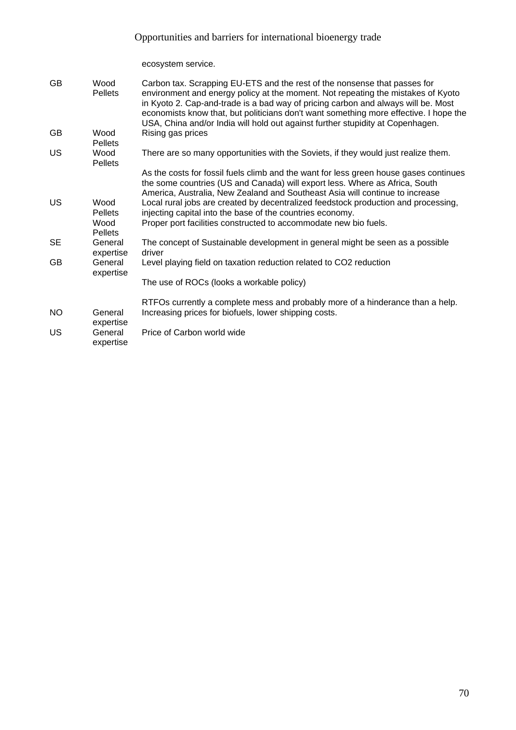ecosystem service.

| <b>GB</b> | Wood<br><b>Pellets</b>                           | Carbon tax. Scrapping EU-ETS and the rest of the nonsense that passes for<br>environment and energy policy at the moment. Not repeating the mistakes of Kyoto<br>in Kyoto 2. Cap-and-trade is a bad way of pricing carbon and always will be. Most<br>economists know that, but politicians don't want something more effective. I hope the<br>USA, China and/or India will hold out against further stupidity at Copenhagen. |
|-----------|--------------------------------------------------|-------------------------------------------------------------------------------------------------------------------------------------------------------------------------------------------------------------------------------------------------------------------------------------------------------------------------------------------------------------------------------------------------------------------------------|
| GB        | Wood<br><b>Pellets</b>                           | Rising gas prices                                                                                                                                                                                                                                                                                                                                                                                                             |
| US        | Wood<br><b>Pellets</b>                           | There are so many opportunities with the Soviets, if they would just realize them.                                                                                                                                                                                                                                                                                                                                            |
|           |                                                  | As the costs for fossil fuels climb and the want for less green house gases continues<br>the some countries (US and Canada) will export less. Where as Africa, South<br>America, Australia, New Zealand and Southeast Asia will continue to increase                                                                                                                                                                          |
| US        | Wood<br><b>Pellets</b><br>Wood<br><b>Pellets</b> | Local rural jobs are created by decentralized feedstock production and processing,<br>injecting capital into the base of the countries economy.<br>Proper port facilities constructed to accommodate new bio fuels.                                                                                                                                                                                                           |
| <b>SE</b> | General<br>expertise                             | The concept of Sustainable development in general might be seen as a possible<br>driver                                                                                                                                                                                                                                                                                                                                       |
| <b>GB</b> | General<br>expertise                             | Level playing field on taxation reduction related to CO2 reduction                                                                                                                                                                                                                                                                                                                                                            |
|           |                                                  | The use of ROCs (looks a workable policy)                                                                                                                                                                                                                                                                                                                                                                                     |
| <b>NO</b> | General                                          | RTFOs currently a complete mess and probably more of a hinderance than a help.<br>Increasing prices for biofuels, lower shipping costs.                                                                                                                                                                                                                                                                                       |
|           | expertise                                        |                                                                                                                                                                                                                                                                                                                                                                                                                               |
| US        | General<br>expertise                             | Price of Carbon world wide                                                                                                                                                                                                                                                                                                                                                                                                    |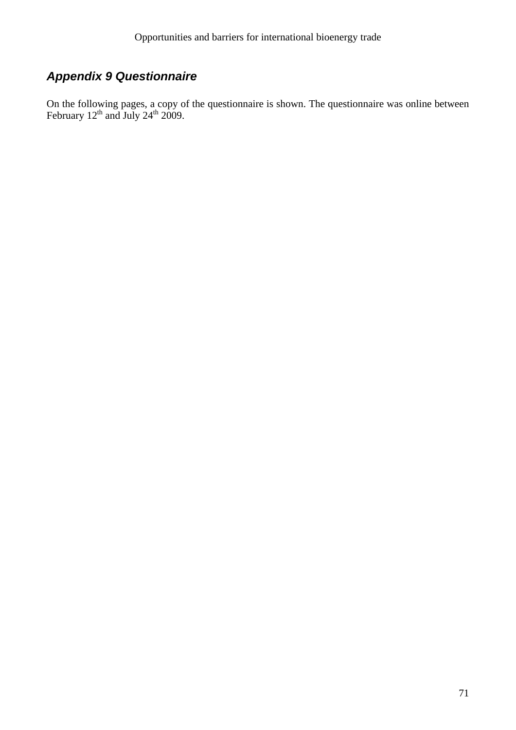## *Appendix 9 Questionnaire*

On the following pages, a copy of the questionnaire is shown. The questionnaire was online between February  $12^{th}$  and July  $24^{th}$  2009.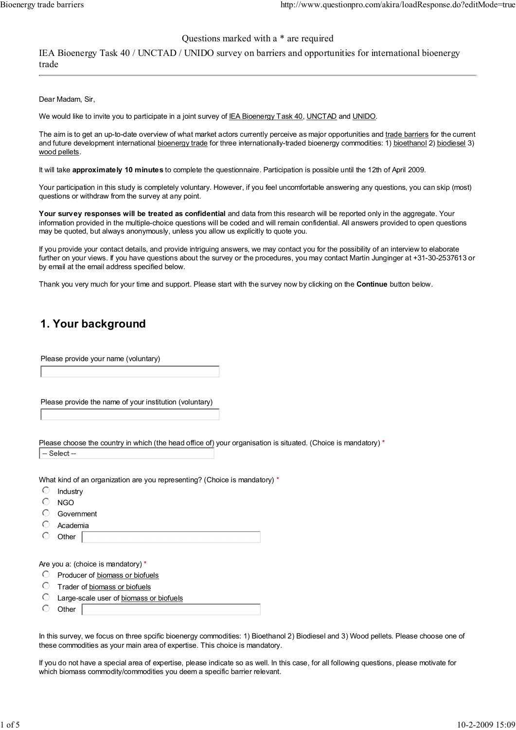#### Questions marked with a \* are required

IEA Bioenergy Task 40 / UNCTAD / UNIDO survey on barriers and opportunities for international bioenergy trade

Dear Madam, Sir,

We would like to invite you to participate in a joint survey of IEA Bioenergy Task 40, UNCTAD and UNIDO.

The aim is to get an up-to-date overview of what market actors currently perceive as major opportunities and trade barriers for the current and future development international bioenergy trade for three internationally-traded bioenergy commodities: 1) bioethanol 2) biodiesel 3) wood pellets.

It will take **approximately 10 minutes** to complete the questionnaire. Participation is possible until the 12th of April 2009.

Your participation in this study is completely voluntary. However, if you feel uncomfortable answering any questions, you can skip (most) questions or withdraw from the survey at any point.

**Your survey responses will be treated as confidential** and data from this research will be reported only in the aggregate. Your information provided in the multiple-choice questions will be coded and will remain confidential. All answers provided to open questions may be quoted, but always anonymously, unless you allow us explicitly to quote you.

If you provide your contact details, and provide intriguing answers, we may contact you for the possibility of an interview to elaborate further on your views. If you have questions about the survey or the procedures, you may contact Martin Junginger at +31-30-2537613 or by email at the email address specified below.

Thank you very much for your time and support. Please start with the survey now by clicking on the **Continue** button below.

### **1. Your background**

Please provide your name (voluntary)

Please provide the name of your institution (voluntary)

| Please choose the country in which (the head office of) your organisation is situated. (Choice is mandatory) * |  |
|----------------------------------------------------------------------------------------------------------------|--|
| l -- Select --                                                                                                 |  |

What kind of an organization are you representing? (Choice is mandatory) \*

| Industry |  |
|----------|--|
|----------|--|

- $\circ$ NGO
- $\subset$ Government
- $\circ$ Academia
- $\bigcirc$ **Other**

Are you a: (choice is mandatory) \*

- C Producer of biomass or biofuels
- € Trader of biomass or biofuels
- Large-scale user of biomass or biofuels  $\circ$ **Other**
- In this survey, we focus on three spcific bioenergy commodities: 1) Bioethanol 2) Biodiesel and 3) Wood pellets. Please choose one of these commodities as your main area of expertise. This choice is mandatory.

If you do not have a special area of expertise, please indicate so as well. In this case, for all following questions, please motivate for which biomass commodity/commodities you deem a specific barrier relevant.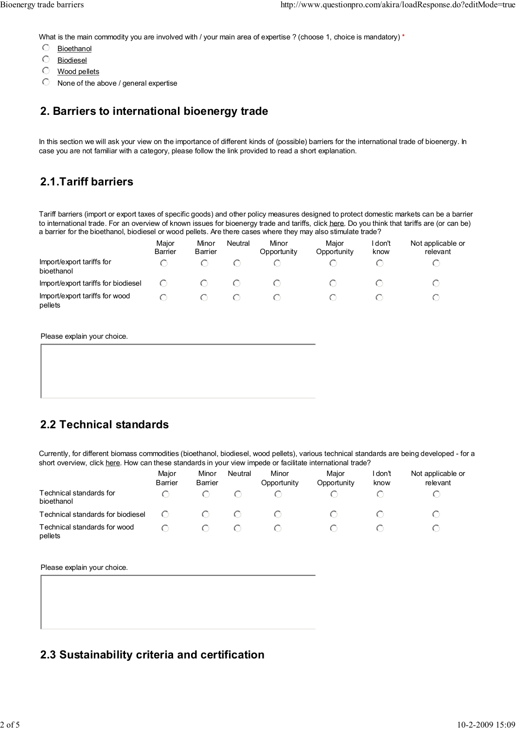What is the main commodity you are involved with / your main area of expertise ? (choose 1, choice is mandatory) \*

- Bioethanol
- Biodiesel
- Wood pellets
- $\circ$ None of the above / general expertise

#### **2. Barriers to international bioenergy trade**

In this section we will ask your view on the importance of different kinds of (possible) barriers for the international trade of bioenergy. In case you are not familiar with a category, please follow the link provided to read a short explanation.

#### **2.1.Tariff barriers**

Tariff barriers (import or export taxes of specific goods) and other policy measures designed to protect domestic markets can be a barrier to international trade. For an overview of known issues for bioenergy trade and tariffs, click here. Do you think that tariffs are (or can be) a barrier for the bioethanol, biodiesel or wood pellets. Are there cases where they may also stimulate trade?

|                                           | Major<br>Barrier | Minor<br><b>Barrier</b> | Neutral | Minor<br>Opportunity | Maior<br>Opportunity | l don't<br>know | Not applicable or<br>relevant |
|-------------------------------------------|------------------|-------------------------|---------|----------------------|----------------------|-----------------|-------------------------------|
| Import/export tariffs for<br>bioethanol   |                  |                         |         |                      |                      |                 |                               |
| Import/export tariffs for biodiesel       |                  |                         |         |                      |                      |                 |                               |
| Import/export tariffs for wood<br>pellets |                  |                         |         |                      |                      |                 |                               |

Please explain your choice.

### **2.2 Technical standards**

Currently, for different biomass commodities (bioethanol, biodiesel, wood pellets), various technical standards are being developed - for a short overview, click here. How can these standards in your view impede or facilitate international trade?

|                                         | Major<br><b>Barrier</b> | Minor<br><b>Barrier</b> | Neutral | Minor<br>Opportunity | Major<br>Opportunity | l don't<br>know | Not applicable or<br>relevant |
|-----------------------------------------|-------------------------|-------------------------|---------|----------------------|----------------------|-----------------|-------------------------------|
| Technical standards for<br>bioethanol   |                         |                         |         |                      |                      |                 |                               |
| Technical standards for biodiesel       |                         |                         |         |                      |                      |                 |                               |
| Technical standards for wood<br>pellets |                         |                         |         |                      |                      |                 |                               |

Please explain your choice.

#### **2.3 Sustainability criteria and certification**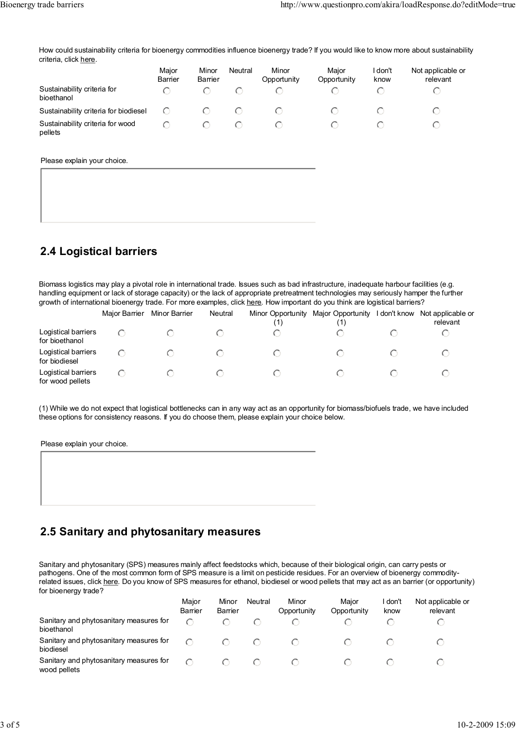How could sustainability criteria for bioenergy commodities influence bioenergy trade? If you would like to know more about sustainability criteria, click here.

|                                             | Major<br>Barrier | Minor<br><b>Barrier</b> | Neutral | Minor<br>Opportunity | Maior<br>Opportunity | l don't<br>know | Not applicable or<br>relevant |
|---------------------------------------------|------------------|-------------------------|---------|----------------------|----------------------|-----------------|-------------------------------|
| Sustainability criteria for<br>bioethanol   |                  |                         |         |                      |                      |                 |                               |
| Sustainability criteria for biodiesel       |                  |                         |         |                      |                      |                 |                               |
| Sustainability criteria for wood<br>pellets |                  |                         |         |                      |                      |                 |                               |

Please explain your choice.

## **2.4 Logistical barriers**

Biomass logistics may play a pivotal role in international trade. Issues such as bad infrastructure, inadequate harbour facilities (e.g. handling equipment or lack of storage capacity) or the lack of appropriate pretreatment technologies may seriously hamper the further growth of international bioenergy trade. For more examples, click here. How important do you think are logistical barriers?

|                                         | <b>Major Barrier</b> | <b>Minor Barrier</b> | Neutral | Minor Opportunity | Major Opportunity | I don't know | Not applicable or<br>relevant |
|-----------------------------------------|----------------------|----------------------|---------|-------------------|-------------------|--------------|-------------------------------|
| Logistical barriers<br>for bioethanol   |                      |                      |         |                   |                   |              |                               |
| Logistical barriers<br>for biodiesel    |                      |                      |         |                   |                   |              |                               |
| Logistical barriers<br>for wood pellets |                      |                      |         |                   |                   |              |                               |

(1) While we do not expect that logistical bottlenecks can in any way act as an opportunity for biomass/biofuels trade, we have included these options for consistency reasons. If you do choose them, please explain your choice below.

Please explain your choice.

### **2.5 Sanitary and phytosanitary measures**

Sanitary and phytosanitary (SPS) measures mainly affect feedstocks which, because of their biological origin, can carry pests or pathogens. One of the most common form of SPS measure is a limit on pesticide residues. For an overview of bioenergy commodityrelated issues, click here. Do you know of SPS measures for ethanol, biodiesel or wood pellets that may act as an barrier (or opportunity) for bioenergy trade?

|                                                         | Major<br>Barrier | Minor<br>Barrier | Neutral | Minor<br>Opportunity | Maior<br>Opportunity | don't<br>know | Not applicable or<br>relevant |
|---------------------------------------------------------|------------------|------------------|---------|----------------------|----------------------|---------------|-------------------------------|
| Sanitary and phytosanitary measures for<br>bioethanol   |                  |                  |         |                      |                      |               |                               |
| Sanitary and phytosanitary measures for<br>biodiesel    |                  |                  |         |                      |                      |               |                               |
| Sanitary and phytosanitary measures for<br>wood pellets |                  |                  |         |                      |                      |               |                               |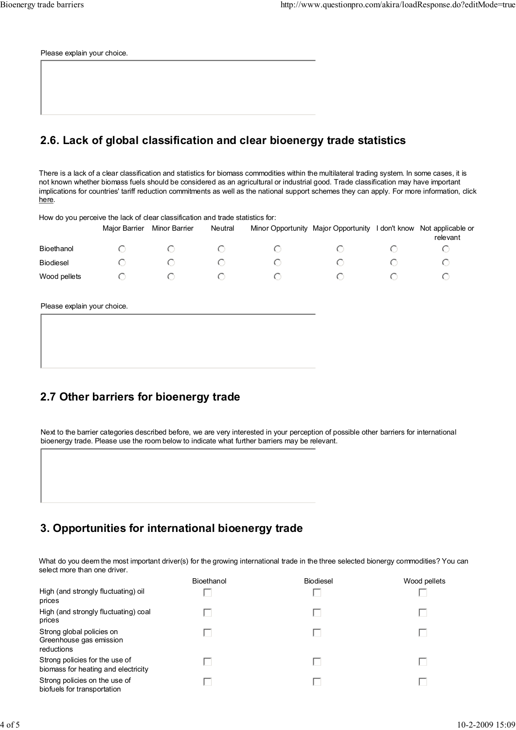|  | Please explain your choice. |  |
|--|-----------------------------|--|
|--|-----------------------------|--|

### **2.6. Lack of global classification and clear bioenergy trade statistics**

There is a lack of a clear classification and statistics for biomass commodities within the multilateral trading system. In some cases, it is not known whether biomass fuels should be considered as an agricultural or industrial good. Trade classification may have important implications for countries' tariff reduction commitments as well as the national support schemes they can apply. For more information, click here.

|                             | How do you perceive the lack of clear classification and trade statistics for: |                      |         |   |                                                                    |   |          |
|-----------------------------|--------------------------------------------------------------------------------|----------------------|---------|---|--------------------------------------------------------------------|---|----------|
|                             | <b>Major Barrier</b>                                                           | <b>Minor Barrier</b> | Neutral |   | Minor Opportunity Major Opportunity I don't know Not applicable or |   | relevant |
| Bioethanol                  | ○                                                                              | O                    |         | O | ◯                                                                  | O | О        |
| <b>Biodiesel</b>            | €                                                                              | Ο                    |         | O | Ο                                                                  | O | O        |
| Wood pellets                | O                                                                              | O                    | O       | O | O                                                                  | O | $\circ$  |
|                             |                                                                                |                      |         |   |                                                                    |   |          |
| Please explain your choice. |                                                                                |                      |         |   |                                                                    |   |          |
|                             |                                                                                |                      |         |   |                                                                    |   |          |
|                             |                                                                                |                      |         |   |                                                                    |   |          |
|                             |                                                                                |                      |         |   |                                                                    |   |          |

### **2.7 Other barriers for bioenergy trade**

Next to the barrier categories described before, we are very interested in your perception of possible other barriers for international bioenergy trade. Please use the room below to indicate what further barriers may be relevant.

### **3. Opportunities for international bioenergy trade**

What do you deem the most important driver(s) for the growing international trade in the three selected bionergy commodities? You can select more than one driver.

|                                                                       | Bioethanol | <b>Biodiesel</b> | Wood pellets |
|-----------------------------------------------------------------------|------------|------------------|--------------|
| High (and strongly fluctuating) oil<br>prices                         |            |                  |              |
| High (and strongly fluctuating) coal<br>prices                        |            |                  |              |
| Strong global policies on<br>Greenhouse gas emission<br>reductions    |            |                  |              |
| Strong policies for the use of<br>biomass for heating and electricity |            |                  |              |
| Strong policies on the use of<br>biofuels for transportation          |            |                  |              |